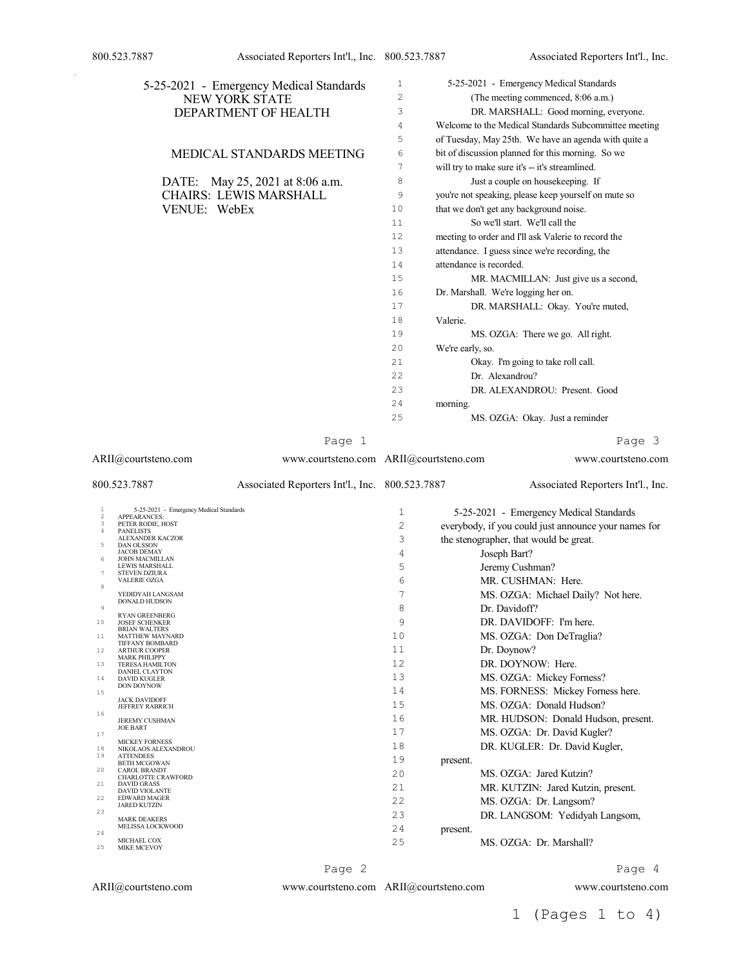|                 | 5-25-2021 - Emergency Medical Standards<br>NEW YORK STATE<br>DEPARTMENT OF HEALTH |                                                | 1<br>$\overline{c}$<br>3 | 5-25-2021 - Emergency Medical Standards<br>(The meeting commenced, 8:06 a.m.)<br>DR. MARSHALL: Good morning, everyone. |
|-----------------|-----------------------------------------------------------------------------------|------------------------------------------------|--------------------------|------------------------------------------------------------------------------------------------------------------------|
|                 |                                                                                   |                                                | 4                        | Welcome to the Medical Standards Subcommittee meeting                                                                  |
|                 |                                                                                   |                                                | 5                        | of Tuesday, May 25th. We have an agenda with quite a                                                                   |
|                 | MEDICAL STANDARDS MEETING                                                         |                                                | 6                        | bit of discussion planned for this morning. So we                                                                      |
|                 |                                                                                   |                                                | 7                        | will try to make sure it's -- it's streamlined.                                                                        |
|                 | DATE: May 25, 2021 at 8:06 a.m.                                                   |                                                | 8                        | Just a couple on housekeeping. If                                                                                      |
|                 | <b>CHAIRS: LEWIS MARSHALL</b>                                                     |                                                | 9                        | you're not speaking, please keep yourself on mute so                                                                   |
|                 | VENUE: WebEx                                                                      |                                                | 10                       | that we don't get any background noise.                                                                                |
|                 |                                                                                   |                                                | 11                       | So we'll start. We'll call the                                                                                         |
|                 |                                                                                   |                                                | 12                       | meeting to order and I'll ask Valerie to record the                                                                    |
|                 |                                                                                   |                                                | 13                       | attendance. I guess since we're recording, the                                                                         |
|                 |                                                                                   |                                                | 14                       | attendance is recorded.                                                                                                |
|                 |                                                                                   |                                                | 15                       | MR. MACMILLAN: Just give us a second,                                                                                  |
|                 |                                                                                   |                                                | 16                       | Dr. Marshall. We're logging her on.                                                                                    |
|                 |                                                                                   |                                                | 17                       | DR. MARSHALL: Okay. You're muted,                                                                                      |
|                 |                                                                                   |                                                | 18                       | Valerie.                                                                                                               |
|                 |                                                                                   |                                                | 19                       | MS. OZGA: There we go. All right.                                                                                      |
|                 |                                                                                   |                                                | 20                       | We're early, so.                                                                                                       |
|                 |                                                                                   |                                                | 21                       | Okay. I'm going to take roll call.                                                                                     |
|                 |                                                                                   |                                                | 22                       | Dr. Alexandrou?                                                                                                        |
|                 |                                                                                   |                                                | 23                       | DR. ALEXANDROU: Present. Good                                                                                          |
|                 |                                                                                   |                                                | 24                       | morning.                                                                                                               |
|                 |                                                                                   |                                                | 25                       | MS. OZGA: Okay. Just a reminder                                                                                        |
|                 |                                                                                   |                                                |                          |                                                                                                                        |
|                 |                                                                                   | Page 1                                         |                          | Page 3                                                                                                                 |
|                 | ARII@courtsteno.com                                                               | www.courtsteno.com ARII@courtsteno.com         |                          | www.courtsteno.com                                                                                                     |
|                 |                                                                                   |                                                |                          |                                                                                                                        |
|                 | 800.523.7887                                                                      | Associated Reporters Int'l., Inc. 800.523.7887 |                          | Associated Reporters Int'l., Inc.                                                                                      |
| $\mathbf{1}$    | 5-25-2021 - Emergency Medical Standards                                           |                                                | $\mathbf{1}$             |                                                                                                                        |
| $\sqrt{2}$<br>3 | APPEARANCES:<br>PETER RODIE, HOST                                                 |                                                |                          | 5-25-2021 - Emergency Medical Standards                                                                                |
| 4               | <b>PANELISTS</b><br><b>ALEXANDER KACZOR</b>                                       |                                                | 2<br>3                   | everybody, if you could just announce your names for                                                                   |
| 5               | <b>DAN OLSSON</b><br><b>JACOB DEMAY</b>                                           |                                                | 4                        | the stenographer, that would be great.                                                                                 |
| 6               | <b>JOHN MACMILLAN</b><br>LEWIS MARSHALL                                           |                                                | 5                        | Joseph Bart?                                                                                                           |
| 7               | <b>STEVEN DZIURA</b><br>VALERIE OZGA                                              |                                                |                          | Jeremy Cushman?                                                                                                        |
| 8               | YEDIDYAH LANGSAM                                                                  |                                                | 6                        | MR. CUSHMAN: Here.                                                                                                     |
| $\mathsf{9}$    | DONALD HUDSON                                                                     |                                                | 7                        | MS. OZGA: Michael Daily? Not here.                                                                                     |
| 10              | <b>RYAN GREENBERG</b><br><b>JOSEF SCHENKER</b>                                    |                                                | 8                        | Dr. Davidoff?                                                                                                          |
| 11              | <b>BRIAN WALTERS</b><br><b>MATTHEW MAYNARD</b>                                    |                                                | 9                        | DR. DAVIDOFF: I'm here.                                                                                                |
|                 | <b>TIFFANY BOMBARD</b>                                                            |                                                | 10                       | MS. OZGA: Don DeTraglia?                                                                                               |
| 12              | <b>ARTHUR COOPER</b><br><b>MARK PHILIPPY</b>                                      |                                                | 11                       | Dr. Doynow?                                                                                                            |
| 13              | <b>TERESA HAMILTON</b><br><b>DANIEL CLAYTON</b>                                   |                                                | 12                       | DR. DOYNOW: Here.                                                                                                      |
| 14              | <b>DAVID KUGLER</b><br><b>DON DOYNOW</b>                                          |                                                | 13                       | MS. OZGA: Mickey Forness?                                                                                              |
| 15              | <b>JACK DAVIDOFF</b>                                                              |                                                | 14                       | MS. FORNESS: Mickey Forness here.                                                                                      |
| 16              | <b>JEFFREY RABRICH</b>                                                            |                                                | 15                       | MS. OZGA: Donald Hudson?                                                                                               |
|                 | <b>JEREMY CUSHMAN</b><br><b>JOE BART</b>                                          |                                                | 16                       | MR. HUDSON: Donald Hudson, present.                                                                                    |
| 17              | <b>MICKEY FORNESS</b>                                                             |                                                | 17                       | MS. OZGA: Dr. David Kugler?                                                                                            |
| 18<br>19        | NIKOLAOS ALEXANDROU<br><b>ATTENDEES</b>                                           |                                                | 18                       | DR. KUGLER: Dr. David Kugler,                                                                                          |
| 20              | <b>BETH MCGOWAN</b><br><b>CAROL BRANDT</b>                                        |                                                | 19                       | present.                                                                                                               |
| 21              | CHARLOTTE CRAWFORD<br><b>DAVID GRASS</b>                                          |                                                | 20                       | MS. OZGA: Jared Kutzin?                                                                                                |
| 22              | <b>DAVID VIOLANTE</b><br><b>EDWARD MAGER</b>                                      |                                                | 21                       | MR. KUTZIN: Jared Kutzin, present.                                                                                     |
| 23              | <b>JARED KUTZIN</b>                                                               |                                                | 22                       | MS. OZGA: Dr. Langsom?                                                                                                 |
|                 | <b>MARK DEAKERS</b>                                                               |                                                | 23                       | DR. LANGSOM: Yedidyah Langsom,                                                                                         |
| 24              | MELISSA LOCKWOOD<br>MICHAEL COX                                                   |                                                | 24                       | present.                                                                                                               |
| 25              | <b>MIKE MCEVOY</b>                                                                |                                                | 25                       | MS. OZGA: Dr. Marshall?                                                                                                |
|                 |                                                                                   | Page 2                                         |                          | Page 4                                                                                                                 |

ARII@courtsteno.com www.courtsteno.com

ARII@courtsteno.com www.courtsteno.com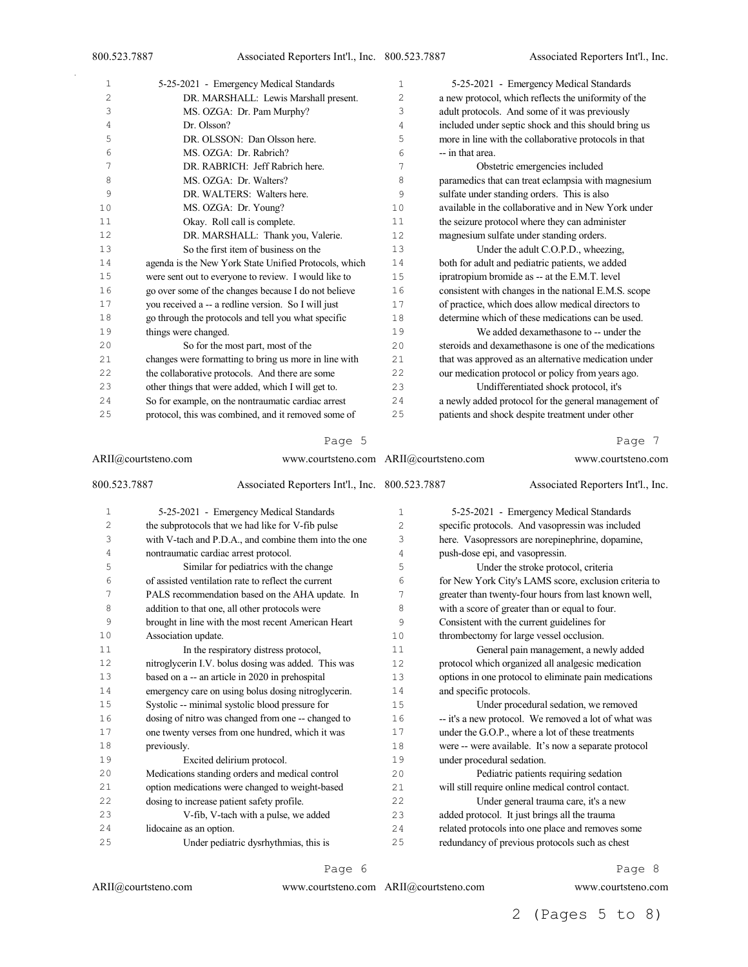| 1              | 5-25-2021 - Emergency Medical Standards               | 1  | 5-25-2021 - Emergency Medical Standards               |
|----------------|-------------------------------------------------------|----|-------------------------------------------------------|
| $\overline{c}$ | DR. MARSHALL: Lewis Marshall present.                 | 2  | a new protocol, which reflects the uniformity of the  |
| 3              | MS. OZGA: Dr. Pam Murphy?                             | 3  | adult protocols. And some of it was previously        |
| 4              | Dr. Olsson?                                           | 4  | included under septic shock and this should bring us  |
| 5              | DR. OLSSON: Dan Olsson here.                          | 5  | more in line with the collaborative protocols in that |
| 6              | MS. OZGA: Dr. Rabrich?                                | 6  | -- in that area.                                      |
| 7              | DR. RABRICH: Jeff Rabrich here.                       | 7  | Obstetric emergencies included                        |
| 8              | MS. OZGA: Dr. Walters?                                | 8  | paramedics that can treat eclampsia with magnesium    |
| 9              | DR. WALTERS: Walters here.                            | 9  | sulfate under standing orders. This is also           |
| 10             | MS. OZGA: Dr. Young?                                  | 10 | available in the collaborative and in New York under  |
| 11             | Okay. Roll call is complete.                          | 11 | the seizure protocol where they can administer        |
| 12             | DR. MARSHALL: Thank you, Valerie.                     | 12 | magnesium sulfate under standing orders.              |
| 13             | So the first item of business on the                  | 13 | Under the adult C.O.P.D., wheezing,                   |
| 14             | agenda is the New York State Unified Protocols, which | 14 | both for adult and pediatric patients, we added       |
| 15             | were sent out to everyone to review. I would like to  | 15 | ipratropium bromide as -- at the E.M.T. level         |
| 16             | go over some of the changes because I do not believe  | 16 | consistent with changes in the national E.M.S. scope  |
| 17             | you received a -- a redline version. So I will just   | 17 | of practice, which does allow medical directors to    |
| 18             | go through the protocols and tell you what specific   | 18 | determine which of these medications can be used.     |
| 19             | things were changed.                                  | 19 | We added dexamethasone to -- under the                |
| 20             | So for the most part, most of the                     | 20 | steroids and dexamethasone is one of the medications  |
| 21             | changes were formatting to bring us more in line with | 21 | that was approved as an alternative medication under  |
| 22             | the collaborative protocols. And there are some       | 22 | our medication protocol or policy from years ago.     |
| 23             | other things that were added, which I will get to.    | 23 | Undifferentiated shock protocol, it's                 |
| 24             | So for example, on the nontraumatic cardiac arrest    | 24 | a newly added protocol for the general management of  |
| 25             | protocol, this was combined, and it removed some of   | 25 | patients and shock despite treatment under other      |

| ARII@courtsteno.com<br>800.523.7887 |                         |                                                       | www.courtsteno.com ARII@courtsteno.com |                                 | www.courtsteno.com<br>Associated Reporters Int'l., Inc. |
|-------------------------------------|-------------------------|-------------------------------------------------------|----------------------------------------|---------------------------------|---------------------------------------------------------|
|                                     |                         | Associated Reporters Int'l., Inc. 800.523.7887        |                                        |                                 |                                                         |
| $\mathbf{1}$                        |                         | 5-25-2021 - Emergency Medical Standards               | 1                                      |                                 | 5-25-2021 - Emergency Medical Standards                 |
| 2                                   |                         | the subprotocols that we had like for V-fib pulse     | 2                                      |                                 | specific protocols. And vasopressin was included        |
| 3                                   |                         | with V-tach and P.D.A., and combine them into the one | 3                                      |                                 | here. Vasopressors are norepinephrine, dopamine,        |
| 4                                   |                         | nontraumatic cardiac arrest protocol.                 | 4                                      | push-dose epi, and vasopressin. |                                                         |
| 5                                   |                         | Similar for pediatrics with the change                | 5                                      |                                 | Under the stroke protocol, criteria                     |
| 6                                   |                         | of assisted ventilation rate to reflect the current   | 6                                      |                                 | for New York City's LAMS score, exclusion criteria to   |
| 7                                   |                         | PALS recommendation based on the AHA update. In       | 7                                      |                                 | greater than twenty-four hours from last known well,    |
| 8                                   |                         | addition to that one, all other protocols were        | 8                                      |                                 | with a score of greater than or equal to four.          |
| 9                                   |                         | brought in line with the most recent American Heart   | 9                                      |                                 | Consistent with the current guidelines for              |
| 10                                  | Association update.     |                                                       | 10                                     |                                 | thrombectomy for large vessel occlusion.                |
| 11                                  |                         | In the respiratory distress protocol,                 | 11                                     |                                 | General pain management, a newly added                  |
| 12                                  |                         | nitroglycerin I.V. bolus dosing was added. This was   | 12                                     |                                 | protocol which organized all analgesic medication       |
| 13                                  |                         | based on a -- an article in 2020 in prehospital       | 13                                     |                                 | options in one protocol to eliminate pain medications   |
| 14                                  |                         | emergency care on using bolus dosing nitroglycerin.   | 14                                     | and specific protocols.         |                                                         |
| 15                                  |                         | Systolic -- minimal systolic blood pressure for       | 15                                     |                                 | Under procedural sedation, we removed                   |
| 16                                  |                         | dosing of nitro was changed from one -- changed to    | 16                                     |                                 | -- it's a new protocol. We removed a lot of what was    |
| 17                                  |                         | one twenty verses from one hundred, which it was      | 17                                     |                                 | under the G.O.P., where a lot of these treatments       |
| 18                                  | previously.             |                                                       | 18                                     |                                 | were -- were available. It's now a separate protocol    |
| 19                                  |                         | Excited delirium protocol.                            | 19                                     | under procedural sedation.      |                                                         |
| 20                                  |                         | Medications standing orders and medical control       | 20                                     |                                 | Pediatric patients requiring sedation                   |
| 21                                  |                         | option medications were changed to weight-based       | 21                                     |                                 | will still require online medical control contact.      |
| 22                                  |                         | dosing to increase patient safety profile.            | 22                                     |                                 | Under general trauma care, it's a new                   |
| 23                                  |                         | V-fib, V-tach with a pulse, we added                  | 23                                     |                                 | added protocol. It just brings all the trauma           |
| 24                                  | lidocaine as an option. |                                                       | 2.4                                    |                                 | related protocols into one place and removes some       |
| 25                                  |                         | Under pediatric dysrhythmias, this is                 | 25                                     |                                 | redundancy of previous protocols such as chest          |

Page 6

ARII@courtsteno.com

ARII@courtsteno.com www.courtsteno.com

Page 8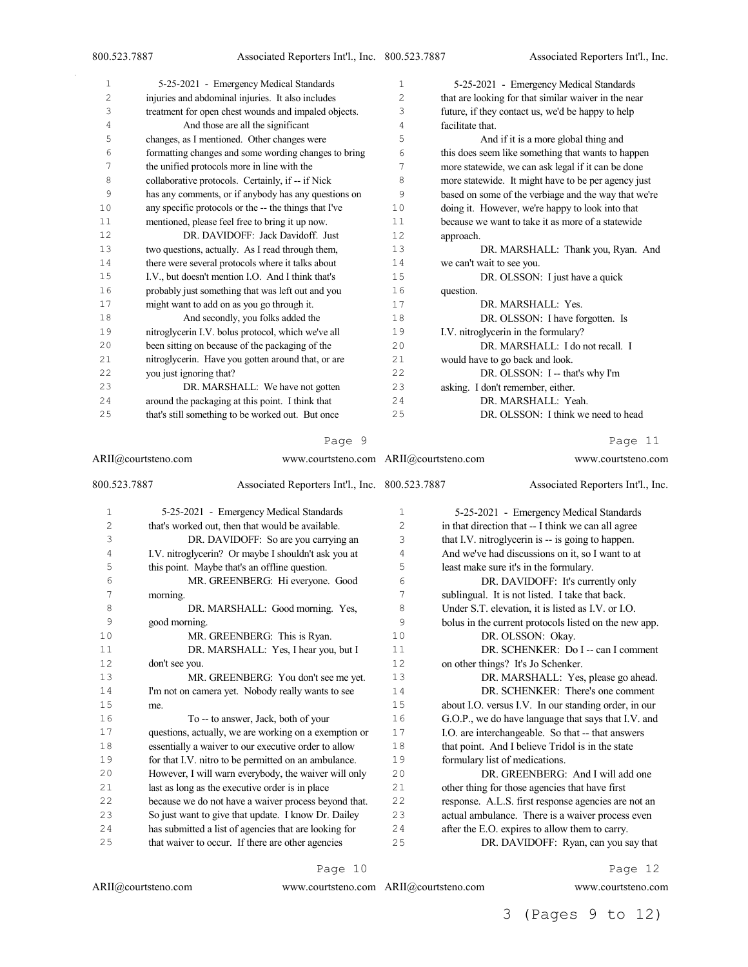| 1              | 5-25-2021 - Emergency Medical Standards               | 1  | 5-25-2021 - Emergency Medical Standards              |
|----------------|-------------------------------------------------------|----|------------------------------------------------------|
| $\overline{c}$ | injuries and abdominal injuries. It also includes     | 2  | that are looking for that similar waiver in the near |
| 3              | treatment for open chest wounds and impaled objects.  | 3  | future, if they contact us, we'd be happy to help    |
| 4              | And those are all the significant                     | 4  | facilitate that.                                     |
| 5              | changes, as I mentioned. Other changes were           | 5  | And if it is a more global thing and                 |
| 6              | formatting changes and some wording changes to bring  | 6  | this does seem like something that wants to happen   |
| 7              | the unified protocols more in line with the           | 7  | more statewide, we can ask legal if it can be done   |
| 8              | collaborative protocols. Certainly, if -- if Nick     | 8  | more statewide. It might have to be per agency just  |
| 9              | has any comments, or if anybody has any questions on  | 9  | based on some of the verbiage and the way that we're |
| 10             | any specific protocols or the -- the things that I've | 10 | doing it. However, we're happy to look into that     |
| 11             | mentioned, please feel free to bring it up now.       | 11 | because we want to take it as more of a statewide    |
| 12             | DR. DAVIDOFF: Jack Davidoff. Just                     | 12 | approach.                                            |
| 13             | two questions, actually. As I read through them,      | 13 | DR. MARSHALL: Thank you, Ryan. And                   |
| 14             | there were several protocols where it talks about     | 14 | we can't wait to see you.                            |
| 15             | I.V., but doesn't mention I.O. And I think that's     | 15 | DR. OLSSON: I just have a quick                      |
| 16             | probably just something that was left out and you     | 16 | question.                                            |
| 17             | might want to add on as you go through it.            | 17 | DR. MARSHALL: Yes.                                   |
| 18             | And secondly, you folks added the                     | 18 | DR. OLSSON: I have forgotten. Is                     |
| 19             | nitroglycerin I.V. bolus protocol, which we've all    | 19 | I.V. nitroglycerin in the formulary?                 |
| 20             | been sitting on because of the packaging of the       | 20 | DR. MARSHALL: I do not recall. I                     |
| 21             | nitroglycerin. Have you gotten around that, or are    | 21 | would have to go back and look.                      |
| 22             | you just ignoring that?                               | 22 | DR. OLSSON: I -- that's why I'm                      |
| 23             | DR. MARSHALL: We have not gotten                      | 23 | asking. I don't remember, either.                    |
| 24             | around the packaging at this point. I think that      | 24 | DR. MARSHALL: Yeah.                                  |
| 25             | that's still something to be worked out. But once     | 25 | DR. OLSSON: I think we need to head                  |
|                |                                                       |    |                                                      |

ARII@courtsteno.com www.courtsteno.com ARII@courtsteno.com www.courtsteno.com 800.523.7887 Associated Reporters Int'l., Inc. 5-25-2021 - Emergency Medical Standards that's worked out, then that would be available. DR. DAVIDOFF: So are you carrying an I.V. nitroglycerin? Or maybe I shouldn't ask you at this point. Maybe that's an offline question. MR. GREENBERG: Hi everyone. Good morning. 8 DR. MARSHALL: Good morning. Yes, good morning. 10 MR. GREENBERG: This is Ryan. DR. MARSHALL: Yes, I hear you, but I don't see you. 13 MR. GREENBERG: You don't see me yet. I'm not on camera yet. Nobody really wants to see me. To -- to answer, Jack, both of your questions, actually, we are working on a exemption or essentially a waiver to our executive order to allow for that I.V. nitro to be permitted on an ambulance. However, I will warn everybody, the waiver will only last as long as the executive order is in place because we do not have a waiver process beyond that. So just want to give that update. I know Dr. Dailey has submitted a list of agencies that are looking for that waiver to occur. If there are other agencies Associated Reporters Int'l., Inc. 5-25-2021 - Emergency Medical Standards in that direction that -- I think we can all agree that I.V. nitroglycerin is -- is going to happen. And we've had discussions on it, so I want to at least make sure it's in the formulary. DR. DAVIDOFF: It's currently only sublingual. It is not listed. I take that back. Under S.T. elevation, it is listed as I.V. or I.O. bolus in the current protocols listed on the new app. DR. OLSSON: Okay. 11 DR. SCHENKER: Do I -- can I comment on other things? It's Jo Schenker. DR. MARSHALL: Yes, please go ahead. 14 DR. SCHENKER: There's one comment<br>15 about LO, versus LV. In our standing order, in our about I.O. versus I.V. In our standing order, in our G.O.P., we do have language that says that I.V. and I.O. are interchangeable. So that -- that answers 18 that point. And I believe Tridol is in the state formulary list of medications. DR. GREENBERG: And I will add one other thing for those agencies that have first response. A.L.S. first response agencies are not an actual ambulance. There is a waiver process even after the E.O. expires to allow them to carry. DR. DAVIDOFF: Ryan, can you say that

Page 10

www.courtsteno.com ARII@courtsteno.com www.courtsteno.com

Page 12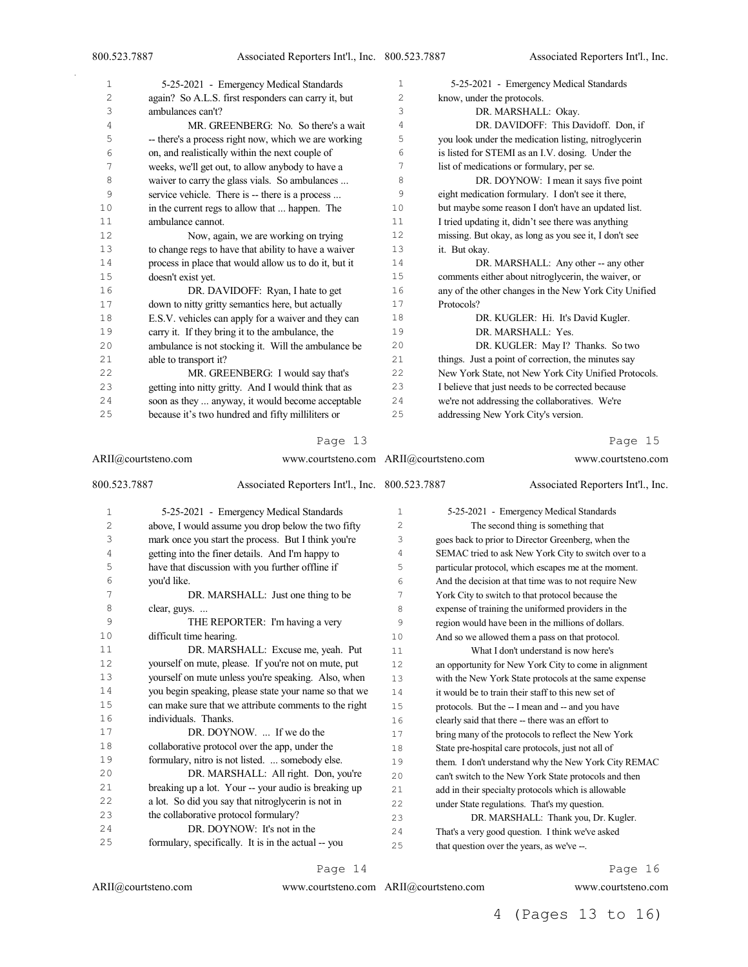| 1  | 5-25-2021 - Emergency Medical Standards               | 1  | 5-25-2021 - Emergency Medical Standards               |
|----|-------------------------------------------------------|----|-------------------------------------------------------|
| 2  | again? So A.L.S. first responders can carry it, but   | 2  | know, under the protocols.                            |
| 3  | ambulances can't?                                     | 3  | DR. MARSHALL: Okay.                                   |
| 4  | MR. GREENBERG: No. So there's a wait                  | 4  | DR. DAVIDOFF: This Davidoff. Don, if                  |
| 5  | -- there's a process right now, which we are working  | 5  | you look under the medication listing, nitroglycerin  |
| 6  | on, and realistically within the next couple of       | 6  | is listed for STEMI as an I.V. dosing. Under the      |
| 7  | weeks, we'll get out, to allow anybody to have a      | 7  | list of medications or formulary, per se.             |
| 8  | waiver to carry the glass vials. So ambulances        | 8  | DR. DOYNOW: I mean it says five point                 |
| 9  | service vehicle. There is -- there is a process       | 9  | eight medication formulary. I don't see it there,     |
| 10 | in the current regs to allow that  happen. The        | 10 | but maybe some reason I don't have an updated list.   |
| 11 | ambulance cannot.                                     | 11 | I tried updating it, didn't see there was anything    |
| 12 | Now, again, we are working on trying                  | 12 | missing. But okay, as long as you see it, I don't see |
| 13 | to change regs to have that ability to have a waiver  | 13 | it. But okay.                                         |
| 14 | process in place that would allow us to do it, but it | 14 | DR. MARSHALL: Any other -- any other                  |
| 15 | doesn't exist yet.                                    | 15 | comments either about nitroglycerin, the waiver, or   |
| 16 | DR. DAVIDOFF: Ryan, I hate to get                     | 16 | any of the other changes in the New York City Unified |
| 17 | down to nitty gritty semantics here, but actually     | 17 | Protocols?                                            |
| 18 | E.S.V. vehicles can apply for a waiver and they can   | 18 | DR. KUGLER: Hi. It's David Kugler.                    |
| 19 | carry it. If they bring it to the ambulance, the      | 19 | DR. MARSHALL: Yes.                                    |
| 20 | ambulance is not stocking it. Will the ambulance be   | 20 | DR. KUGLER: May I? Thanks. So two                     |
| 21 | able to transport it?                                 | 21 | things. Just a point of correction, the minutes say   |
| 22 | MR. GREENBERG: I would say that's                     | 22 | New York State, not New York City Unified Protocols.  |
| 23 | getting into nitty gritty. And I would think that as  | 23 | I believe that just needs to be corrected because     |
| 24 | soon as they  anyway, it would become acceptable      | 24 | we're not addressing the collaboratives. We're        |
| 25 | because it's two hundred and fifty milliliters or     | 25 | addressing New York City's version.                   |
|    |                                                       |    |                                                       |

|              | ARII@courtsteno.com                                   | www.courtsteno.com ARII@courtsteno.com |  | www.courtsteno.com                                    |  |
|--------------|-------------------------------------------------------|----------------------------------------|--|-------------------------------------------------------|--|
| 800.523.7887 | Associated Reporters Int'l., Inc. 800.523.7887        |                                        |  | Associated Reporters Int'l., Inc.                     |  |
| $\mathbf{1}$ | 5-25-2021 - Emergency Medical Standards               | 1                                      |  | 5-25-2021 - Emergency Medical Standards               |  |
| 2            | above, I would assume you drop below the two fifty    | 2                                      |  | The second thing is something that                    |  |
| 3            | mark once you start the process. But I think you're   | 3                                      |  | goes back to prior to Director Greenberg, when the    |  |
| 4            | getting into the finer details. And I'm happy to      | 4                                      |  | SEMAC tried to ask New York City to switch over to a  |  |
| 5            | have that discussion with you further offline if      | 5                                      |  | particular protocol, which escapes me at the moment.  |  |
| 6            | you'd like.                                           | 6                                      |  | And the decision at that time was to not require New  |  |
| 7            | DR. MARSHALL: Just one thing to be                    | 7                                      |  | York City to switch to that protocol because the      |  |
| 8            | clear, guys.                                          | 8                                      |  | expense of training the uniformed providers in the    |  |
| 9            | THE REPORTER: I'm having a very                       | 9                                      |  | region would have been in the millions of dollars.    |  |
| 10           | difficult time hearing.                               | 10                                     |  | And so we allowed them a pass on that protocol.       |  |
| 11           | DR. MARSHALL: Excuse me, yeah. Put                    | 11                                     |  | What I don't understand is now here's                 |  |
| 12           | yourself on mute, please. If you're not on mute, put  | 12                                     |  | an opportunity for New York City to come in alignment |  |
| 13           | yourself on mute unless you're speaking. Also, when   | 13                                     |  | with the New York State protocols at the same expense |  |
| 14           | you begin speaking, please state your name so that we | 14                                     |  | it would be to train their staff to this new set of   |  |
| 15           | can make sure that we attribute comments to the right | 15                                     |  | protocols. But the -- I mean and -- and you have      |  |
| 16           | individuals. Thanks.                                  | 16                                     |  | clearly said that there -- there was an effort to     |  |
| 17           | DR. DOYNOW.  If we do the                             | 17                                     |  | bring many of the protocols to reflect the New York   |  |
| 18           | collaborative protocol over the app, under the        | 18                                     |  | State pre-hospital care protocols, just not all of    |  |
| 19           | formulary, nitro is not listed.  somebody else.       | 19                                     |  | them. I don't understand why the New York City REMAC  |  |
| 20           | DR. MARSHALL: All right. Don, you're                  | 20                                     |  | can't switch to the New York State protocols and then |  |
| 21           | breaking up a lot. Your -- your audio is breaking up  | 21                                     |  | add in their specialty protocols which is allowable   |  |
| 22           | a lot. So did you say that nitroglycerin is not in    | 22                                     |  | under State regulations. That's my question.          |  |
| 23           | the collaborative protocol formulary?                 | 23                                     |  | DR. MARSHALL: Thank you, Dr. Kugler.                  |  |
| 24           | DR. DOYNOW: It's not in the                           | 2.4                                    |  | That's a very good question. I think we've asked      |  |
| 25           | formulary, specifically. It is in the actual -- you   | 25                                     |  | that question over the years, as we've --.            |  |
|              |                                                       |                                        |  |                                                       |  |

#### Page 14

ARII@courtsteno.com

ARII@courtsteno.com www.courtsteno.com

#### Page 16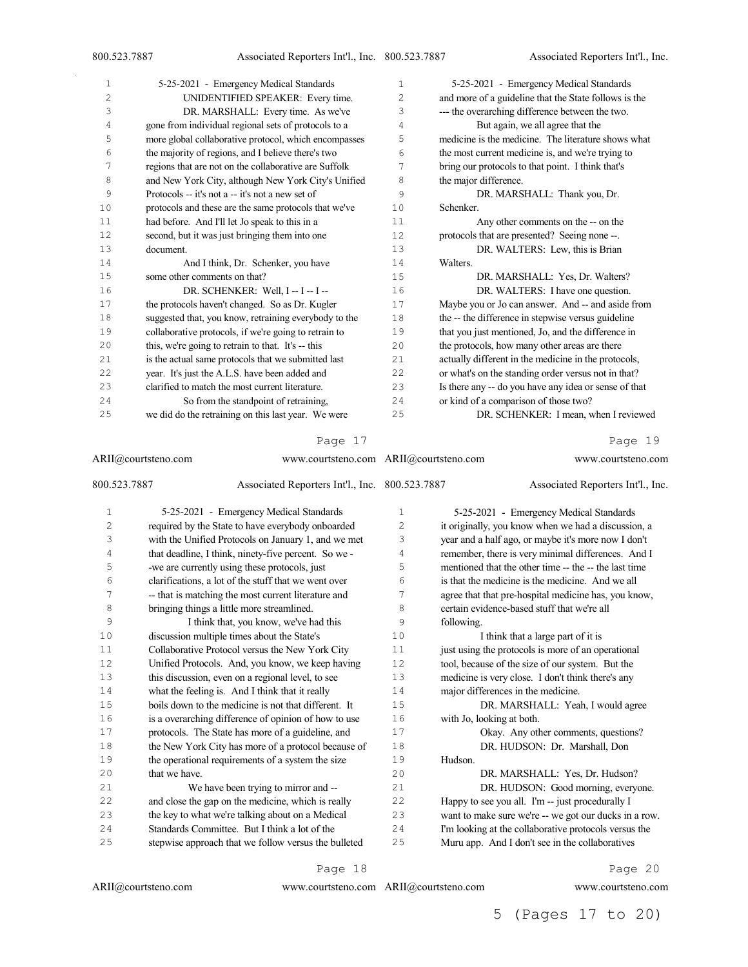| 1              | 5-25-2021 - Emergency Medical Standards               | $\mathbf{1}$ | 5-25-2021 - Emergency Medical Standards               |
|----------------|-------------------------------------------------------|--------------|-------------------------------------------------------|
| $\overline{c}$ | UNIDENTIFIED SPEAKER: Every time.                     | 2            | and more of a guideline that the State follows is the |
| 3              | DR. MARSHALL: Every time. As we've                    | 3            | --- the overarching difference between the two.       |
| 4              | gone from individual regional sets of protocols to a  | 4            | But again, we all agree that the                      |
| 5              | more global collaborative protocol, which encompasses | 5            | medicine is the medicine. The literature shows what   |
| 6              | the majority of regions, and I believe there's two    | 6            | the most current medicine is, and we're trying to     |
| 7              | regions that are not on the collaborative are Suffolk | 7            | bring our protocols to that point. I think that's     |
| 8              | and New York City, although New York City's Unified   | 8            | the major difference.                                 |
| 9              | Protocols -- it's not a -- it's not a new set of      | 9            | DR. MARSHALL: Thank you, Dr.                          |
| 10             | protocols and these are the same protocols that we've | 10           | Schenker.                                             |
| 11             | had before. And I'll let Jo speak to this in a        | 11           | Any other comments on the -- on the                   |
| 12             | second, but it was just bringing them into one        | 12           | protocols that are presented? Seeing none --.         |
| 13             | document.                                             | 13           | DR. WALTERS: Lew, this is Brian                       |
| 14             | And I think, Dr. Schenker, you have                   | 14           | Walters.                                              |
| 15             | some other comments on that?                          | 15           | DR. MARSHALL: Yes, Dr. Walters?                       |
| 16             | DR. SCHENKER: Well, I -- I -- I --                    | 16           | DR. WALTERS: I have one question.                     |
| 17             | the protocols haven't changed. So as Dr. Kugler       | 17           | Maybe you or Jo can answer. And -- and aside from     |
| 18             | suggested that, you know, retraining everybody to the | 18           | the -- the difference in stepwise versus guideline    |
| 19             | collaborative protocols, if we're going to retrain to | 19           | that you just mentioned, Jo, and the difference in    |
| 20             | this, we're going to retrain to that. It's -- this    | 20           | the protocols, how many other areas are there         |
| 21             | is the actual same protocols that we submitted last   | 2.1          | actually different in the medicine in the protocols,  |
| 22             | year. It's just the A.L.S. have been added and        | 22           | or what's on the standing order versus not in that?   |
| 23             | clarified to match the most current literature.       | 23           | Is there any -- do you have any idea or sense of that |
| 24             | So from the standpoint of retraining,                 | 24           | or kind of a comparison of those two?                 |
| 25             | we did do the retraining on this last year. We were   | 25           | DR. SCHENKER: I mean, when I reviewed                 |
|                |                                                       |              |                                                       |

ARII@courtsteno.com www.courtsteno.com ARII@courtsteno.com www.courtsteno.com 800.523.7887 Associated Reporters Int'l., Inc. 5-25-2021 - Emergency Medical Standards required by the State to have everybody onboarded with the Unified Protocols on January 1, and we met that deadline, I think, ninety-five percent. So we - -we are currently using these protocols, just clarifications, a lot of the stuff that we went over -- that is matching the most current literature and bringing things a little more streamlined. I think that, you know, we've had this discussion multiple times about the State's Collaborative Protocol versus the New York City Unified Protocols. And, you know, we keep having this discussion, even on a regional level, to see what the feeling is. And I think that it really boils down to the medicine is not that different. It is a overarching difference of opinion of how to use protocols. The State has more of a guideline, and the New York City has more of a protocol because of the operational requirements of a system the size that we have. We have been trying to mirror and -- and close the gap on the medicine, which is really the key to what we're talking about on a Medical Standards Committee. But I think a lot of the stepwise approach that we follow versus the bulleted Associated Reporters Int'l., Inc. 5-25-2021 - Emergency Medical Standards it originally, you know when we had a discussion, a year and a half ago, or maybe it's more now I don't remember, there is very minimal differences. And I mentioned that the other time -- the -- the last time is that the medicine is the medicine. And we all agree that that pre-hospital medicine has, you know, certain evidence-based stuff that we're all following. 10 I think that a large part of it is 11 just using the protocols is more of an operational tool, because of the size of our system. But the medicine is very close. I don't think there's any 14 major differences in the medicine.<br>15 DR. MARSHALL: Yea DR. MARSHALL: Yeah, I would agree with Jo, looking at both. Okay. Any other comments, questions? DR. HUDSON: Dr. Marshall, Don Hudson. DR. MARSHALL: Yes, Dr. Hudson? DR. HUDSON: Good morning, everyone. Happy to see you all. I'm -- just procedurally I want to make sure we're -- we got our ducks in a row. I'm looking at the collaborative protocols versus the Muru app. And I don't see in the collaboratives

Page 18

ARII@courtsteno.com

www.courtsteno.com ARII@courtsteno.com www.courtsteno.com

Page 20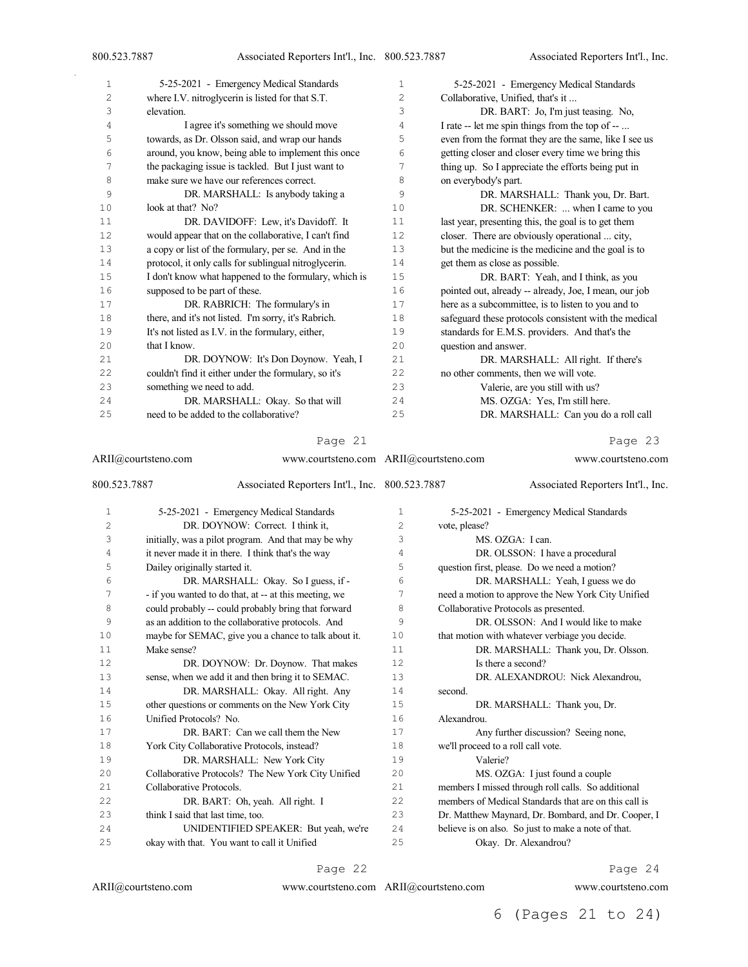| 1              | 5-25-2021 - Emergency Medical Standards               | 1  | 5-25-2021 - Emergency Medical Standards               |
|----------------|-------------------------------------------------------|----|-------------------------------------------------------|
| $\overline{c}$ | where I.V. nitroglycerin is listed for that S.T.      | 2  | Collaborative, Unified, that's it                     |
| 3              | elevation.                                            | 3  | DR. BART: Jo, I'm just teasing. No,                   |
| 4              | I agree it's something we should move                 | 4  | I rate -- let me spin things from the top of --       |
| 5              | towards, as Dr. Olsson said, and wrap our hands       | 5  | even from the format they are the same, like I see us |
| 6              | around, you know, being able to implement this once   | 6  | getting closer and closer every time we bring this    |
| 7              | the packaging issue is tackled. But I just want to    | 7  | thing up. So I appreciate the efforts being put in    |
| 8              | make sure we have our references correct.             | 8  | on everybody's part.                                  |
| 9              | DR. MARSHALL: Is anybody taking a                     | 9  | DR. MARSHALL: Thank you, Dr. Bart.                    |
| 10             | look at that? No?                                     | 10 | DR. SCHENKER:  when I came to you                     |
| 11             | DR. DAVIDOFF: Lew, it's Davidoff. It                  | 11 | last year, presenting this, the goal is to get them   |
| 12             | would appear that on the collaborative, I can't find  | 12 | closer. There are obviously operational  city,        |
| 13             | a copy or list of the formulary, per se. And in the   | 13 | but the medicine is the medicine and the goal is to   |
| 14             | protocol, it only calls for sublingual nitroglycerin. | 14 | get them as close as possible.                        |
| 15             | I don't know what happened to the formulary, which is | 15 | DR. BART: Yeah, and I think, as you                   |
| 16             | supposed to be part of these.                         | 16 | pointed out, already -- already, Joe, I mean, our job |
| 17             | DR. RABRICH: The formulary's in                       | 17 | here as a subcommittee, is to listen to you and to    |
| 18             | there, and it's not listed. I'm sorry, it's Rabrich.  | 18 | safeguard these protocols consistent with the medical |
| 19             | It's not listed as I.V. in the formulary, either,     | 19 | standards for E.M.S. providers. And that's the        |
| 20             | that I know.                                          | 20 | question and answer.                                  |
| 21             | DR. DOYNOW: It's Don Doynow. Yeah, I                  | 21 | DR. MARSHALL: All right. If there's                   |
| 22             | couldn't find it either under the formulary, so it's  | 22 | no other comments, then we will vote.                 |
| 23             | something we need to add.                             | 23 | Valerie, are you still with us?                       |
| 24             | DR. MARSHALL: Okay. So that will                      | 24 | MS. OZGA: Yes, I'm still here.                        |
| 25             | need to be added to the collaborative?                | 25 | DR. MARSHALL: Can you do a roll call                  |
|                |                                                       |    |                                                       |

ARII@courtsteno.com 800.523.7887 Associated Reporters Int'l., Inc. 5-25-2021 - Emergency Medical Standards DR. DOYNOW: Correct. I think it, initially, was a pilot program. And that may be why it never made it in there. I think that's the way Dailey originally started it. DR. MARSHALL: Okay. So I guess, if - - if you wanted to do that, at -- at this meeting, we could probably -- could probably bring that forward as an addition to the collaborative protocols. And maybe for SEMAC, give you a chance to talk about it. Make sense? DR. DOYNOW: Dr. Doynow. That makes sense, when we add it and then bring it to SEMAC. DR. MARSHALL: Okay. All right. Any other questions or comments on the New York City Unified Protocols? No. DR. BART: Can we call them the New York City Collaborative Protocols, instead? DR. MARSHALL: New York City Collaborative Protocols? The New York City Unified Collaborative Protocols. DR. BART: Oh, yeah. All right. I think I said that last time, too. UNIDENTIFIED SPEAKER: But yeah, we're okay with that. You want to call it Unified www.courtsteno.com ARII@courtsteno.com www.courtsteno.com Associated Reporters Int'l., Inc. 5-25-2021 - Emergency Medical Standards vote, please? MS. OZGA: I can. DR. OLSSON: I have a procedural question first, please. Do we need a motion? DR. MARSHALL: Yeah, I guess we do need a motion to approve the New York City Unified Collaborative Protocols as presented. DR. OLSSON: And I would like to make 10 that motion with whatever verbiage you decide. 11 DR. MARSHALL: Thank you, Dr. Olsson. 12 Is there a second? DR. ALEXANDROU: Nick Alexandrou, second. DR. MARSHALL: Thank you, Dr. Alexandrou. Any further discussion? Seeing none, we'll proceed to a roll call vote. Valerie? MS. OZGA: I just found a couple members I missed through roll calls. So additional members of Medical Standards that are on this call is Dr. Matthew Maynard, Dr. Bombard, and Dr. Cooper, I believe is on also. So just to make a note of that. Okay. Dr. Alexandrou?

#### Page 22

#### ARII@courtsteno.com

## Page 24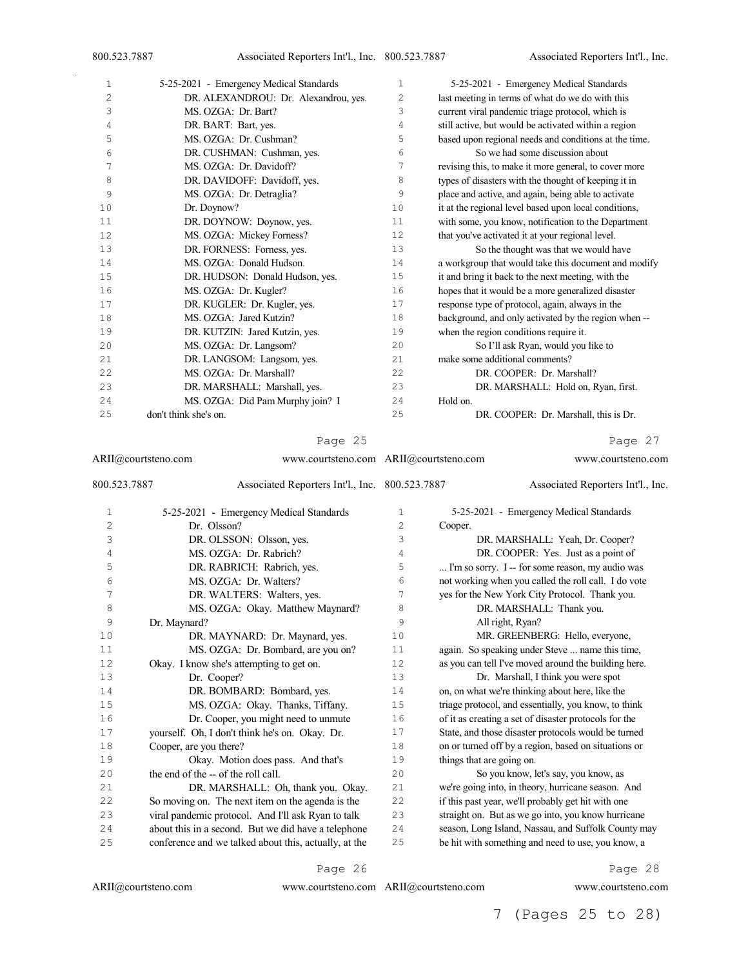| 1              | 5-25-2021 - Emergency Medical Standards | 1  | 5-25-2021 - Emergency Medical Standards               |
|----------------|-----------------------------------------|----|-------------------------------------------------------|
| $\overline{2}$ | DR. ALEXANDROU: Dr. Alexandrou, yes.    | 2  | last meeting in terms of what do we do with this      |
| 3              | MS. OZGA: Dr. Bart?                     | 3  | current viral pandemic triage protocol, which is      |
| 4              | DR. BART: Bart, yes.                    | 4  | still active, but would be activated within a region  |
| 5              | MS. OZGA: Dr. Cushman?                  | 5  | based upon regional needs and conditions at the time. |
| 6              | DR. CUSHMAN: Cushman, yes.              | 6  | So we had some discussion about                       |
| 7              | MS. OZGA: Dr. Davidoff?                 | 7  | revising this, to make it more general, to cover more |
| 8              | DR. DAVIDOFF: Davidoff, yes.            | 8  | types of disasters with the thought of keeping it in  |
| 9              | MS. OZGA: Dr. Detraglia?                | 9  | place and active, and again, being able to activate   |
| 10             | Dr. Doynow?                             | 10 | it at the regional level based upon local conditions, |
| 11             | DR. DOYNOW: Doynow, yes.                | 11 | with some, you know, notification to the Department   |
| 12             | MS. OZGA: Mickey Forness?               | 12 | that you've activated it at your regional level.      |
| 13             | DR. FORNESS: Forness, yes.              | 13 | So the thought was that we would have                 |
| 14             | MS. OZGA: Donald Hudson.                | 14 | a workgroup that would take this document and modify  |
| 15             | DR. HUDSON: Donald Hudson, yes.         | 15 | it and bring it back to the next meeting, with the    |
| 16             | MS. OZGA: Dr. Kugler?                   | 16 | hopes that it would be a more generalized disaster    |
| 17             | DR. KUGLER: Dr. Kugler, yes.            | 17 | response type of protocol, again, always in the       |
| 18             | MS. OZGA: Jared Kutzin?                 | 18 | background, and only activated by the region when --  |
| 19             | DR. KUTZIN: Jared Kutzin, yes.          | 19 | when the region conditions require it.                |
| 20             | MS. OZGA: Dr. Langsom?                  | 20 | So I'll ask Ryan, would you like to                   |
| 21             | DR. LANGSOM: Langsom, yes.              | 21 | make some additional comments?                        |
| 22             | MS. OZGA: Dr. Marshall?                 | 22 | DR. COOPER: Dr. Marshall?                             |
| 23             | DR. MARSHALL: Marshall, yes.            | 23 | DR. MARSHALL: Hold on, Ryan, first.                   |
| 24             | MS. OZGA: Did Pam Murphy join? I        | 24 | Hold on.                                              |
| 25             | don't think she's on.                   | 25 | DR. COOPER: Dr. Marshall, this is Dr.                 |

ARII@courtsteno.com www.courtsteno.com ARII@courtsteno.com www.courtsteno.com 800.523.7887 Associated Reporters Int'l., Inc. 5-25-2021 - Emergency Medical Standards Dr. Olsson? DR. OLSSON: Olsson, yes. MS. OZGA: Dr. Rabrich? DR. RABRICH: Rabrich, yes. MS. OZGA: Dr. Walters? DR. WALTERS: Walters, yes. 8 MS. OZGA: Okay. Matthew Maynard? Dr. Maynard? DR. MAYNARD: Dr. Maynard, yes. 11 MS. OZGA: Dr. Bombard, are you on? Okay. I know she's attempting to get on. Dr. Cooper? DR. BOMBARD: Bombard, yes. MS. OZGA: Okay. Thanks, Tiffany. Dr. Cooper, you might need to unmute yourself. Oh, I don't think he's on. Okay. Dr. Cooper, are you there? Okay. Motion does pass. And that's 20 the end of the -- of the roll call. DR. MARSHALL: Oh, thank you. Okay. So moving on. The next item on the agenda is the viral pandemic protocol. And I'll ask Ryan to talk about this in a second. But we did have a telephone conference and we talked about this, actually, at the Associated Reporters Int'l., Inc. 5-25-2021 - Emergency Medical Standards Cooper. DR. MARSHALL: Yeah, Dr. Cooper? DR. COOPER: Yes. Just as a point of ... I'm so sorry. I -- for some reason, my audio was not working when you called the roll call. I do vote yes for the New York City Protocol. Thank you. 8 DR. MARSHALL: Thank you. All right, Ryan? MR. GREENBERG: Hello, everyone, again. So speaking under Steve ... name this time, as you can tell I've moved around the building here. Dr. Marshall, I think you were spot on, on what we're thinking about here, like the triage protocol, and essentially, you know, to think of it as creating a set of disaster protocols for the State, and those disaster protocols would be turned on or turned off by a region, based on situations or things that are going on. So you know, let's say, you know, as we're going into, in theory, hurricane season. And if this past year, we'll probably get hit with one straight on. But as we go into, you know hurricane season, Long Island, Nassau, and Suffolk County may be hit with something and need to use, you know, a

Page 26

Page 28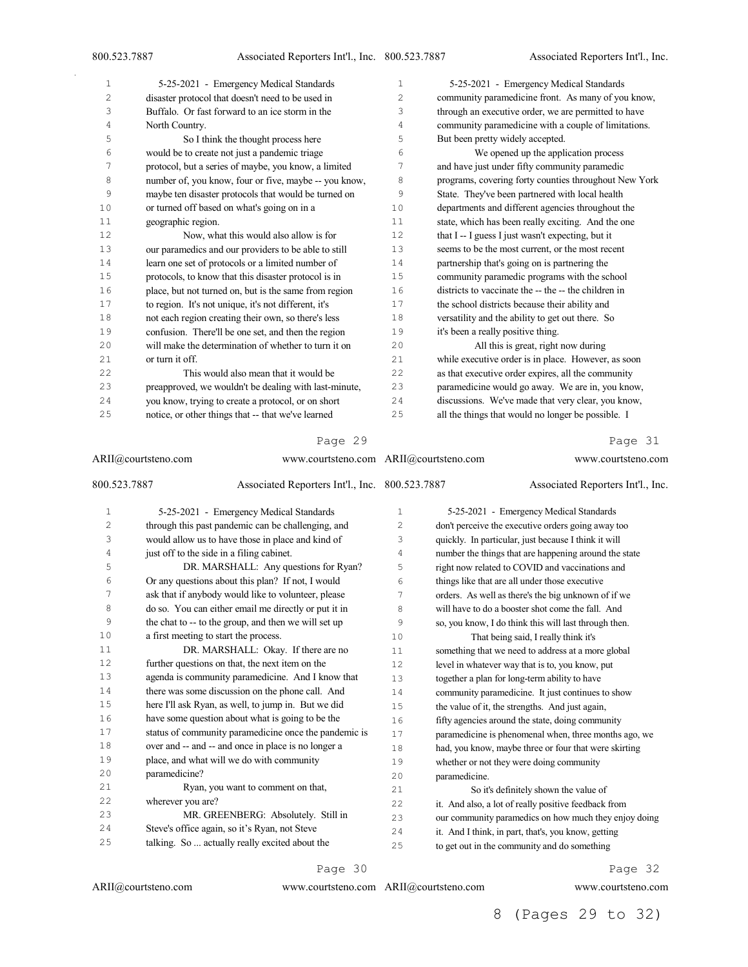| 1  | 5-25-2021 - Emergency Medical Standards               | $\mathbf{1}$   | 5-25-2021 - Emergency Medical Standards               |
|----|-------------------------------------------------------|----------------|-------------------------------------------------------|
| 2  | disaster protocol that doesn't need to be used in     | $\overline{c}$ | community paramedicine front. As many of you know,    |
| 3  | Buffalo. Or fast forward to an ice storm in the       | 3              | through an executive order, we are permitted to have  |
| 4  | North Country.                                        | 4              | community paramedicine with a couple of limitations.  |
| 5  | So I think the thought process here                   | 5              | But been pretty widely accepted.                      |
| 6  | would be to create not just a pandemic triage         | 6              | We opened up the application process                  |
| 7  | protocol, but a series of maybe, you know, a limited  | 7              | and have just under fifty community paramedic         |
| 8  | number of, you know, four or five, maybe -- you know, | 8              | programs, covering forty counties throughout New York |
| 9  | maybe ten disaster protocols that would be turned on  | 9              | State. They've been partnered with local health       |
| 10 | or turned off based on what's going on in a           | 10             | departments and different agencies throughout the     |
| 11 | geographic region.                                    | 11             | state, which has been really exciting. And the one    |
| 12 | Now, what this would also allow is for                | 12             | that I -- I guess I just wasn't expecting, but it     |
| 13 | our paramedics and our providers to be able to still  | 13             | seems to be the most current, or the most recent      |
| 14 | learn one set of protocols or a limited number of     | 14             | partnership that's going on is partnering the         |
| 15 | protocols, to know that this disaster protocol is in  | 15             | community paramedic programs with the school          |
| 16 | place, but not turned on, but is the same from region | 16             | districts to vaccinate the -- the -- the children in  |
| 17 | to region. It's not unique, it's not different, it's  | 17             | the school districts because their ability and        |
| 18 | not each region creating their own, so there's less   | 18             | versatility and the ability to get out there. So      |
| 19 | confusion. There'll be one set, and then the region   | 19             | it's been a really positive thing.                    |
| 20 | will make the determination of whether to turn it on  | 20             | All this is great, right now during                   |
| 21 | or turn it off.                                       | 21             | while executive order is in place. However, as soon   |
| 22 | This would also mean that it would be                 | 22             | as that executive order expires, all the community    |
| 23 | preapproved, we wouldn't be dealing with last-minute, | 23             | paramedicine would go away. We are in, you know,      |
| 24 | you know, trying to create a protocol, or on short    | 24             | discussions. We've made that very clear, you know,    |
| 25 | notice, or other things that -- that we've learned    | 25             | all the things that would no longer be possible. I    |

|              | ARII@courtsteno.com                                   | www.courtsteno.com ARII@courtsteno.com |               | www.courtsteno.com                                    |
|--------------|-------------------------------------------------------|----------------------------------------|---------------|-------------------------------------------------------|
| 800.523.7887 | Associated Reporters Int'l., Inc. 800.523.7887        |                                        |               | Associated Reporters Int'l., Inc.                     |
| $\mathbf{1}$ | 5-25-2021 - Emergency Medical Standards               | $\mathbf{1}$                           |               | 5-25-2021 - Emergency Medical Standards               |
| 2            | through this past pandemic can be challenging, and    | 2                                      |               | don't perceive the executive orders going away too    |
| 3            | would allow us to have those in place and kind of     | 3                                      |               | quickly. In particular, just because I think it will  |
| 4            | just off to the side in a filing cabinet.             | 4                                      |               | number the things that are happening around the state |
| 5            | DR. MARSHALL: Any questions for Ryan?                 | 5                                      |               | right now related to COVID and vaccinations and       |
| 6            | Or any questions about this plan? If not, I would     | 6                                      |               | things like that are all under those executive        |
| 7            | ask that if anybody would like to volunteer, please   | 7                                      |               | orders. As well as there's the big unknown of if we   |
| 8            | do so. You can either email me directly or put it in  | 8                                      |               | will have to do a booster shot come the fall. And     |
| 9            | the chat to -- to the group, and then we will set up  | 9                                      |               | so, you know, I do think this will last through then. |
| 10           | a first meeting to start the process.                 | 10                                     |               | That being said, I really think it's                  |
| 11           | DR. MARSHALL: Okay. If there are no                   | 11                                     |               | something that we need to address at a more global    |
| 12           | further questions on that, the next item on the       | 12                                     |               | level in whatever way that is to, you know, put       |
| 13           | agenda is community paramedicine. And I know that     | 13                                     |               | together a plan for long-term ability to have         |
| 14           | there was some discussion on the phone call. And      | 14                                     |               | community paramedicine. It just continues to show     |
| 15           | here I'll ask Ryan, as well, to jump in. But we did   | 15                                     |               | the value of it, the strengths. And just again,       |
| 16           | have some question about what is going to be the      | 16                                     |               | fifty agencies around the state, doing community      |
| 17           | status of community paramedicine once the pandemic is | 17                                     |               | paramedicine is phenomenal when, three months ago, we |
| 18           | over and -- and -- and once in place is no longer a   | 18                                     |               | had, you know, maybe three or four that were skirting |
| 19           | place, and what will we do with community             | 19                                     |               | whether or not they were doing community              |
| 20           | paramedicine?                                         | 20                                     | paramedicine. |                                                       |
| 21           | Ryan, you want to comment on that,                    | 21                                     |               | So it's definitely shown the value of                 |
| 22           | wherever you are?                                     | 22                                     |               | it. And also, a lot of really positive feedback from  |
| 23           | MR. GREENBERG: Absolutely. Still in                   | 23                                     |               | our community paramedics on how much they enjoy doing |
| 24           | Steve's office again, so it's Ryan, not Steve         | 24                                     |               | it. And I think, in part, that's, you know, getting   |
| 25           | talking. So  actually really excited about the        | 25                                     |               | to get out in the community and do something          |

Page 30

ARII@courtsteno.com www.courtsteno.com

Page 32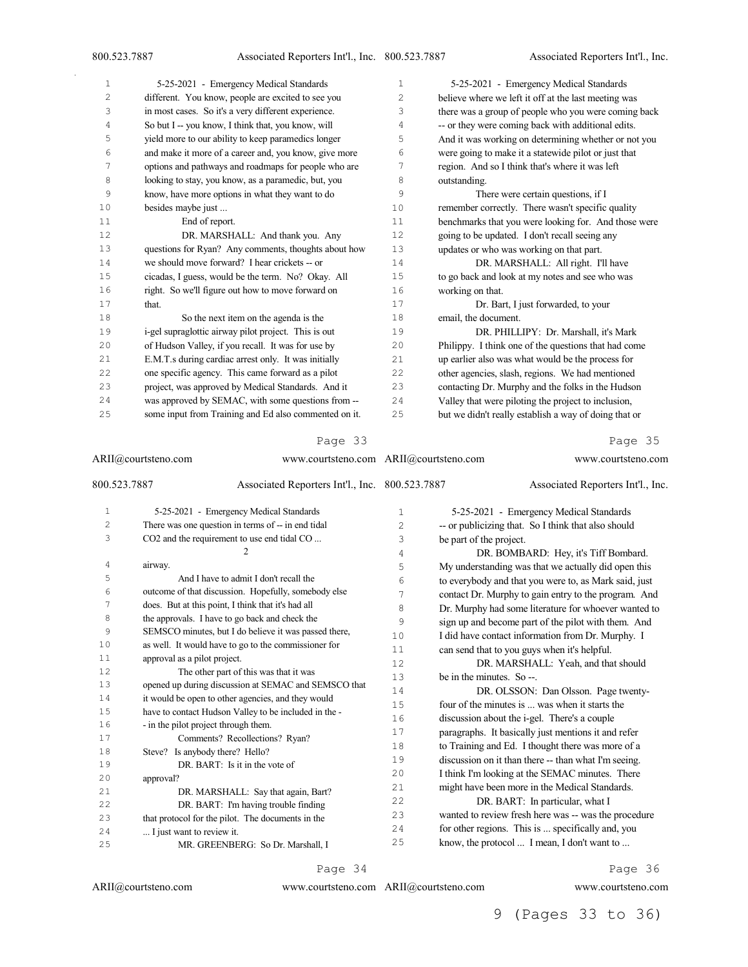Associated Reporters Int'l., Inc.

| $\mathbf{1}$ | 5-25-2021 - Emergency Medical Standards               | 1              | 5-25-2021 - Emergency Medical Standards               |
|--------------|-------------------------------------------------------|----------------|-------------------------------------------------------|
| 2            | different. You know, people are excited to see you    | $\overline{c}$ | believe where we left it off at the last meeting was  |
| 3            | in most cases. So it's a very different experience.   | 3              | there was a group of people who you were coming back  |
| 4            | So but I -- you know, I think that, you know, will    | 4              | -- or they were coming back with additional edits.    |
| 5            | yield more to our ability to keep paramedics longer   | 5              | And it was working on determining whether or not you  |
| 6            | and make it more of a career and, you know, give more | 6              | were going to make it a statewide pilot or just that  |
| 7            | options and pathways and roadmaps for people who are  | 7              | region. And so I think that's where it was left       |
| 8            | looking to stay, you know, as a paramedic, but, you   | 8              | outstanding.                                          |
| 9            | know, have more options in what they want to do       | 9              | There were certain questions, if I                    |
| 10           | besides maybe just                                    | 10             | remember correctly. There wasn't specific quality     |
| 11           | End of report.                                        | 11             | benchmarks that you were looking for. And those were  |
| 12           | DR. MARSHALL: And thank you. Any                      | 12             | going to be updated. I don't recall seeing any        |
| 13           | questions for Ryan? Any comments, thoughts about how  | 13             | updates or who was working on that part.              |
| 14           | we should move forward? I hear crickets -- or         | 14             | DR. MARSHALL: All right. I'll have                    |
| 15           | cicadas, I guess, would be the term. No? Okay. All    | 15             | to go back and look at my notes and see who was       |
| 16           | right. So we'll figure out how to move forward on     | 16             | working on that.                                      |
| 17           | that.                                                 | 17             | Dr. Bart, I just forwarded, to your                   |
| 18           | So the next item on the agenda is the                 | 18             | email, the document.                                  |
| 19           | i-gel supraglottic airway pilot project. This is out  | 19             | DR. PHILLIPY: Dr. Marshall, it's Mark                 |
| 20           | of Hudson Valley, if you recall. It was for use by    | 20             | Philippy. I think one of the questions that had come  |
| 21           | E.M.T.s during cardiac arrest only. It was initially  | 21             | up earlier also was what would be the process for     |
| 22           | one specific agency. This came forward as a pilot     | 22             | other agencies, slash, regions. We had mentioned      |
| 23           | project, was approved by Medical Standards. And it    | 23             | contacting Dr. Murphy and the folks in the Hudson     |
| 24           | was approved by SEMAC, with some questions from --    | 24             | Valley that were piloting the project to inclusion,   |
| 25           | some input from Training and Ed also commented on it. | 25             | but we didn't really establish a way of doing that or |

#### Page 33

ARII@courtsteno.com www.courtsteno.com ARII@courtsteno.com www.courtsteno.com 800.523.7887 Associated Reporters Int'l., Inc. 5-25-2021 - Emergency Medical Standards 2 There was one question in terms of -- in end tidal CO2 and the requirement to use end tidal CO ... airway. And I have to admit I don't recall the outcome of that discussion. Hopefully, somebody else does. But at this point, I think that it's had all 8 the approvals. I have to go back and check the SEMSCO minutes, but I do believe it was passed there, as well. It would have to go to the commissioner for approval as a pilot project. The other part of this was that it was opened up during discussion at SEMAC and SEMSCO that it would be open to other agencies, and they would have to contact Hudson Valley to be included in the - - in the pilot project through them. Comments? Recollections? Ryan? Steve? Is anybody there? Hello? DR. BART: Is it in the vote of approval? 21 DR. MARSHALL: Say that again, Bart? DR. BART: I'm having trouble finding that protocol for the pilot. The documents in the ... I just want to review it. MR. GREENBERG: So Dr. Marshall, I Associated Reporters Int'l., Inc. 5-25-2021 - Emergency Medical Standards -- or publicizing that. So I think that also should be part of the project. DR. BOMBARD: Hey, it's Tiff Bombard. My understanding was that we actually did open this to everybody and that you were to, as Mark said, just contact Dr. Murphy to gain entry to the program. And Dr. Murphy had some literature for whoever wanted to sign up and become part of the pilot with them. And I did have contact information from Dr. Murphy. I can send that to you guys when it's helpful. DR. MARSHALL: Yeah, and that should be in the minutes. So --. 14 DR. OLSSON: Dan Olsson. Page twenty-<br>15 four of the minutes is was when it starts the four of the minutes is ... was when it starts the discussion about the i-gel. There's a couple paragraphs. It basically just mentions it and refer to Training and Ed. I thought there was more of a discussion on it than there -- than what I'm seeing. I think I'm looking at the SEMAC minutes. There might have been more in the Medical Standards. DR. BART: In particular, what I wanted to review fresh here was -- was the procedure for other regions. This is ... specifically and, you know, the protocol ... I mean, I don't want to ...

ARII@courtsteno.com

www.courtsteno.com ARII@courtsteno.com www.courtsteno.com

Page 34

Page 36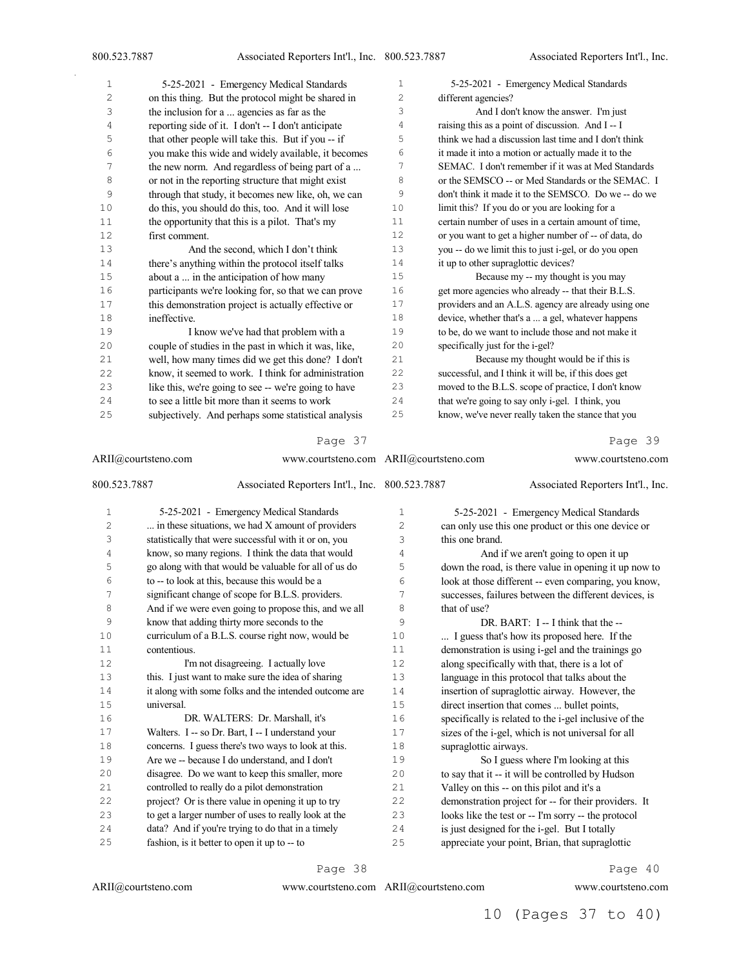| 1      | 5-25-2021 - Emergency Medical Standards              | 1              | 5-25-2021 - Emergency Medical Standards               |
|--------|------------------------------------------------------|----------------|-------------------------------------------------------|
| 2      | on this thing. But the protocol might be shared in   | $\overline{c}$ | different agencies?                                   |
| 3      | the inclusion for a  agencies as far as the          | 3              | And I don't know the answer. I'm just                 |
| 4      | reporting side of it. I don't -- I don't anticipate  | $\overline{4}$ | raising this as a point of discussion. And I-I        |
| 5      | that other people will take this. But if you -- if   | 5              | think we had a discussion last time and I don't think |
| 6      | you make this wide and widely available, it becomes  | 6              | it made it into a motion or actually made it to the   |
| 7      | the new norm. And regardless of being part of a      | 7              | SEMAC. I don't remember if it was at Med Standards    |
| 8      | or not in the reporting structure that might exist   | 8              | or the SEMSCO -- or Med Standards or the SEMAC. I     |
| 9      | through that study, it becomes new like, oh, we can  | 9              | don't think it made it to the SEMSCO. Do we -- do we  |
| 10     | do this, you should do this, too. And it will lose   | 10             | limit this? If you do or you are looking for a        |
| 11     | the opportunity that this is a pilot. That's my      | 11             | certain number of uses in a certain amount of time,   |
| 12     | first comment.                                       | 12             | or you want to get a higher number of -- of data, do  |
| 13     | And the second, which I don't think                  | 13             | you -- do we limit this to just i-gel, or do you open |
| $1\,4$ | there's anything within the protocol itself talks    | 14             | it up to other supraglottic devices?                  |
| $15$   | about a  in the anticipation of how many             | 15             | Because my -- my thought is you may                   |
| 16     | participants we're looking for, so that we can prove | 16             | get more agencies who already -- that their B.L.S.    |
| $17\,$ | this demonstration project is actually effective or  | 17             | providers and an A.L.S. agency are already using one  |
| 18     | ineffective.                                         | 18             | device, whether that's a  a gel, whatever happens     |
| 19     | I know we've had that problem with a                 | 19             | to be, do we want to include those and not make it    |
| 20     | couple of studies in the past in which it was, like, | 20             | specifically just for the i-gel?                      |
| 21     | well, how many times did we get this done? I don't   | 21             | Because my thought would be if this is                |
| 22     | know, it seemed to work. I think for administration  | 22             | successful, and I think it will be, if this does get  |
| 23     | like this, we're going to see -- we're going to have | 23             | moved to the B.L.S. scope of practice, I don't know   |
| 24     | to see a little bit more than it seems to work       | 24             | that we're going to say only i-gel. I think, you      |
| 25     | subjectively. And perhaps some statistical analysis  | 25             | know, we've never really taken the stance that you    |
|        |                                                      |                |                                                       |

| ARII@courtsteno.com |                                                    | www.courtsteno.com ARII@courtsteno.com                |                |                       | www.courtsteno.com                                    |
|---------------------|----------------------------------------------------|-------------------------------------------------------|----------------|-----------------------|-------------------------------------------------------|
| 800.523.7887        |                                                    | Associated Reporters Int'l., Inc. 800.523.7887        |                |                       | Associated Reporters Int'l., Inc.                     |
| 1                   |                                                    | 5-25-2021 - Emergency Medical Standards               | $\mathbf 1$    |                       | 5-25-2021 - Emergency Medical Standards               |
| 2                   |                                                    | in these situations, we had X amount of providers     | $\overline{c}$ |                       | can only use this one product or this one device or   |
| 3                   |                                                    | statistically that were successful with it or on, you | 3              | this one brand.       |                                                       |
| 4                   |                                                    | know, so many regions. I think the data that would    | 4              |                       | And if we aren't going to open it up                  |
| 5                   |                                                    | go along with that would be valuable for all of us do | 5              |                       | down the road, is there value in opening it up now to |
| 6                   | to -- to look at this, because this would be a     |                                                       | 6              |                       | look at those different -- even comparing, you know,  |
| 7                   |                                                    | significant change of scope for B.L.S. providers.     | 7              |                       | successes, failures between the different devices, is |
| 8                   |                                                    | And if we were even going to propose this, and we all | 8              | that of use?          |                                                       |
| 9                   | know that adding thirty more seconds to the        |                                                       | 9              |                       | DR. BART: I -- I think that the --                    |
| 10                  |                                                    | curriculum of a B.L.S. course right now, would be     | 10             |                       | I guess that's how its proposed here. If the          |
| 11                  | contentious.                                       |                                                       | 11             |                       | demonstration is using i-gel and the trainings go     |
| 12                  |                                                    | I'm not disagreeing. I actually love                  | 12             |                       | along specifically with that, there is a lot of       |
| 13                  |                                                    | this. I just want to make sure the idea of sharing    | 13             |                       | language in this protocol that talks about the        |
| 14                  |                                                    | it along with some folks and the intended outcome are | 14             |                       | insertion of supraglottic airway. However, the        |
| 15                  | universal.                                         |                                                       | 15             |                       | direct insertion that comes  bullet points,           |
| 16                  |                                                    | DR. WALTERS: Dr. Marshall, it's                       | 16             |                       | specifically is related to the i-gel inclusive of the |
| 17                  | Walters. I -- so Dr. Bart, I -- I understand your  |                                                       | 17             |                       | sizes of the i-gel, which is not universal for all    |
| 18                  |                                                    | concerns. I guess there's two ways to look at this.   | 18             | supraglottic airways. |                                                       |
| 19                  | Are we -- because I do understand, and I don't     |                                                       | 19             |                       | So I guess where I'm looking at this                  |
| 20                  |                                                    | disagree. Do we want to keep this smaller, more       | 20             |                       | to say that it -- it will be controlled by Hudson     |
| 21                  | controlled to really do a pilot demonstration      |                                                       | 21             |                       | Valley on this -- on this pilot and it's a            |
| 22                  | project? Or is there value in opening it up to try |                                                       | 22             |                       | demonstration project for -- for their providers. It  |
| 23                  |                                                    | to get a larger number of uses to really look at the  | 23             |                       | looks like the test or -- I'm sorry -- the protocol   |
| 24                  | data? And if you're trying to do that in a timely  |                                                       | 24             |                       | is just designed for the i-gel. But I totally         |
| 25                  | fashion, is it better to open it up to -- to       |                                                       | 25             |                       | appreciate your point, Brian, that supraglottic       |

Page 38

ARII@courtsteno.com

ARII@courtsteno.com www.courtsteno.com

Page 40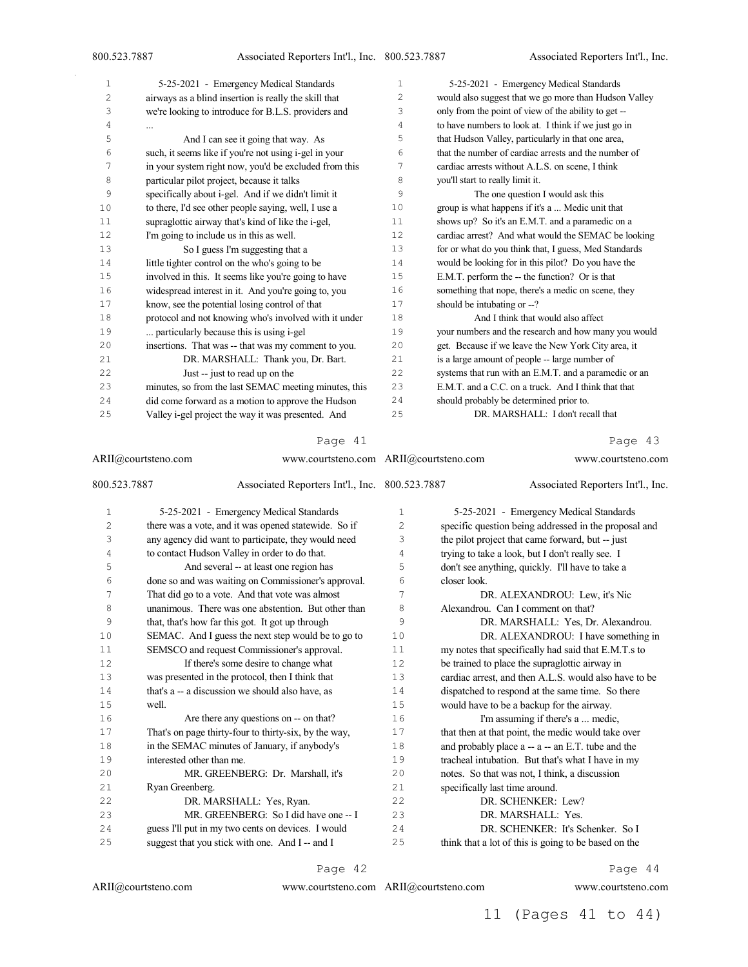| 1              | 5-25-2021 - Emergency Medical Standards               | 1              | 5-25-2021 - Emergency Medical Standards               |
|----------------|-------------------------------------------------------|----------------|-------------------------------------------------------|
| $\overline{c}$ | airways as a blind insertion is really the skill that | $\overline{c}$ | would also suggest that we go more than Hudson Valley |
| 3              | we're looking to introduce for B.L.S. providers and   | 3              | only from the point of view of the ability to get --  |
| 4              | $\cdots$                                              | $\overline{4}$ | to have numbers to look at. I think if we just go in  |
| 5              | And I can see it going that way. As                   | 5              | that Hudson Valley, particularly in that one area,    |
| 6              | such, it seems like if you're not using i-gel in your | 6              | that the number of cardiac arrests and the number of  |
| 7              | in your system right now, you'd be excluded from this | 7              | cardiac arrests without A.L.S. on scene, I think      |
| 8              | particular pilot project, because it talks            | 8              | you'll start to really limit it.                      |
| 9              | specifically about i-gel. And if we didn't limit it   | 9              | The one question I would ask this                     |
| 10             | to there, I'd see other people saying, well, I use a  | 10             | group is what happens if it's a  Medic unit that      |
| 11             | supraglottic airway that's kind of like the i-gel,    | 11             | shows up? So it's an E.M.T. and a paramedic on a      |
| 12             | I'm going to include us in this as well.              | 12             | cardiac arrest? And what would the SEMAC be looking   |
| 13             | So I guess I'm suggesting that a                      | 13             | for or what do you think that, I guess, Med Standards |
| 14             | little tighter control on the who's going to be       | 14             | would be looking for in this pilot? Do you have the   |
| 15             | involved in this. It seems like you're going to have  | 15             | E.M.T. perform the -- the function? Or is that        |
| 16             | widespread interest in it. And you're going to, you   | 16             | something that nope, there's a medic on scene, they   |
| 17             | know, see the potential losing control of that        | 17             | should be intubating or --?                           |
| 18             | protocol and not knowing who's involved with it under | 18             | And I think that would also affect                    |
| 19             | particularly because this is using i-gel              | 19             | your numbers and the research and how many you would  |
| 20             | insertions. That was -- that was my comment to you.   | 20             | get. Because if we leave the New York City area, it   |
| 21             | DR. MARSHALL: Thank you, Dr. Bart.                    | 21             | is a large amount of people -- large number of        |
| 22             | Just -- just to read up on the                        | 22             | systems that run with an E.M.T. and a paramedic or an |
| 23             | minutes, so from the last SEMAC meeting minutes, this | 23             | E.M.T. and a C.C. on a truck. And I think that that   |
| 24             | did come forward as a motion to approve the Hudson    | 24             | should probably be determined prior to.               |
| 25             | Valley i-gel project the way it was presented. And    | 25             | DR. MARSHALL: I don't recall that                     |

| ARII@courtsteno.com<br>800.523.7887 |                           |                                                       | www.courtsteno.com ARII@courtsteno.com |                                | www.courtsteno.com                                    |
|-------------------------------------|---------------------------|-------------------------------------------------------|----------------------------------------|--------------------------------|-------------------------------------------------------|
|                                     |                           | Associated Reporters Int'l., Inc. 800.523.7887        |                                        |                                | Associated Reporters Int'l., Inc.                     |
| $\mathbf{1}$                        |                           | 5-25-2021 - Emergency Medical Standards               | 1                                      |                                | 5-25-2021 - Emergency Medical Standards               |
| $\overline{c}$                      |                           | there was a vote, and it was opened statewide. So if  | 2                                      |                                | specific question being addressed in the proposal and |
| 3                                   |                           | any agency did want to participate, they would need   | 3                                      |                                | the pilot project that came forward, but -- just      |
| $\sqrt{4}$                          |                           | to contact Hudson Valley in order to do that.         | 4                                      |                                | trying to take a look, but I don't really see. I      |
| 5                                   |                           | And several -- at least one region has                | 5                                      |                                | don't see anything, quickly. I'll have to take a      |
| 6                                   |                           | done so and was waiting on Commissioner's approval.   | 6                                      | closer look.                   |                                                       |
| 7                                   |                           | That did go to a vote. And that vote was almost       | 7                                      |                                | DR. ALEXANDROU: Lew, it's Nic                         |
| 8                                   |                           | unanimous. There was one abstention. But other than   | 8                                      |                                | Alexandrou. Can I comment on that?                    |
| 9                                   |                           | that, that's how far this got. It got up through      | 9                                      |                                | DR. MARSHALL: Yes, Dr. Alexandrou.                    |
| 10                                  |                           | SEMAC. And I guess the next step would be to go to    | 10                                     |                                | DR. ALEXANDROU: I have something in                   |
| 11                                  |                           | SEMSCO and request Commissioner's approval.           | 11                                     |                                | my notes that specifically had said that E.M.T.s to   |
| 12                                  |                           | If there's some desire to change what                 | 12                                     |                                | be trained to place the supraglottic airway in        |
| 13                                  |                           | was presented in the protocol, then I think that      | 13                                     |                                | cardiac arrest, and then A.L.S. would also have to be |
| 14                                  |                           | that's a -- a discussion we should also have, as      | 14                                     |                                | dispatched to respond at the same time. So there      |
| 15                                  | well.                     |                                                       | 15                                     |                                | would have to be a backup for the airway.             |
| 16                                  |                           | Are there any questions on -- on that?                | 16                                     |                                | I'm assuming if there's a  medic,                     |
| 17                                  |                           | That's on page thirty-four to thirty-six, by the way, | 17                                     |                                | that then at that point, the medic would take over    |
| 18                                  |                           | in the SEMAC minutes of January, if anybody's         | 18                                     |                                | and probably place a -- a -- an E.T. tube and the     |
| 19                                  | interested other than me. |                                                       | 19                                     |                                | tracheal intubation. But that's what I have in my     |
| 20                                  |                           | MR. GREENBERG: Dr. Marshall, it's                     | 20                                     |                                | notes. So that was not, I think, a discussion         |
| 21                                  | Ryan Greenberg.           |                                                       | 21                                     | specifically last time around. |                                                       |
| 22                                  |                           | DR. MARSHALL: Yes, Ryan.                              | 22                                     |                                | DR. SCHENKER: Lew?                                    |
| 23                                  |                           | MR. GREENBERG: So I did have one -- I                 | 23                                     |                                | DR. MARSHALL: Yes.                                    |
| 2.4                                 |                           | guess I'll put in my two cents on devices. I would    | 2.4                                    |                                | DR. SCHENKER: It's Schenker. So I.                    |
| 25                                  |                           | suggest that you stick with one. And I -- and I       | 25                                     |                                | think that a lot of this is going to be based on the  |

Page 42

ARII@courtsteno.com

ARII@courtsteno.com www.courtsteno.com

Page 44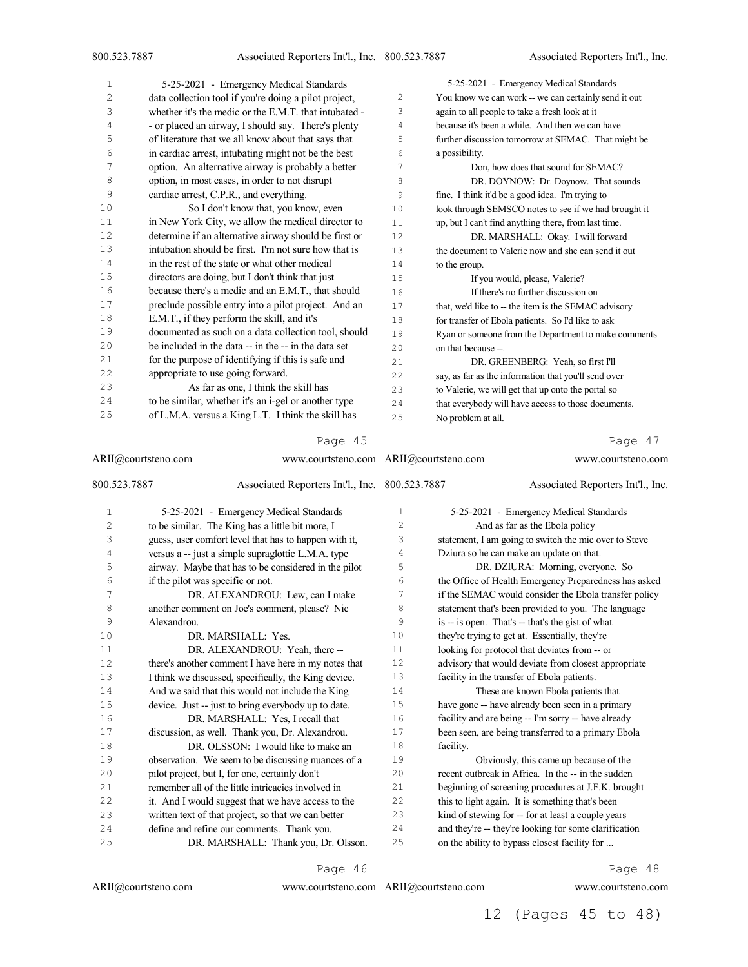| 1  | 5-25-2021 - Emergency Medical Standards               | $\mathbf{1}$          | 5-25-2021 - Emergency Medical Standards               |
|----|-------------------------------------------------------|-----------------------|-------------------------------------------------------|
| 2  | data collection tool if you're doing a pilot project, | $\mathbf{2}^{\prime}$ | You know we can work -- we can certainly send it out  |
| 3  | whether it's the medic or the E.M.T. that intubated - | 3                     | again to all people to take a fresh look at it        |
| 4  | - or placed an airway, I should say. There's plenty   | 4                     | because it's been a while. And then we can have       |
| 5  | of literature that we all know about that says that   | 5                     | further discussion tomorrow at SEMAC. That might be   |
| 6  | in cardiac arrest, intubating might not be the best   | 6                     | a possibility.                                        |
| 7  | option. An alternative airway is probably a better    | 7                     | Don, how does that sound for SEMAC?                   |
| 8  | option, in most cases, in order to not disrupt        | 8                     | DR. DOYNOW: Dr. Doynow. That sounds                   |
| 9  | cardiac arrest, C.P.R., and everything.               | 9                     | fine. I think it'd be a good idea. I'm trying to      |
| 10 | So I don't know that, you know, even                  | 10                    | look through SEMSCO notes to see if we had brought it |
| 11 | in New York City, we allow the medical director to    | 11                    | up, but I can't find anything there, from last time.  |
| 12 | determine if an alternative airway should be first or | 12.                   | DR. MARSHALL: Okay. I will forward                    |
| 13 | intubation should be first. I'm not sure how that is  | 13                    | the document to Valerie now and she can send it out   |
| 14 | in the rest of the state or what other medical        | 14                    | to the group.                                         |
| 15 | directors are doing, but I don't think that just      | 15                    | If you would, please, Valerie?                        |
| 16 | because there's a medic and an E.M.T., that should    | 16                    | If there's no further discussion on                   |
| 17 | preclude possible entry into a pilot project. And an  | 17                    | that, we'd like to -- the item is the SEMAC advisory  |
| 18 | E.M.T., if they perform the skill, and it's           | 18                    | for transfer of Ebola patients. So I'd like to ask    |
| 19 | documented as such on a data collection tool, should  | 19                    | Ryan or someone from the Department to make comments  |
| 20 | be included in the data -- in the -- in the data set  | 20                    | on that because --                                    |
| 21 | for the purpose of identifying if this is safe and    | 2.1                   | DR. GREENBERG: Yeah, so first I'll                    |
| 22 | appropriate to use going forward.                     | 2.2.                  | say, as far as the information that you'll send over  |
| 23 | As far as one, I think the skill has                  | 23                    | to Valerie, we will get that up onto the portal so    |
| 24 | to be similar, whether it's an i-gel or another type  | 24                    | that everybody will have access to those documents.   |
| 25 | of L.M.A. versus a King L.T. I think the skill has    | 25                    | No problem at all.                                    |

|              | www.courtsteno.com ARII@courtsteno.com<br>ARII@courtsteno.com |              |           | www.courtsteno.com<br>Associated Reporters Int'l., Inc. |
|--------------|---------------------------------------------------------------|--------------|-----------|---------------------------------------------------------|
| 800.523.7887 | Associated Reporters Int'l., Inc. 800.523.7887                |              |           |                                                         |
| $\mathbf{1}$ | 5-25-2021 - Emergency Medical Standards                       | $\mathbf{1}$ |           | 5-25-2021 - Emergency Medical Standards                 |
| $\mathbf{2}$ | to be similar. The King has a little bit more, I              | 2            |           | And as far as the Ebola policy                          |
| 3            | guess, user comfort level that has to happen with it,         | 3            |           | statement, I am going to switch the mic over to Steve   |
| 4            | versus a -- just a simple supraglottic L.M.A. type            | 4            |           | Dziura so he can make an update on that.                |
| 5            | airway. Maybe that has to be considered in the pilot          | 5            |           | DR. DZIURA: Morning, everyone. So                       |
| 6            | if the pilot was specific or not.                             | 6            |           | the Office of Health Emergency Preparedness has asked   |
| 7            | DR. ALEXANDROU: Lew, can I make                               | 7            |           | if the SEMAC would consider the Ebola transfer policy   |
| 8            | another comment on Joe's comment, please? Nic                 | 8            |           | statement that's been provided to you. The language     |
| 9            | Alexandrou.                                                   | 9            |           | is -- is open. That's -- that's the gist of what        |
| 10           | DR. MARSHALL: Yes.                                            | 10           |           | they're trying to get at. Essentially, they're          |
| 11           | DR. ALEXANDROU: Yeah, there --                                | 11           |           | looking for protocol that deviates from -- or           |
| 12           | there's another comment I have here in my notes that          | 12           |           | advisory that would deviate from closest appropriate    |
| 13           | I think we discussed, specifically, the King device.          | 13           |           | facility in the transfer of Ebola patients.             |
| 14           | And we said that this would not include the King              | 14           |           | These are known Ebola patients that                     |
| 15           | device. Just -- just to bring everybody up to date.           | 15           |           | have gone -- have already been seen in a primary        |
| 16           | DR. MARSHALL: Yes, I recall that                              | 16           |           | facility and are being -- I'm sorry -- have already     |
| 17           | discussion, as well. Thank you, Dr. Alexandrou.               | 17           |           | been seen, are being transferred to a primary Ebola     |
| 18           | DR. OLSSON: I would like to make an                           | 18           | facility. |                                                         |
| 19           | observation. We seem to be discussing nuances of a            | 19           |           | Obviously, this came up because of the                  |
| 20           | pilot project, but I, for one, certainly don't                | 20           |           | recent outbreak in Africa. In the -- in the sudden      |
| 21           | remember all of the little intricacies involved in            | 21           |           | beginning of screening procedures at J.F.K. brought     |
| 22           | it. And I would suggest that we have access to the            | 22           |           | this to light again. It is something that's been        |
| 23           | written text of that project, so that we can better           | 23           |           | kind of stewing for -- for at least a couple years      |
| 24           | define and refine our comments. Thank you.                    | 24           |           | and they're -- they're looking for some clarification   |
| 25           | DR. MARSHALL: Thank you, Dr. Olsson.                          | 25           |           | on the ability to bypass closest facility for           |
|              |                                                               |              |           |                                                         |

Page 46

ARII@courtsteno.com www.courtsteno.com

Page 48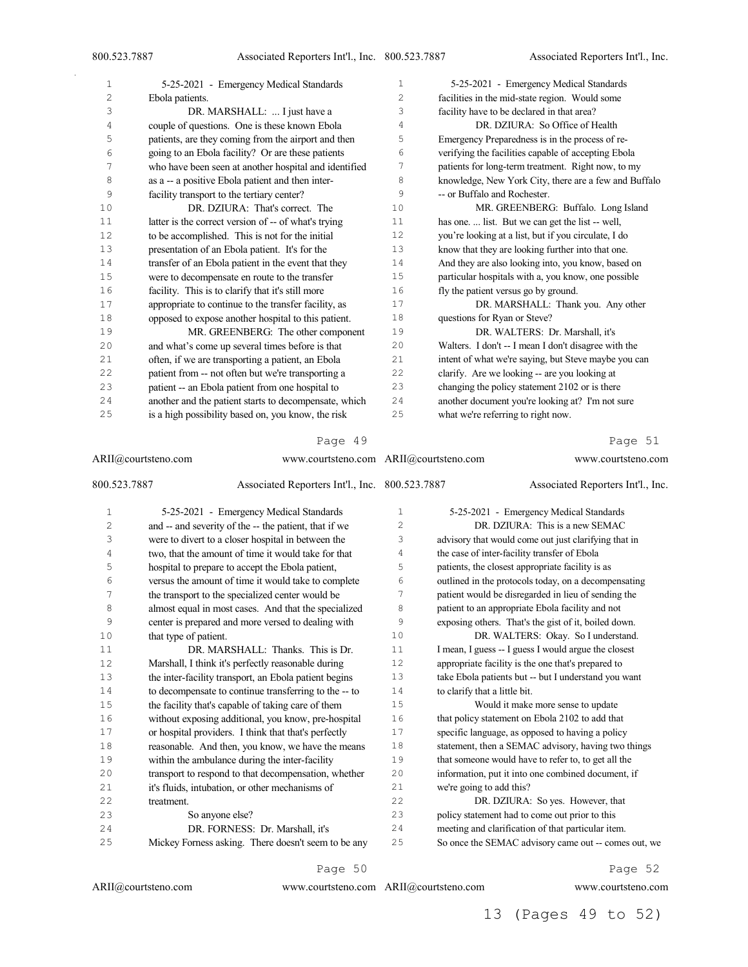| $\mathbf{1}$ | 5-25-2021 - Emergency Medical Standards               | $\mathbf{1}$   | 5-25-2021 - Emergency Medical Standards               |
|--------------|-------------------------------------------------------|----------------|-------------------------------------------------------|
| 2            | Ebola patients.                                       | $\overline{c}$ | facilities in the mid-state region. Would some        |
| 3            | DR. MARSHALL:  I just have a                          | 3              | facility have to be declared in that area?            |
| 4            | couple of questions. One is these known Ebola         | 4              | DR. DZIURA: So Office of Health                       |
| 5            | patients, are they coming from the airport and then   | 5              | Emergency Preparedness is in the process of re-       |
| 6            | going to an Ebola facility? Or are these patients     | 6              | verifying the facilities capable of accepting Ebola   |
| 7            | who have been seen at another hospital and identified | 7              | patients for long-term treatment. Right now, to my    |
| 8            | as a -- a positive Ebola patient and then inter-      | 8              | knowledge, New York City, there are a few and Buffalo |
| 9            | facility transport to the tertiary center?            | 9              | -- or Buffalo and Rochester.                          |
| 10           | DR. DZIURA: That's correct. The                       | 10             | MR. GREENBERG: Buffalo. Long Island                   |
| 11           | latter is the correct version of -- of what's trying  | 11             | has one.  list. But we can get the list -- well,      |
| 12           | to be accomplished. This is not for the initial       | 12             | you're looking at a list, but if you circulate, I do  |
| 13           | presentation of an Ebola patient. It's for the        | 13             | know that they are looking further into that one.     |
| 14           | transfer of an Ebola patient in the event that they   | 14             | And they are also looking into, you know, based on    |
| 15           | were to decompensate en route to the transfer         | 15             | particular hospitals with a, you know, one possible   |
| 16           | facility. This is to clarify that it's still more     | 16             | fly the patient versus go by ground.                  |
| 17           | appropriate to continue to the transfer facility, as  | 17             | DR. MARSHALL: Thank you. Any other                    |
| 18           | opposed to expose another hospital to this patient.   | 18             | questions for Ryan or Steve?                          |
| 19           | MR. GREENBERG: The other component                    | 19             | DR. WALTERS: Dr. Marshall, it's                       |
| 20           | and what's come up several times before is that       | 20             | Walters. I don't -- I mean I don't disagree with the  |
| 21           | often, if we are transporting a patient, an Ebola     | 21             | intent of what we're saying, but Steve maybe you can  |
| 22           | patient from -- not often but we're transporting a    | 22             | clarify. Are we looking -- are you looking at         |
| 23           | patient -- an Ebola patient from one hospital to      | 23             | changing the policy statement 2102 or is there        |
| 24           | another and the patient starts to decompensate, which | 24             | another document you're looking at? I'm not sure      |
| 25           | is a high possibility based on, you know, the risk    | 25             | what we're referring to right now.                    |
|              |                                                       |                |                                                       |

| ARII@courtsteno.com |                                                       | www.courtsteno.com ARII@courtsteno.com |                               | www.courtsteno.com                                   |
|---------------------|-------------------------------------------------------|----------------------------------------|-------------------------------|------------------------------------------------------|
| 800.523.7887        | Associated Reporters Int'l., Inc. 800.523.7887        |                                        |                               | Associated Reporters Int'l., Inc.                    |
| 1                   | 5-25-2021 - Emergency Medical Standards               | $\mathbf{1}$                           |                               | 5-25-2021 - Emergency Medical Standards              |
| $\overline{c}$      | and -- and severity of the -- the patient, that if we | 2                                      |                               | DR. DZIURA: This is a new SEMAC                      |
| 3                   | were to divert to a closer hospital in between the    | 3                                      |                               | advisory that would come out just clarifying that in |
| 4                   | two, that the amount of time it would take for that   | 4                                      |                               | the case of inter-facility transfer of Ebola         |
| 5                   | hospital to prepare to accept the Ebola patient,      | 5                                      |                               | patients, the closest appropriate facility is as     |
| 6                   | versus the amount of time it would take to complete   | 6                                      |                               | outlined in the protocols today, on a decompensating |
| 7                   | the transport to the specialized center would be      | 7                                      |                               | patient would be disregarded in lieu of sending the  |
| 8                   | almost equal in most cases. And that the specialized  | 8                                      |                               | patient to an appropriate Ebola facility and not     |
| 9                   | center is prepared and more versed to dealing with    | 9                                      |                               | exposing others. That's the gist of it, boiled down. |
| 10                  | that type of patient.                                 | 10                                     |                               | DR. WALTERS: Okay. So I understand.                  |
| 11                  | DR. MARSHALL: Thanks. This is Dr.                     | 11                                     |                               | I mean, I guess -- I guess I would argue the closest |
| 12                  | Marshall, I think it's perfectly reasonable during    | 12                                     |                               | appropriate facility is the one that's prepared to   |
| 13                  | the inter-facility transport, an Ebola patient begins | 13                                     |                               | take Ebola patients but -- but I understand you want |
| 14                  | to decompensate to continue transferring to the -- to | 14                                     | to clarify that a little bit. |                                                      |
| 15                  | the facility that's capable of taking care of them    | 15                                     |                               | Would it make more sense to update                   |
| 16                  | without exposing additional, you know, pre-hospital   | 16                                     |                               | that policy statement on Ebola 2102 to add that      |
| 17                  | or hospital providers. I think that that's perfectly  | 17                                     |                               | specific language, as opposed to having a policy     |
| 18                  | reasonable. And then, you know, we have the means     | 18                                     |                               | statement, then a SEMAC advisory, having two things  |
| 19                  | within the ambulance during the inter-facility        | 19                                     |                               | that someone would have to refer to, to get all the  |
| 20                  | transport to respond to that decompensation, whether  | 20                                     |                               | information, put it into one combined document, if   |
| 21                  | it's fluids, intubation, or other mechanisms of       | 21                                     | we're going to add this?      |                                                      |
| 22                  | treatment.                                            | 22                                     |                               | DR. DZIURA: So yes. However, that                    |
| 23                  | So anyone else?                                       | 23                                     |                               | policy statement had to come out prior to this       |
| 24                  | DR. FORNESS: Dr. Marshall, it's                       | 24                                     |                               | meeting and clarification of that particular item.   |
| 25                  | Mickey Forness asking. There doesn't seem to be any   | 25                                     |                               | So once the SEMAC advisory came out -- comes out, we |

Page 50

ARII@courtsteno.com www.courtsteno.com

Page 52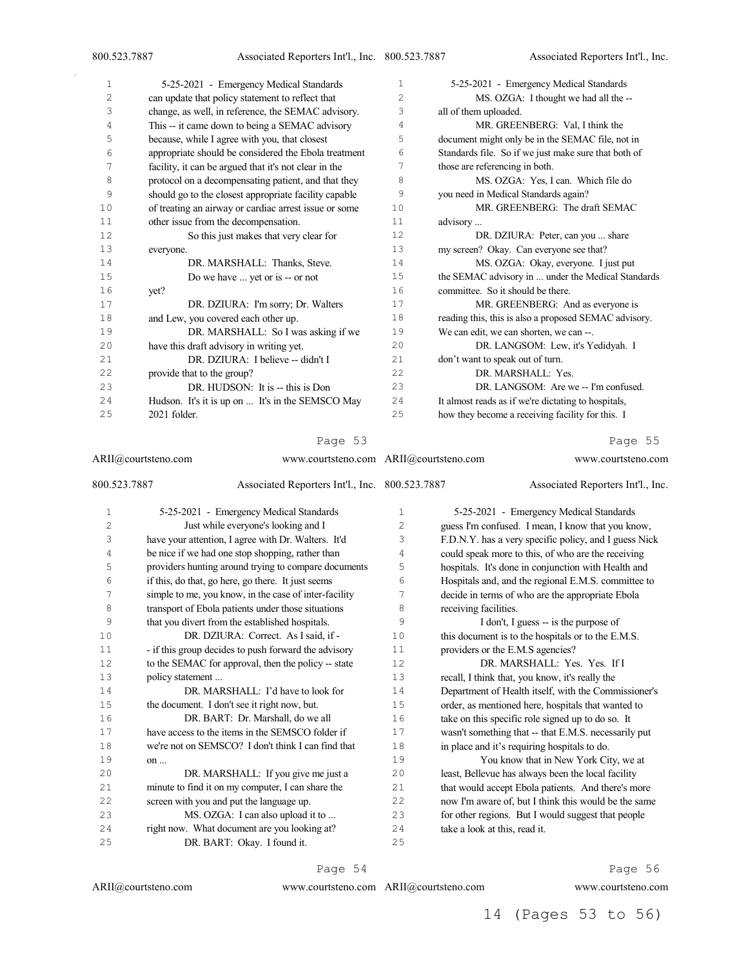| $\mathbf{1}$ | 5-25-2021 - Emergency Medical Standards               | 1              | 5-25-2021 - Emergency Medical Standards               |
|--------------|-------------------------------------------------------|----------------|-------------------------------------------------------|
| 2            | can update that policy statement to reflect that      | $\overline{c}$ | MS. OZGA: I thought we had all the --                 |
| 3            | change, as well, in reference, the SEMAC advisory.    | 3              | all of them uploaded.                                 |
| 4            | This -- it came down to being a SEMAC advisory        | 4              | MR. GREENBERG: Val, I think the                       |
| 5            | because, while I agree with you, that closest         | 5              | document might only be in the SEMAC file, not in      |
| 6            | appropriate should be considered the Ebola treatment  | 6              | Standards file. So if we just make sure that both of  |
| 7            | facility, it can be argued that it's not clear in the | 7              | those are referencing in both.                        |
| 8            | protocol on a decompensating patient, and that they   | 8              | MS. OZGA: Yes, I can. Which file do                   |
| 9            | should go to the closest appropriate facility capable | 9              | you need in Medical Standards again?                  |
| 10           | of treating an airway or cardiac arrest issue or some | 10             | MR. GREENBERG: The draft SEMAC                        |
| 11           | other issue from the decompensation.                  | 11             | advisory                                              |
| 12           | So this just makes that very clear for                | 12             | DR. DZIURA: Peter, can you  share                     |
| 13           | everyone.                                             | 13             | my screen? Okay. Can everyone see that?               |
| 14           | DR. MARSHALL: Thanks, Steve.                          | 14             | MS. OZGA: Okay, everyone. I just put                  |
| 15           | Do we have  yet or is -- or not                       | 15             | the SEMAC advisory in  under the Medical Standards    |
| 16           | yet?                                                  | 16             | committee. So it should be there.                     |
| 17           | DR. DZIURA: I'm sorry; Dr. Walters                    | 17             | MR. GREENBERG: And as everyone is                     |
| 18           | and Lew, you covered each other up.                   | 18             | reading this, this is also a proposed SEMAC advisory. |
| 19           | DR. MARSHALL: So I was asking if we                   | 19             | We can edit, we can shorten, we can --.               |
| 20           | have this draft advisory in writing yet.              | 20             | DR. LANGSOM: Lew, it's Yedidyah. I                    |
| 21           | DR. DZIURA: I believe -- didn't I                     | 2.1            | don't want to speak out of turn.                      |
| 22           | provide that to the group?                            | 22             | DR. MARSHALL: Yes.                                    |
| 23           | DR. HUDSON: It is -- this is Don                      | 23             | DR. LANGSOM: Are we -- I'm confused.                  |
| 24           | Hudson. It's it is up on  It's in the SEMSCO May      | 24             | It almost reads as if we're dictating to hospitals,   |
| 25           | 2021 folder.                                          | 25             | how they become a receiving facility for this. I      |
|              |                                                       |                |                                                       |

ARII@courtsteno.com www.courtsteno.com ARII@courtsteno.com www.courtsteno.com 800.523.7887 Associated Reporters Int'l., Inc. 5-25-2021 - Emergency Medical Standards Just while everyone's looking and I have your attention, I agree with Dr. Walters. It'd be nice if we had one stop shopping, rather than providers hunting around trying to compare documents if this, do that, go here, go there. It just seems simple to me, you know, in the case of inter-facility transport of Ebola patients under those situations that you divert from the established hospitals. 10 DR. DZIURA: Correct. As I said, if -11 - if this group decides to push forward the advisory 12 to the SEMAC for approval, then the policy -- state policy statement ... DR. MARSHALL: I'd have to look for the document. I don't see it right now, but. DR. BART: Dr. Marshall, do we all have access to the items in the SEMSCO folder if we're not on SEMSCO? I don't think I can find that on ... DR. MARSHALL: If you give me just a minute to find it on my computer, I can share the screen with you and put the language up. 23 MS. OZGA: I can also upload it to ... right now. What document are you looking at? DR. BART: Okay. I found it. Associated Reporters Int'l., Inc. 5-25-2021 - Emergency Medical Standards guess I'm confused. I mean, I know that you know, F.D.N.Y. has a very specific policy, and I guess Nick could speak more to this, of who are the receiving hospitals. It's done in conjunction with Health and Hospitals and, and the regional E.M.S. committee to decide in terms of who are the appropriate Ebola receiving facilities. I don't, I guess -- is the purpose of 10 this document is to the hospitals or to the E.M.S. 11 providers or the E.M.S agencies? DR. MARSHALL: Yes. Yes. If I recall, I think that, you know, it's really the 14 Department of Health itself, with the Commissioner's<br>15 order as mentioned here hospitals that wanted to order, as mentioned here, hospitals that wanted to take on this specific role signed up to do so. It wasn't something that -- that E.M.S. necessarily put in place and it's requiring hospitals to do. You know that in New York City, we at least, Bellevue has always been the local facility that would accept Ebola patients. And there's more now I'm aware of, but I think this would be the same for other regions. But I would suggest that people take a look at this, read it. 

Page 54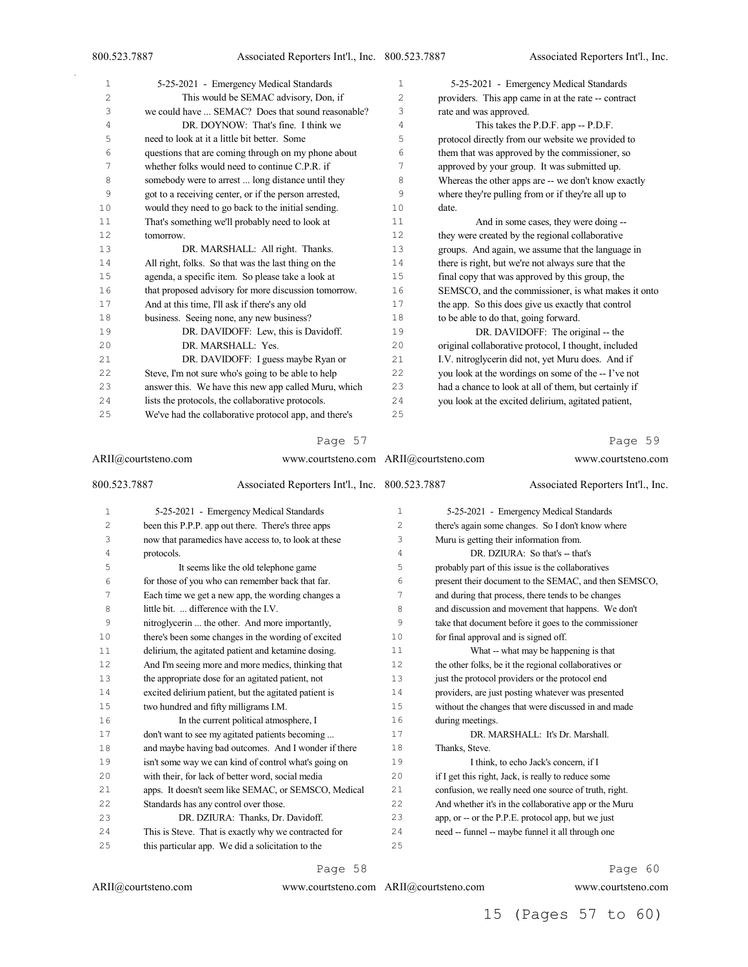| 1  | 5-25-2021 - Emergency Medical Standards               | 1  | 5-25-2021 - Emergency Medical Standards               |
|----|-------------------------------------------------------|----|-------------------------------------------------------|
| 2  | This would be SEMAC advisory, Don, if                 | 2  | providers. This app came in at the rate -- contract   |
| 3  | we could have  SEMAC? Does that sound reasonable?     | 3  | rate and was approved.                                |
| 4  | DR. DOYNOW: That's fine. I think we                   | 4  | This takes the P.D.F. app -- P.D.F.                   |
| 5  | need to look at it a little bit better. Some          | 5  | protocol directly from our website we provided to     |
| 6  | questions that are coming through on my phone about   | 6  | them that was approved by the commissioner, so        |
| 7  | whether folks would need to continue C.P.R. if        | 7  | approved by your group. It was submitted up.          |
| 8  | somebody were to arrest  long distance until they     | 8  | Whereas the other apps are -- we don't know exactly   |
| 9  | got to a receiving center, or if the person arrested, | 9  | where they're pulling from or if they're all up to    |
| 10 | would they need to go back to the initial sending.    | 10 | date.                                                 |
| 11 | That's something we'll probably need to look at       | 11 | And in some cases, they were doing --                 |
| 12 | tomorrow.                                             | 12 | they were created by the regional collaborative       |
| 13 | DR. MARSHALL: All right. Thanks.                      | 13 | groups. And again, we assume that the language in     |
| 14 | All right, folks. So that was the last thing on the   | 14 | there is right, but we're not always sure that the    |
| 15 | agenda, a specific item. So please take a look at     | 15 | final copy that was approved by this group, the       |
| 16 | that proposed advisory for more discussion tomorrow.  | 16 | SEMSCO, and the commissioner, is what makes it onto   |
| 17 | And at this time, I'll ask if there's any old         | 17 | the app. So this does give us exactly that control    |
| 18 | business. Seeing none, any new business?              | 18 | to be able to do that, going forward.                 |
| 19 | DR. DAVIDOFF: Lew, this is Davidoff.                  | 19 | DR. DAVIDOFF: The original -- the                     |
| 20 | DR. MARSHALL: Yes.                                    | 20 | original collaborative protocol, I thought, included  |
| 21 | DR. DAVIDOFF: I guess maybe Ryan or                   | 21 | I.V. nitroglycerin did not, yet Muru does. And if     |
| 22 | Steve, I'm not sure who's going to be able to help    | 22 | you look at the wordings on some of the -- I've not   |
| 23 | answer this. We have this new app called Muru, which  | 23 | had a chance to look at all of them, but certainly if |
| 24 | lists the protocols, the collaborative protocols.     | 24 | you look at the excited delirium, agitated patient,   |
| 25 | We've had the collaborative protocol app, and there's | 25 |                                                       |

|              | ARII@courtsteno.com                                   | www.courtsteno.com ARII@courtsteno.com |                  | www.courtsteno.com                                    |
|--------------|-------------------------------------------------------|----------------------------------------|------------------|-------------------------------------------------------|
| 800.523.7887 | Associated Reporters Int'l., Inc. 800.523.7887        |                                        |                  | Associated Reporters Int'l., Inc.                     |
| 1            | 5-25-2021 - Emergency Medical Standards               | $\mathbf{1}$                           |                  | 5-25-2021 - Emergency Medical Standards               |
| 2            | been this P.P.P. app out there. There's three apps    | 2                                      |                  | there's again some changes. So I don't know where     |
| 3            | now that paramedics have access to, to look at these  | 3                                      |                  | Muru is getting their information from.               |
| 4            | protocols.                                            | 4                                      |                  | DR. DZIURA: So that's -- that's                       |
| 5            | It seems like the old telephone game                  | 5                                      |                  | probably part of this issue is the collaboratives     |
| 6            | for those of you who can remember back that far.      | 6                                      |                  | present their document to the SEMAC, and then SEMSCO, |
| 7            | Each time we get a new app, the wording changes a     | 7                                      |                  | and during that process, there tends to be changes    |
| 8            | little bit.  difference with the I.V.                 | 8                                      |                  | and discussion and movement that happens. We don't    |
| 9            | nitroglycerin  the other. And more importantly,       | 9                                      |                  | take that document before it goes to the commissioner |
| 10           | there's been some changes in the wording of excited   | 10                                     |                  | for final approval and is signed off.                 |
| 11           | delirium, the agitated patient and ketamine dosing.   | 11                                     |                  | What -- what may be happening is that                 |
| 12           | And I'm seeing more and more medics, thinking that    | 12                                     |                  | the other folks, be it the regional collaboratives or |
| 13           | the appropriate dose for an agitated patient, not     | 13                                     |                  | just the protocol providers or the protocol end       |
| 14           | excited delirium patient, but the agitated patient is | 14                                     |                  | providers, are just posting whatever was presented    |
| 15           | two hundred and fifty milligrams I.M.                 | 15                                     |                  | without the changes that were discussed in and made   |
| 16           | In the current political atmosphere, I                | 16                                     | during meetings. |                                                       |
| 17           | don't want to see my agitated patients becoming       | 17                                     |                  | DR. MARSHALL: It's Dr. Marshall.                      |
| 18           | and maybe having bad outcomes. And I wonder if there  | 18                                     | Thanks, Steve.   |                                                       |
| 19           | isn't some way we can kind of control what's going on | 19                                     |                  | I think, to echo Jack's concern, if I                 |
| 20           | with their, for lack of better word, social media     | 20                                     |                  | if I get this right, Jack, is really to reduce some   |
| 21           | apps. It doesn't seem like SEMAC, or SEMSCO, Medical  | 21                                     |                  | confusion, we really need one source of truth, right. |
| 22           | Standards has any control over those.                 | 22                                     |                  | And whether it's in the collaborative app or the Muru |
| 23           | DR. DZIURA: Thanks, Dr. Davidoff.                     | 23                                     |                  | app, or -- or the P.P.E. protocol app, but we just    |
| 24           | This is Steve. That is exactly why we contracted for  | 24                                     |                  | need -- funnel -- maybe funnel it all through one     |
| 25           | this particular app. We did a solicitation to the     | 25                                     |                  |                                                       |

Page 58

#### ARII@courtsteno.com

ARII@courtsteno.com www.courtsteno.com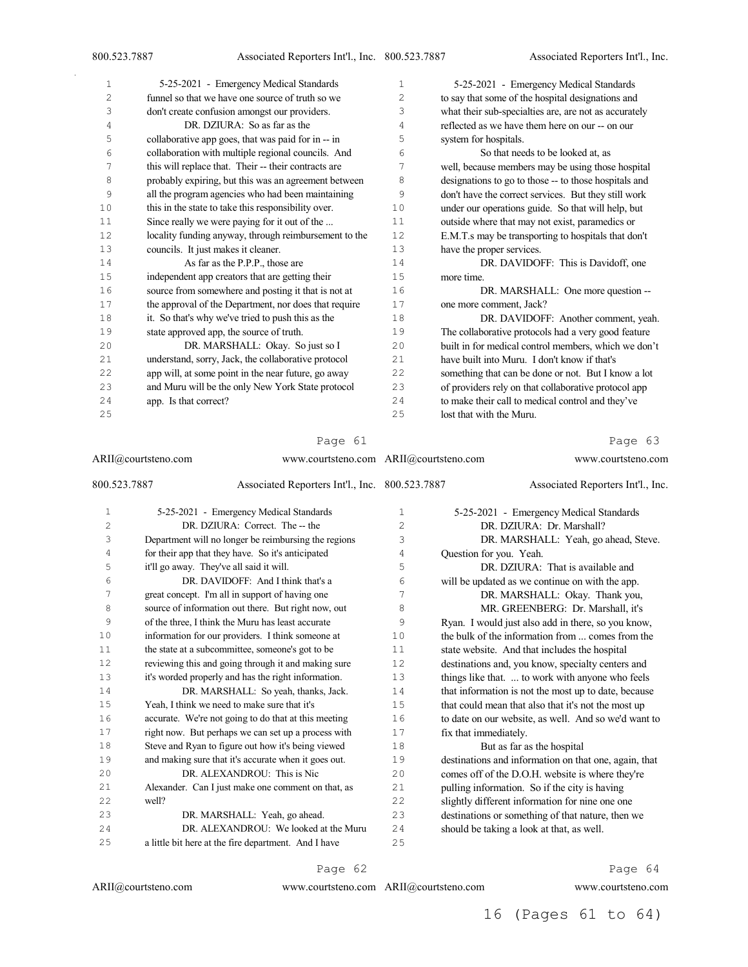| $\mathbf{1}$ | 5-25-2021 - Emergency Medical Standards               | 1  | 5-25-2021 - Emergency Medical Standards               |
|--------------|-------------------------------------------------------|----|-------------------------------------------------------|
| 2            | funnel so that we have one source of truth so we      | 2  | to say that some of the hospital designations and     |
| 3            | don't create confusion amongst our providers.         | 3  | what their sub-specialties are, are not as accurately |
| 4            | DR. DZIURA: So as far as the                          | 4  | reflected as we have them here on our -- on our       |
| 5            | collaborative app goes, that was paid for in -- in    | 5  | system for hospitals.                                 |
| 6            | collaboration with multiple regional councils. And    | 6  | So that needs to be looked at, as                     |
| 7            | this will replace that. Their -- their contracts are  | 7  | well, because members may be using those hospital     |
| 8            | probably expiring, but this was an agreement between  | 8  | designations to go to those -- to those hospitals and |
| 9            | all the program agencies who had been maintaining     | 9  | don't have the correct services. But they still work  |
| 10           | this in the state to take this responsibility over.   | 10 | under our operations guide. So that will help, but    |
| 11           | Since really we were paying for it out of the         | 11 | outside where that may not exist, paramedics or       |
| 12           | locality funding anyway, through reimbursement to the | 12 | E.M.T.s may be transporting to hospitals that don't   |
| 13           | councils. It just makes it cleaner.                   | 13 | have the proper services.                             |
| 14           | As far as the P.P.P., those are                       | 14 | DR. DAVIDOFF: This is Davidoff, one                   |
| 15           | independent app creators that are getting their       | 15 | more time.                                            |
| 16           | source from somewhere and posting it that is not at   | 16 | DR. MARSHALL: One more question --                    |
| 17           | the approval of the Department, nor does that require | 17 | one more comment, Jack?                               |
| 18           | it. So that's why we've tried to push this as the     | 18 | DR. DAVIDOFF: Another comment, yeah.                  |
| 19           | state approved app, the source of truth.              | 19 | The collaborative protocols had a very good feature   |
| 20           | DR. MARSHALL: Okay. So just so I                      | 20 | built in for medical control members, which we don't  |
| 21           | understand, sorry, Jack, the collaborative protocol   | 21 | have built into Muru. I don't know if that's          |
| 22           | app will, at some point in the near future, go away   | 22 | something that can be done or not. But I know a lot   |
| 23           | and Muru will be the only New York State protocol     | 23 | of providers rely on that collaborative protocol app  |
| 24           | app. Is that correct?                                 | 24 | to make their call to medical control and they've     |
| 25           |                                                       | 25 | lost that with the Muru.                              |

#### ARII@courtsteno.com 800.523.7887 Associated Reporters Int'l., Inc. 5-25-2021 - Emergency Medical Standards DR. DZIURA: Correct. The -- the Department will no longer be reimbursing the regions for their app that they have. So it's anticipated it'll go away. They've all said it will. DR. DAVIDOFF: And I think that's a great concept. I'm all in support of having one source of information out there. But right now, out of the three, I think the Muru has least accurate information for our providers. I think someone at 11 the state at a subcommittee, someone's got to be reviewing this and going through it and making sure it's worded properly and has the right information. DR. MARSHALL: So yeah, thanks, Jack. Yeah, I think we need to make sure that it's accurate. We're not going to do that at this meeting right now. But perhaps we can set up a process with Steve and Ryan to figure out how it's being viewed and making sure that it's accurate when it goes out. DR. ALEXANDROU: This is Nic Alexander. Can I just make one comment on that, as well? DR. MARSHALL: Yeah, go ahead. DR. ALEXANDROU: We looked at the Muru www.courtsteno.com ARII@courtsteno.com www.courtsteno.com Associated Reporters Int'l., Inc. 5-25-2021 - Emergency Medical Standards DR. DZIURA: Dr. Marshall? DR. MARSHALL: Yeah, go ahead, Steve. Question for you. Yeah. DR. DZIURA: That is available and will be updated as we continue on with the app. DR. MARSHALL: Okay. Thank you, MR. GREENBERG: Dr. Marshall, it's Ryan. I would just also add in there, so you know, the bulk of the information from ... comes from the state website. And that includes the hospital destinations and, you know, specialty centers and things like that. ... to work with anyone who feels 14 that information is not the most up to date, because that could mean that also that it's not the most up to date on our website, as well. And so we'd want to fix that immediately. But as far as the hospital destinations and information on that one, again, that comes off of the D.O.H. website is where they're pulling information. So if the city is having slightly different information for nine one one destinations or something of that nature, then we should be taking a look at that, as well.

a little bit here at the fire department. And I have

Page 62

www.courtsteno.com ARII@courtsteno.com www.courtsteno.com

# Page 64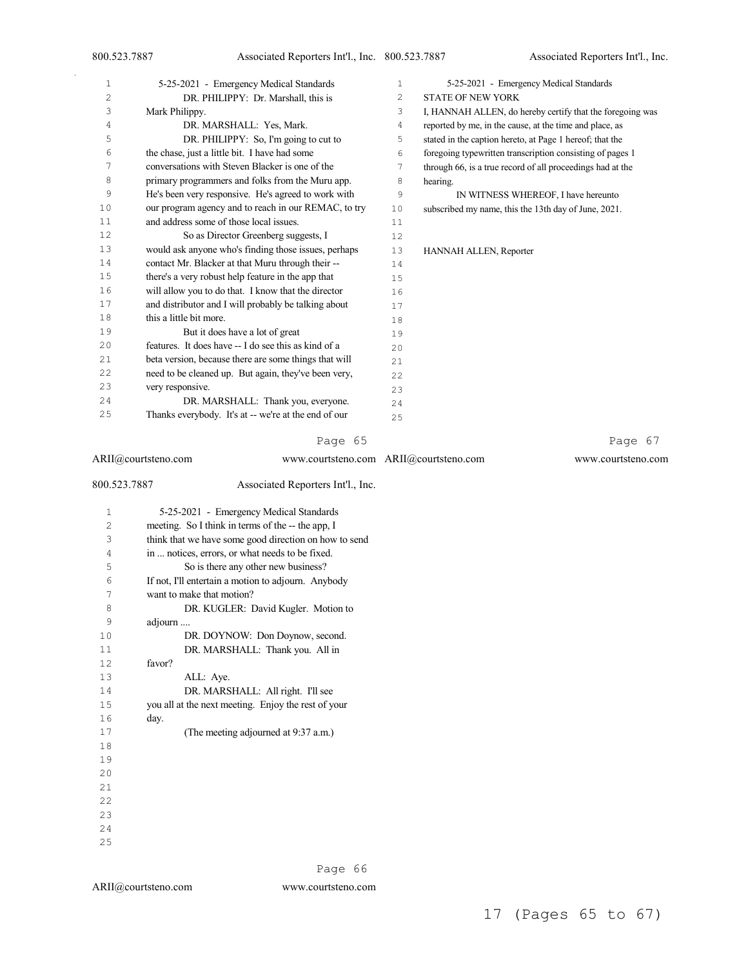| 1  | 5-25-2021 - Emergency Medical Standards               | $\mathbf{1}$   | 5-25-2021 - Emergency Medical Standards                    |
|----|-------------------------------------------------------|----------------|------------------------------------------------------------|
| 2  | DR. PHILIPPY: Dr. Marshall, this is                   | 2              | <b>STATE OF NEW YORK</b>                                   |
| 3  | Mark Philippy.                                        | 3              | I, HANNAH ALLEN, do hereby certify that the foregoing was  |
| 4  | DR. MARSHALL: Yes, Mark.                              | $\overline{4}$ | reported by me, in the cause, at the time and place, as    |
| 5  | DR. PHILIPPY: So, I'm going to cut to                 | 5              | stated in the caption hereto, at Page 1 hereof; that the   |
| 6  | the chase, just a little bit. I have had some         | 6              | foregoing typewritten transcription consisting of pages 1  |
| 7  | conversations with Steven Blacker is one of the       | 7              | through 66, is a true record of all proceedings had at the |
| 8  | primary programmers and folks from the Muru app.      | 8              | hearing.                                                   |
| 9  | He's been very responsive. He's agreed to work with   | 9              | IN WITNESS WHEREOF, I have hereunto                        |
| 10 | our program agency and to reach in our REMAC, to try  | 10             | subscribed my name, this the 13th day of June, 2021.       |
| 11 | and address some of those local issues.               | 11             |                                                            |
| 12 | So as Director Greenberg suggests, I                  | 12             |                                                            |
| 13 | would ask anyone who's finding those issues, perhaps  | 13             | HANNAH ALLEN, Reporter                                     |
| 14 | contact Mr. Blacker at that Muru through their --     | 14             |                                                            |
| 15 | there's a very robust help feature in the app that    | 15             |                                                            |
| 16 | will allow you to do that. I know that the director   | 16             |                                                            |
| 17 | and distributor and I will probably be talking about  | 17             |                                                            |
| 18 | this a little bit more.                               | 18             |                                                            |
| 19 | But it does have a lot of great                       | 19             |                                                            |
| 20 | features. It does have -- I do see this as kind of a  | 20             |                                                            |
| 21 | beta version, because there are some things that will | 21             |                                                            |
| 22 | need to be cleaned up. But again, they've been very,  | 22             |                                                            |
| 23 | very responsive.                                      | 23             |                                                            |
| 24 | DR. MARSHALL: Thank you, everyone.                    | 24             |                                                            |
| 25 | Thanks everybody. It's at -- we're at the end of our  | 25             |                                                            |

| ARII@courtsteno.com |                                                       | www.courtsteno.com ARII@courtsteno.com | www.courtsteno.com |
|---------------------|-------------------------------------------------------|----------------------------------------|--------------------|
| 800.523.7887        | Associated Reporters Int'l., Inc.                     |                                        |                    |
|                     | 5-25-2021 - Emergency Medical Standards               |                                        |                    |
|                     | meeting. So I think in terms of the -- the app. I     |                                        |                    |
|                     | think that we have some good direction on how to send |                                        |                    |
|                     |                                                       |                                        |                    |

| 4  | in  notices, errors, or what needs to be fixed.     |
|----|-----------------------------------------------------|
| 5  | So is there any other new business?                 |
| 6  | If not, I'll entertain a motion to adjourn. Anybody |
| 7  | want to make that motion?                           |
| 8  | DR. KUGLER: David Kugler. Motion to                 |
| 9  | adjourn                                             |
| 10 | DR. DOYNOW: Don Doynow, second.                     |
| 11 | DR. MARSHALL: Thank you. All in                     |
| 12 | favor?                                              |
| 13 | ALL: Aye.                                           |
| 14 | DR. MARSHALL: All right. I'll see                   |
| 15 | you all at the next meeting. Enjoy the rest of your |
| 16 | day.                                                |
| 17 | (The meeting adjourned at 9:37 a.m.)                |
| 18 |                                                     |
| 19 |                                                     |
| 20 |                                                     |
| 21 |                                                     |
| 22 |                                                     |
| 23 |                                                     |
| 24 |                                                     |
| 25 |                                                     |
|    |                                                     |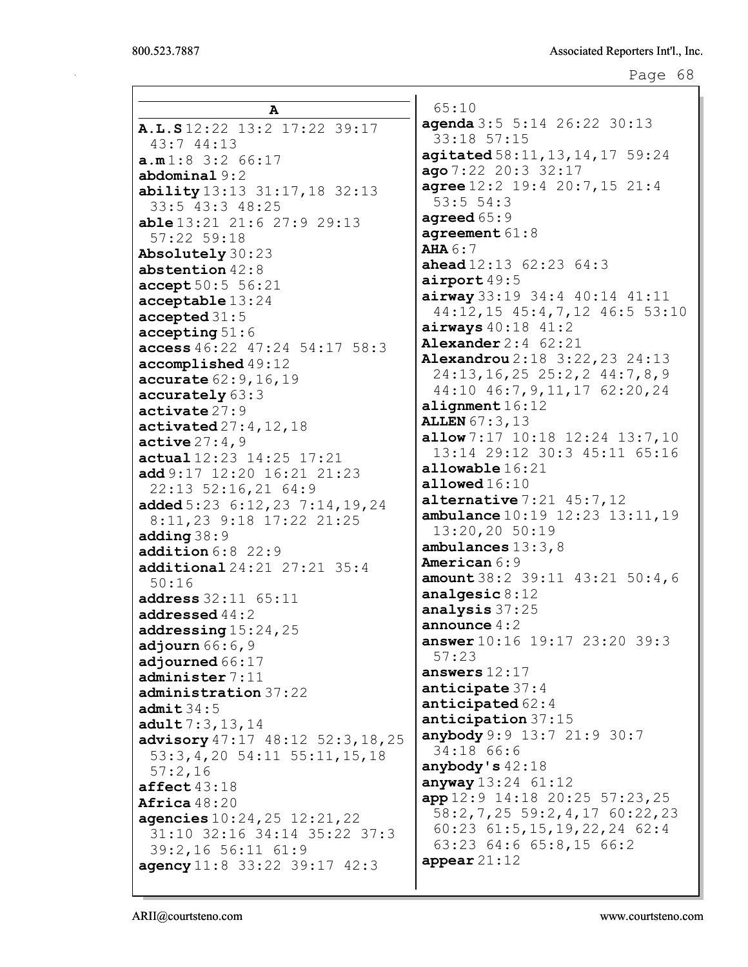```
Page 68
```

| A                                                       | 65:10           |
|---------------------------------------------------------|-----------------|
| A.L.S12:22 13:2 17:22 39:17                             | agenda $3$      |
| 43:744:13                                               | 33:18           |
| a.m1:83:266:17                                          | agitate         |
| abdominal 9:2                                           | ago $7:22$      |
| ability 13:13 31:17, 18 32:13                           | agree $12$      |
| 33:5 43:3 48:25                                         | 53:55           |
| <b>able</b> 13:21 21:6 27:9 29:13                       | agreed 6        |
| 57:22 59:18                                             | agreeme:        |
| Absolutely 30:23                                        | AHA 6:7         |
| abstention $42:8$                                       | ahead 12        |
| accept 50:5 56:21                                       | airport         |
| acceptable 13:24                                        | airway 3        |
| accepted 31:5                                           | 44:12,          |
|                                                         | airways         |
| accepting 51:6<br>access $46:22$ $47:24$ $54:17$ $58:3$ | Alexand         |
|                                                         | Alexand         |
| accomplished 49:12                                      | 24:13,          |
| <b>accurate</b> $62:9, 16, 19$                          | 44:10           |
| accurately 63:3                                         | alignme:        |
| $\texttt{active}27:9$                                   | <b>ALLEN 67</b> |
| activated $27:4,12,18$                                  | allow $7:$      |
| active 27:4,9                                           | 13:14           |
| actual 12:23 14:25 17:21                                | allowab.        |
| add $9:17$ 12:20 16:21 21:23                            | allowed         |
| 22:13 52:16,21 64:9                                     | alterna         |
| added 5:23 6:12, 23 7:14, 19, 24                        | ambulan         |
| 8:11,23 9:18 17:22 21:25                                | $13:20$ ,       |
| adding $38:9$                                           | ambulan         |
| addition $6:8$ 22:9                                     | America:        |
| additional 24:21 27:21 35:4                             | amount $3$      |
| 50:16                                                   | analges.        |
| address $32:11$ $65:11$                                 | analysi         |
| addressed $44:2$                                        | announc         |
| addressing $15:24$ , $25$                               | answer 1        |
| adjourn $66:6,9$                                        | 57:23           |
| adjourned 66:17                                         | answers         |
| administer 7:11                                         | anticip         |
| administration 37:22                                    | anticip         |
| admit 34:5                                              | anticip         |
| adult 7:3, 13, 14                                       | anybody         |
| advisory 47:17 48:12 52:3, 18, 25                       | 34:18           |
| 53: 3, 4, 20 54: 11 55: 11, 15, 18                      |                 |
| 57:2,16                                                 | anybody         |
| $\texttt{affect}43:18$                                  | anyway $1$      |
| Africa $48:20$                                          | app 12:9        |
| agencies $10:24,25$ $12:21,22$                          | 58:2,7          |
| 31:10 32:16 34:14 35:22 37:3                            | 60:23           |
| 39:2,16 56:11 61:9                                      | 63:23           |
| agency 11:8 33:22 39:17 42:3                            | appear $2$      |
|                                                         |                 |

agenda 3:5 5:14 26:22 30:13 33:18 57:15  $d58:11,13,14,17$  59:24  $20:3$  32:17  $: 2$  19:4 20:7,15 21:4  $4:3$  $5:9$  $nt61:8$ ahead 12:13 62:23 64:3  $49:5$ airway 33:19 34:4 40:14 41:11 44:12,15 45:4,7,12 46:5 53:10 airways 40:18 41:2  $er 2:4 62:21$  $\texttt{rou2:18} \quad 3:22,23 \quad 24:13$ 24:13,16,25 25:2,2 44:7,8,9 44:10 46:7,9,11,17 62:20,24  $nt16:12$  $1:3,13$ 17 10:18 12:24 13:7,10 13:14 29:12 30:3 45:11 65:16  $1e16:21$ allowed 16:10 tive  $7:21$   $45:7,12$ ce  $10:19$  12:23 13:11,19 13:20,20 50:19  $ces 13:3,8$  $n6:9$ 8:2 39:11 43:21 50:4,6 ic  $8:12$  $s37:25$ e  $4:2$ answer 10:16 19:17 23:20 39:3 12:17 ate  $37:4$ ated  $62:4$  $ation 37:15$ 9:9 13:7 21:9 30:7 66:6  $1s42:18$ anyway 13:24 61:12 14:18 20:25 57:23,25 58:2,7,25 59:2,4,17 60:22,23 60:23 61:5,15,19,22,24 62:4 63:23 64:6 65:8,15 66:2  $1:12$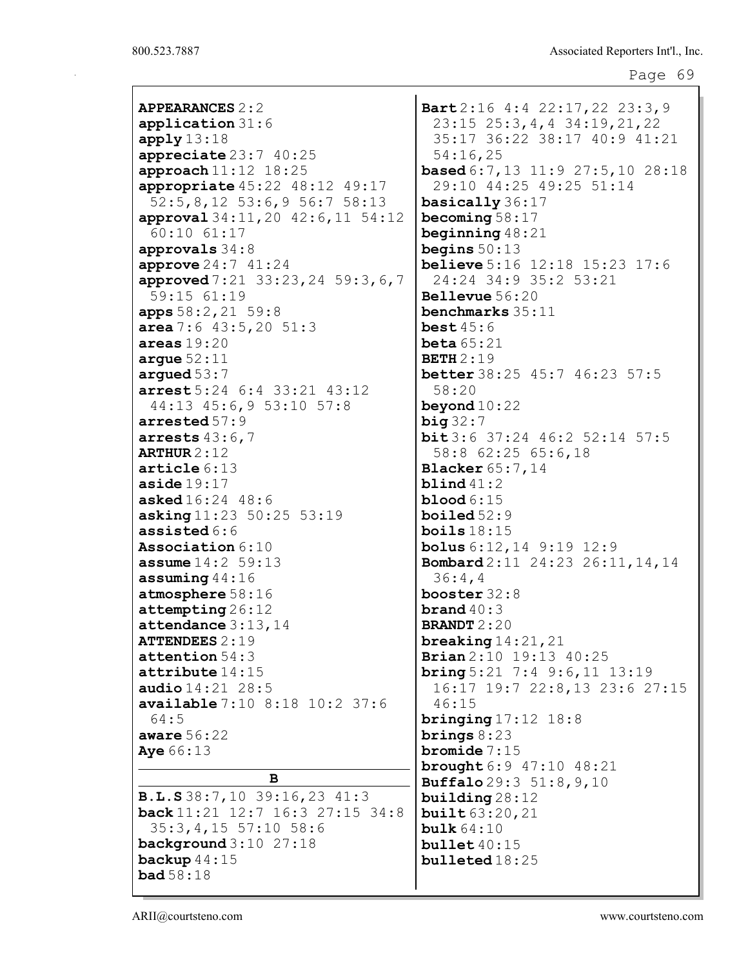| <b>APPEARANCES 2 : 2</b>                                                               | Bart        |
|----------------------------------------------------------------------------------------|-------------|
| $application 31:6$                                                                     | 23:         |
| apply13:18                                                                             | 35:         |
| appreciate 23:7 40:25                                                                  | 54:         |
| approach 11:12 18:25                                                                   | base        |
| appropriate 45:22 48:12 49:17                                                          | 29:         |
| 52:5,8,12 53:6,9 56:7 58:13                                                            | basi        |
| approval 34:11, 20 42:6, 11 54:12                                                      | beco        |
| $60:10$ $61:17$                                                                        | begi        |
| approvals 34:8                                                                         | begi        |
| approve $24:7$ $41:24$                                                                 | beli        |
| approved 7:21 33:23, 24 59:3, 6, 7                                                     | 24:         |
| 59:15 61:19                                                                            | <b>Bell</b> |
| apps 58:2, 21 59:8                                                                     | benc        |
| area 7:6 $43:5,20$ 51:3                                                                | best        |
| $\verb+areas+19:20+$                                                                   | beta        |
| $\texttt{argue}~52\!:\!11$                                                             | <b>BETH</b> |
| argued $53:7$                                                                          | bett        |
| arrest 5:24 6:4 33:21 43:12                                                            | 58:         |
| 44:13 45:6,9 53:10 57:8                                                                | beyo        |
| arrested 57:9                                                                          | big 3       |
| arrests $43:6$ , $7$                                                                   | bit3        |
| <b>ARTHUR</b> 2 : 12                                                                   | 58:         |
| $\texttt{article}~6\text{:}13$                                                         | Blac        |
| $\verb  aside  19:17$                                                                  | blin        |
| $\mathtt{asked16:} 24\ \ 48:6$                                                         | bloo        |
| asking 11:23 50:25 53:19                                                               | boil        |
| assisted $6:6$                                                                         | boil        |
| <b>Association</b> $6:10$                                                              | bolu        |
| <b>assume</b> 14:2 59:13                                                               | <b>Bomb</b> |
| $\texttt{assuming}~44:16$                                                              | 36:         |
| atmosphere 58:16                                                                       | boos        |
| $\texttt{attempting} \, 26:12$                                                         | bran        |
| ${\tt attendance}$ $3:13,14$                                                           | <b>BRAN</b> |
| $\tt{ATTENDEES}$ $2$ : $1$ $9$                                                         | brea        |
| $\texttt{attention} 54:3$                                                              | Bria        |
| $\tt{attribute}$ $14:15$                                                               | brin        |
| <b>audio</b> $14:21$ $28:5$                                                            | 16:         |
| available 7:10 8:18 10:2 37:6                                                          | 46:         |
| 64:5                                                                                   | brin        |
| aware 56:22                                                                            | brin        |
| Aye 66:13                                                                              | brom        |
| в                                                                                      | brou        |
|                                                                                        | Buff        |
| <b>B.L.S</b> 38:7,10 39:16,23 41:3<br><b>back</b> $11:21$ $12:7$ $16:3$ $27:15$ $34:8$ | buil        |
|                                                                                        | buil        |
| $35:3,4,15$ 57:10 58:6                                                                 | bulk        |
| $background 3:10$ 27:18<br>backup $44:15$                                              | bull        |
| <b>bad</b> $58:18$                                                                     | bull        |
|                                                                                        |             |

 $2:16$  4:4 22:17,22 23:3,9 23:15 25:3,4,4 34:19,21,22 35:17 36:22 38:17 40:9 41:21 54:16,25  $\mathbf{ad} 6:7,13$  11:9 27:5,10 28:18 29:10 44:25 49:25 51:14 cally  $36:17$  $ming 58:17$  $\texttt{nning } 48:21$  $\ln s 50:13$ **eve**  $5:16$  12:18 15:23 17:6 24:24 34:9 35:2 53:21  $e$ vue  $56:20$ chmarks  $35:11$  $:45:6$  $.65:21$  $12:19$  $\ker 38:25$  45:7 46:23 57:5 58:20  $\texttt{ind} 10:22$  $32:7$ bit 3:6 37:24 46:2 52:14 57:5 58:8 62:25 65:6,18  $\ker 65:7,14$  $d41:2$ d  $6:15$ ed  $52:9$  $s 18:15$  $\textsf{is } 6:12,14 \textsf{ } 9:19 \textsf{ } 12:9$  $\text{card } 2:11 \ 24:23 \ 26:11,14,14$ 36:4,4 ter  $32:8$  $d40:3$  $IDT 2:20$  $\bf{king}$  14:21,21  $\ln 2:10$  19:13 40:25  $\log 5:21$  7:4 9:6,11 13:19 16:17 19:7 22:8,13 23:6 27:15 46:15 ging 17:12 18:8 gs  $8:23$  $\mathbf{ide} \ 7:15$  $\text{ight} 6:9 47:10 48:21$  $\textsf{alo} 29:3 \ 51:8,9,10$ ding  $28:12$  $t63:20,21$  $64:10$  $et 40:15$  $eted 18:25$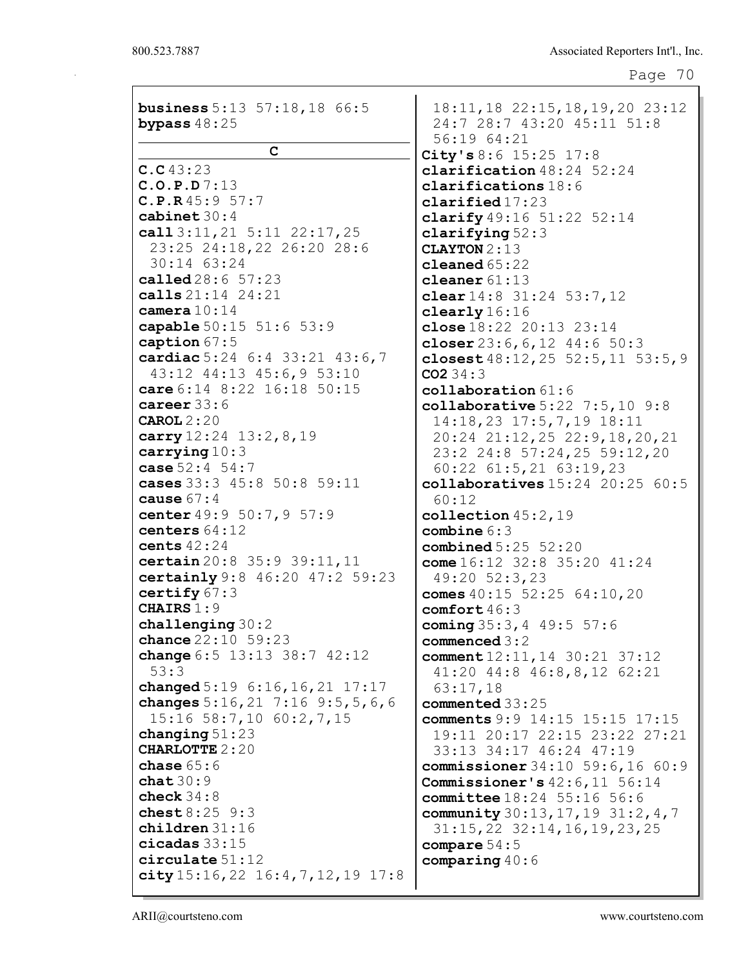| <b>business</b> 5:13 57:18,18 66:5    | $18:11, 18$ $22:15, 18, 19, 20$ $23:12$ |
|---------------------------------------|-----------------------------------------|
| bypass $48:25$                        | 24:7 28:7 43:20 45:11 51:8              |
|                                       | 56:19 64:21                             |
| $\mathbf C$                           | City's $8:6$ 15:25 17:8                 |
| C.C43:23                              | clarification $48:24$ 52:24             |
| C.0.P.D7:13                           | clarifications $18:6$                   |
| C.P.R45:957:7                         | clarified17:23                          |
| cabinet $30:4$                        | clarify $49:16$ 51:22 52:14             |
| call $3:11,21$ $5:11$ $22:17,25$      | clarifying $52:3$                       |
| 23:25 24:18,22 26:20 28:6             | <b>CLAYTON 2:13</b>                     |
| 30:14 63:24                           | cleaned $65:22$                         |
| called 28:6 57:23                     | cleaner $61:13$                         |
| calls $21:14$ $24:21$                 | clear $14:8$ 31:24 53:7,12              |
| camera $10:14$                        | clearly 16:16                           |
| capable 50:15 51:6 53:9               | close $18:22$ 20:13 $23:14$             |
| caption 67:5                          | closer $23:6, 6, 12$ 44:6 50:3          |
| cardiac 5:24 6:4 33:21 43:6,7         | closest $48:12, 25$ 52:5, 11 53:5, 9    |
| 43:12 44:13 45:6,9 53:10              | CO234:3                                 |
| care 6:14 8:22 16:18 50:15            | $\texttt{collaboration} 61:6$           |
| career $33:6$                         | collaborative $5:22$ $7:5,10$ $9:8$     |
| CAROL 2:20                            | 14:18,23 17:5,7,19 18:11                |
| carry $12:24$ $13:2,8,19$             | 20:24 21:12,25 22:9,18,20,21            |
| carrying $10:3$                       | 23:2 24:8 57:24,25 59:12,20             |
| case $52:4$ $54:7$                    | $60:22$ $61:5,21$ $63:19,23$            |
| cases 33:3 45:8 50:8 59:11            | collaboratives $15:24$ 20:25 $60:5$     |
| cause $67:4$                          | 60:12                                   |
| center 49:9 50:7, 9 57:9              | collection $45:2,19$                    |
| centers 64:12                         | combine $6:3$                           |
| cents $42:24$                         | combined $5:25$ $52:20$                 |
| certain 20:8 35:9 39:11, 11           | come $16:12$ 32:8 35:20 41:24           |
| certainly 9:8 46:20 47:2 59:23        | 49:20 52:3,23                           |
| certify $67:3$                        | comes $40:15$ 52:25 64:10,20            |
| CHAIRS 1:9                            | comfort $46:3$                          |
| challenging $30:2$                    | coming $35:3, 4$ 49:5 57:6              |
| chance 22:10 59:23                    | commenced $3:2$                         |
| change $6:5$ 13:13 38:7 42:12         | comment $12:11, 14$ $30:21$ $37:12$     |
| 53:3                                  | 41:20 44:8 46:8,8,12 62:21              |
| changed $5:19 \t6:16,16,21 \t17:17$   | 63:17,18                                |
| changes $5:16,21$ 7:16 9:5,5,6,6      | commented 33:25                         |
| 15:16 58:7,10 60:2,7,15               | comments 9:9 14:15 15:15 17:15          |
| changing $51:23$                      | 19:11 20:17 22:15 23:22 27:21           |
| <b>CHARLOTTE 2:20</b>                 | 33:13 34:17 46:24 47:19                 |
| chase $65:6$                          | commissioner 34:10 59:6,16 60:9         |
| chat30:9                              | Commissioner's $42:6, 11$ 56:14         |
| check $34:8$                          | <b>committee</b> 18:24 55:16 56:6       |
| chest $8:25$ $9:3$                    | community $30:13, 17, 19$ $31:2, 4, 7$  |
| children 31:16                        | $31:15,22$ $32:14,16,19,23,25$          |
| cicadas $33:15$                       | compare $54:5$                          |
| circulate 51:12                       | comparing $40:6$                        |
| city $15:16,22$ $16:4,7,12,19$ $17:8$ |                                         |
|                                       |                                         |

ARII@courtsteno.com www.courtsteno.com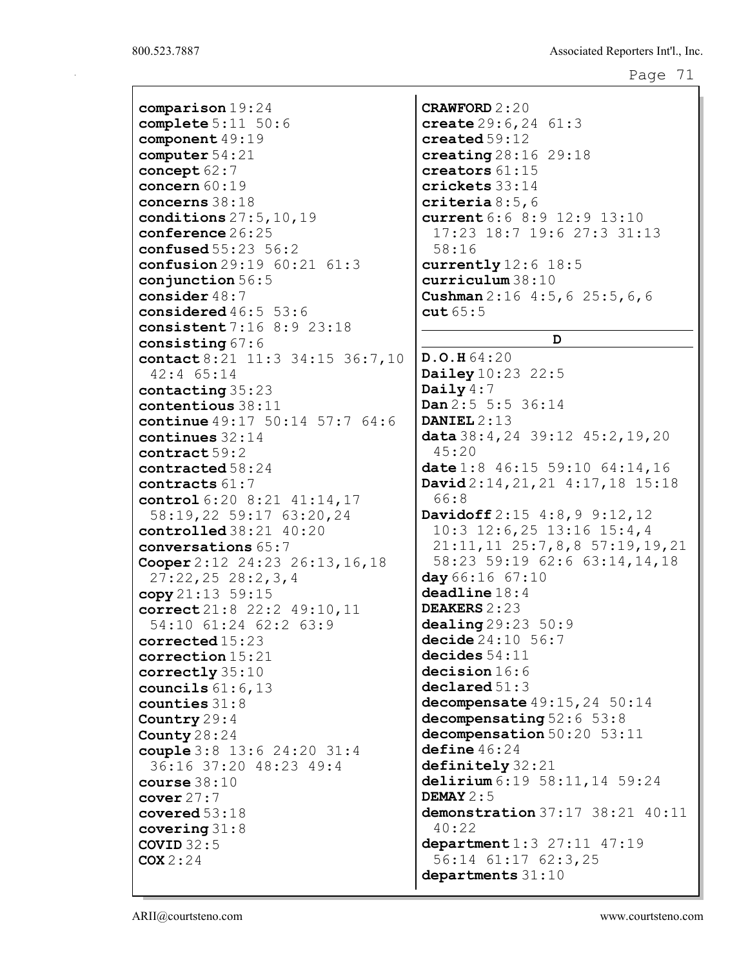```
Page 71
```
comparison 19:24 complete 5:11 50:6 component 49:19 computer 54:21 concept 62:7 concern 60:19 concerns 38:18 conditions 27:5,10,19 conference 26:25 confused 55:23 56:2 confusion 29:19 60:21 61:3 conjunction 56:5 consider 48:7 considered 46:5 53:6 consistent 7:16 8:9 23:18 consisting 67:6 contact 8:21 11:3 34:15 36:7,10 42:4 65:14 contacting 35:23 contentious 38:11 continue 49:17 50:14 57:7 64:6 continues 32:14 contract 59:2 contracted 58:24 contracts 61:7 control 6:20 8:21 41:14,17 58:19,22 59:17 63:20,24 controlled 38:21 40:20 conversations 65:7 Cooper 2:12 24:23 26:13,16,18 27:22,25 28:2,3,4 copy  $21:13$  59:15 correct 21:8 22:2 49:10,11 54:10 61:24 62:2 63:9 corrected 15:23 correction 15:21 correctly 35:10 councils 61:6,13 counties 31:8 Country 29:4 County 28:24 couple 3:8 13:6 24:20 31:4 36:16 37:20 48:23 49:4 course 38:10 cover 27:7 covered 53:18 covering 31:8 COVID  $32:5$  $COX 2:24$ 

CRAWFORD 2:20 create 29:6,24 61:3 created 59:12 creating 28:16 29:18 creators 61:15 crickets 33:14 criteria 8:5,6 current 6:6 8:9 12:9 13:10 17:23 18:7 19:6 27:3 31:13 58:16 currently 12:6 18:5 curriculum 38:10 Cushman 2:16 4:5,6 25:5,6,6  $cut 65:5$ D D.O.H 64:20 **Dailey** 10:23 22:5 Daily 4:7 Dan 2:5 5:5 36:14 DANIEL 2:13 data 38:4,24 39:12 45:2,19,20 45:20 date 1:8 46:15 59:10 64:14,16 David 2:14,21,21 4:17,18 15:18 66:8 Davidoff  $2:15$   $4:8,9$   $9:12,12$ 10:3 12:6,25 13:16 15:4,4 21:11,11 25:7,8,8 57:19,19,21 58:23 59:19 62:6 63:14,14,18 day 66:16 67:10 deadline 18:4 DEAKERS 2:23 dealing 29:23 50:9 decide 24:10 56:7 decides 54:11 decision  $16:6$ declared 51:3 decompensate  $49:15,24$  50:14 decompensating 52:6 53:8 decompensation 50:20 53:11 define 46:24 definitely 32:21 delirium 6:19 58:11, 14 59:24 DEMAY  $2:5$ demonstration 37:17 38:21 40:11 40:22 department 1:3 27:11 47:19 56:14 61:17 62:3,25 departments  $31:10$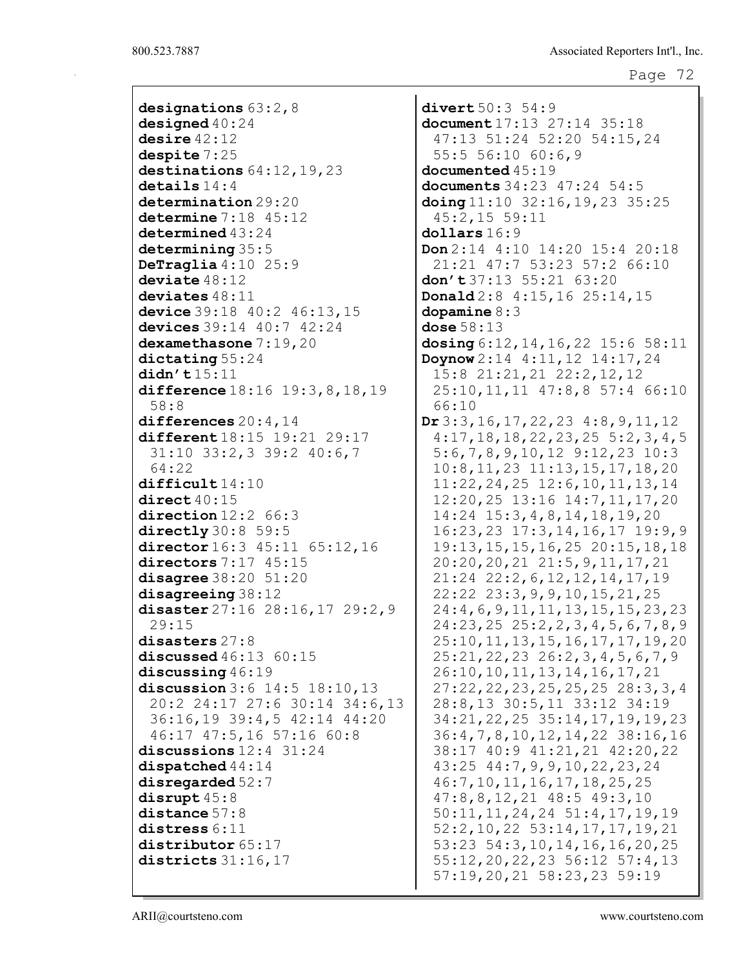designations 63:2,8 designed 40:24 desire 42:12 despite 7:25 destinations  $64:12,19,23$ details 14:4 determination 29:20 determine 7:18 45:12 determined 43:24 determining 35:5 DeTraglia 4:10 25:9 deviate 48:12 deviates 48:11 device 39:18 40:2 46:13,15 devices 39:14 40:7 42:24 dexamethasone 7:19,20 dictating 55:24 didn't 15:11 difference 18:16 19:3, 8, 18, 19 58:8 differences 20:4,14 different 18:15 19:21 29:17 31:10 33:2,3 39:2 40:6,7 64:22 difficult 14:10 direct 40:15 direction 12:2 66:3 directly 30:8 59:5 director 16:3 45:11 65:12, 16 directors 7:17 45:15 disagree 38:20 51:20 disagreeing 38:12 disaster 27:16 28:16, 17 29:2, 9 29:15 disasters 27:8 discussed 46:13 60:15 discussing 46:19 discussion 3:6 14:5 18:10,13 20:2 24:17 27:6 30:14 34:6,13 36:16,19 39:4,5 42:14 44:20 46:17 47:5,16 57:16 60:8 discussions 12:4 31:24 dispatched 44:14 disregarded 52:7 disrupt 45:8 distance 57:8 distress  $6:11$ distributor 65:17 districts 31:16,17

divert 50:3 54:9 document 17:13 27:14 35:18 47:13 51:24 52:20 54:15,24 55:5 56:10 60:6,9 documented 45:19 documents 34:23 47:24 54:5 doing 11:10 32:16,19,23 35:25 45:2,15 59:11 dollars 16:9 Don 2:14 4:10 14:20 15:4 20:18 21:21 47:7 53:23 57:2 66:10 don't  $37:13$  55:21 63:20 Donald 2:8 4:15,16 25:14,15 dopamine 8:3 dose 58:13 dosing 6:12,14,16,22 15:6 58:11 Doynow 2:14 4:11,12 14:17,24 15:8 21:21,21 22:2,12,12 25:10,11,11 47:8,8 57:4 66:10 66:10 Dr 3:3,16,17,22,23 4:8,9,11,12 4:17,18,18,22,23,25 5:2,3,4,5 5:6,7,8,9,10,12 9:12,23 10:3 10:8,11,23 11:13,15,17,18,20 11:22,24,25 12:6,10,11,13,14 12:20,25 13:16 14:7,11,17,20 14:24 15:3,4,8,14,18,19,20 16:23,23 17:3,14,16,17 19:9,9 19:13,15,15,16,25 20:15,18,18 20:20,20,21 21:5,9,11,17,21 21:24 22:2,6,12,12,14,17,19 22:22 23:3,9,9,10,15,21,25 24:4,6,9,11,11,13,15,15,23,23 24:23,25 25:2,2,3,4,5,6,7,8,9 25:10,11,13,15,16,17,17,19,20 25:21,22,23 26:2,3,4,5,6,7,9 26:10,10,11,13,14,16,17,21 27:22,22,23,25,25,25 28:3,3,4 28:8,13 30:5,11 33:12 34:19 34:21,22,25 35:14,17,19,19,23 36:4,7,8,10,12,14,22 38:16,16 38:17 40:9 41:21,21 42:20,22 43:25 44:7,9,9,10,22,23,24 46:7,10,11,16,17,18,25,25 47:8,8,12,21 48:5 49:3,10 50:11,11,24,24 51:4,17,19,19 52:2,10,22 53:14,17,17,19,21 53:23 54:3,10,14,16,16,20,25 55:12,20,22,23 56:12 57:4,13 57:19,20,21 58:23,23 59:19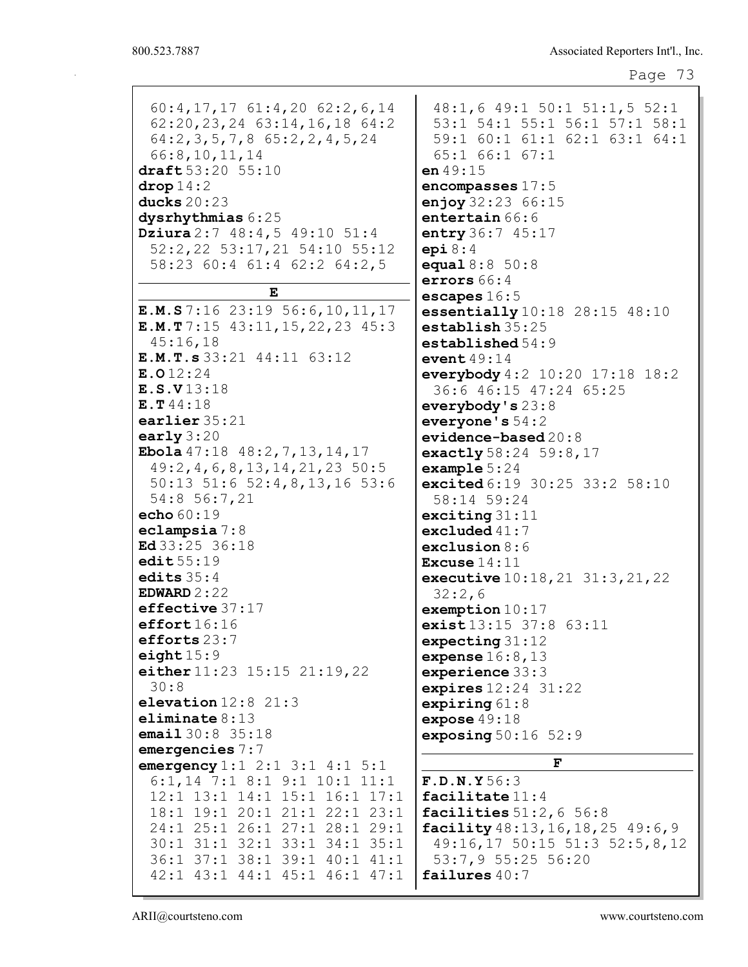60:4,17,17 61:4,20 62:2,6,14 62:20,23,24 63:14,16,18 64:2 64:2,3,5,7,8 65:2,2,4,5,24 66:8,10,11,14 draft 53:20 55:10 drop 14:2 ducks 20:23 dysrhythmias 6:25 Dziura 2:7 48:4,5 49:10 51:4 52:2,22 53:17,21 54:10 55:12 58:23 60:4 61:4 62:2 64:2,5 E E.M.S 7:16 23:19 56:6,10,11,17 E.M.T 7:15 43:11,15,22,23 45:3 45:16,18 E.M.T.s 33:21 44:11 63:12 E.O 12:24 E.S.V 13:18 E.T 44:18 earlier 35:21 early 3:20 Ebola 47:18 48:2,7,13,14,17 49:2,4,6,8,13,14,21,23 50:5 50:13 51:6 52:4,8,13,16 53:6 54:8 56:7,21 echo 60:19 eclampsia 7:8 Ed 33:25 36:18 edit  $55:19$ edits 35:4 EDWARD 2:22 effective 37:17 effort  $16:16$ efforts 23:7 eight  $15:9$ either 11:23 15:15 21:19,22 30:8 elevation 12:8 21:3 eliminate 8:13 email 30:8 35:18 emergencies 7:7 emergency 1:1 2:1 3:1 4:1 5:1 6:1,14 7:1 8:1 9:1 10:1 11:1 12:1 13:1 14:1 15:1 16:1 17:1 18:1 19:1 20:1 21:1 22:1 23:1 24:1 25:1 26:1 27:1 28:1 29:1 30:1 31:1 32:1 33:1 34:1 35:1 36:1 37:1 38:1 39:1 40:1 41:1 42:1 43:1 44:1 45:1 46:1 47:1 53:7,9 55:25 56:20 failures 40:7

48:1,6 49:1 50:1 51:1,5 52:1 53:1 54:1 55:1 56:1 57:1 58:1 59:1 60:1 61:1 62:1 63:1 64:1 65:1 66:1 67:1 en 49:15 encompasses 17:5 enjoy 32:23 66:15 entertain 66:6 entry 36:7 45:17 epi  $8:4$ equal 8:8 50:8 errors 66:4 escapes 16:5 essentially 10:18 28:15 48:10 establish 35:25 established 54:9 event 49:14 everybody 4:2 10:20 17:18 18:2 36:6 46:15 47:24 65:25 everybody's 23:8 everyone's 54:2 evidence-based 20:8 exactly 58:24 59:8,17 example 5:24 excited 6:19 30:25 33:2 58:10 58:14 59:24 exciting 31:11 excluded 41:7 exclusion 8:6 Excuse 14:11 executive 10:18,21 31:3,21,22 32:2,6 exemption 10:17 exist 13:15 37:8 63:11 expecting 31:12 expense 16:8,13 experience 33:3 expires 12:24 31:22 expiring 61:8 expose 49:18 exposing 50:16 52:9 F F.D.N.Y 56:3 facilitate 11:4 facilities  $51:2,6$  56:8 facility 48:13,16,18,25 49:6,9 49:16,17 50:15 51:3 52:5,8,12

ARII@courtsteno.com www.courtsteno.com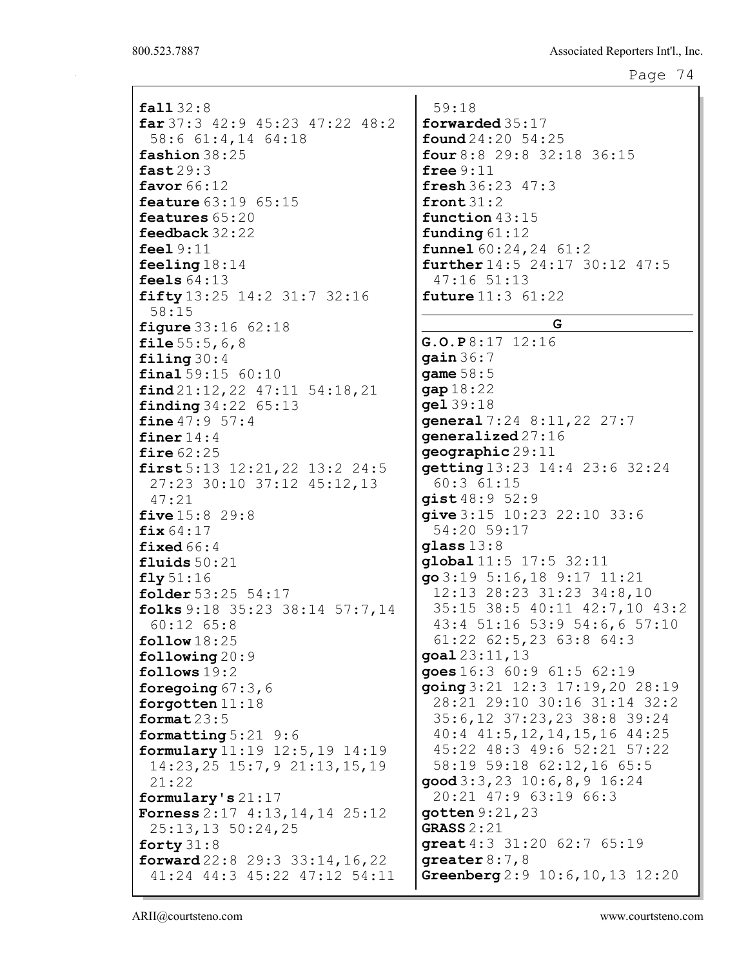| fall32:8<br>$far\,37:3$ 42:9 45:23 47:22 48:2 | 59:18<br>forward   |
|-----------------------------------------------|--------------------|
| 58:6 61:4,14 64:18                            | found 2            |
| fashion 38:25                                 | four $8:$          |
| fast29:3                                      | free $9:$          |
|                                               |                    |
| favor 66:12                                   | fresh 3            |
| feature 63:19 65:15                           | front3             |
| features 65:20                                | functio            |
| feedback 32:22                                | fundin             |
| feel $9:11$                                   | funnel             |
| feeling $18:14$                               | furthe:            |
|                                               |                    |
| feels $64:13$                                 | 47:16              |
| fifty 13:25 14:2 31:7 32:16                   | future             |
| 58:15                                         |                    |
| <b>figure</b> $33:16$ $62:18$                 |                    |
| file $55:5,6,8$                               | G.O.P 8            |
| filing $30:4$                                 | qain36             |
|                                               | $\text{game } 58$  |
| final 59:15 60:10                             |                    |
| find 21:12, 22 47:11 54:18, 21                | gap 18:            |
| finding 34:22 65:13                           | ge139:             |
| fine $47:957:4$                               | genera.            |
| finer $14:4$                                  | genera.            |
| fire $62:25$                                  | geograj            |
| first $5:13$ $12:21,22$ $13:2$ $24:5$         | getting            |
|                                               | 60:3               |
| 27:23 30:10 37:12 45:12,13                    |                    |
| 47:21                                         | gist $48$          |
| <b>five</b> $15:8$ 29:8                       | give 3:            |
| fix $64:17$                                   | 54:20              |
| fixed $66:4$                                  | glass 1            |
| fluids $50:21$                                | global             |
| fly51:16                                      | go3:19             |
|                                               |                    |
| folder 53:25 54:17                            | 12:13              |
| folks $9:18$ 35:23 38:14 57:7,14              | 35:15              |
| $60:12$ $65:8$                                | 43:4               |
| $\texttt{follow}18:25$                        | 61:22              |
| following $20:9$                              | goal 23            |
| follows $19:2$                                | goes $16$          |
|                                               | going 3            |
| foregoing $67:3$ , $6$                        |                    |
| forgotten $11:18$                             | 28:21              |
| format $23:5$                                 | $35:6$ ,           |
| formatting $5:21$ 9:6                         | 40:4               |
| formulary 11:19 12:5, 19 14:19                | 45:22              |
| $14:23, 25$ $15:7, 9$ $21:13, 15, 19$         | 58:19              |
| 21:22                                         | $\mathsf{good}3$ : |
|                                               |                    |
| formulary's $21:17$                           | 20:21              |
| <b>Forness</b> $2:17$ $4:13,14,14$ $25:12$    | gotten             |
| 25:13,13 50:24,25                             | <b>GRASS 2</b>     |
| forty $31:8$                                  | great $4$          |
| forward $22:8$ $29:3$ $33:14$ , $16$ , $22$   | greate:            |
| 41:24 44:3 45:22 47:12 54:11                  | Greenbe            |
|                                               |                    |

59:18  $ded$   $35:17$ found 24:20 54:25 four 8:8 29:8 32:18 36:15  $11$ fresh 36:23 47:3  $31:2$ on  $43:15$ **g** 61:12  $60:24,24$  61:2  $r14:5 24:17 30:12 47:5$ 47:16 51:13  $11:3$  61:22 G G.O.P 8:17 12:16  $: 7$  $:5$ 22 18  $17:24$  8:11,22 27:7  $\texttt{lized} \, 27:16$  $phi29:11$  $g13:23$  14:4 23:6 32:24 61:15  $: 9 \; 52:9$ give 3:15 10:23 22:10 33:6 54:20 59:17  $3:8$ global 11:5 17:5 32:11 go 3:19 5:16,18 9:17 11:21 12:13 28:23 31:23 34:8,10 35:15 38:5 40:11 42:7,10 43:2 43:4 51:16 53:9 54:6,6 57:10 61:22 62:5,23 63:8 64:3  $: 11, 13$ goes 16:3 60:9 61:5 62:19 going 3:21 12:3 17:19,20 28:19 28:21 29:10 30:16 31:14 32:2 35:6,12 37:23,23 38:8 39:24 40:4 41:5,12,14,15,16 44:25 45:22 48:3 49:6 52:21 57:22 58:19 59:18 62:12,16 65:5 good 3:3,23 10:6,8,9 16:24 47:9 63:19 66:3  $9:21,23$  $:21$ great 4:3 31:20 62:7 65:19  $r8:7,8$  $erg 2:9 10:6,10,13 12:20$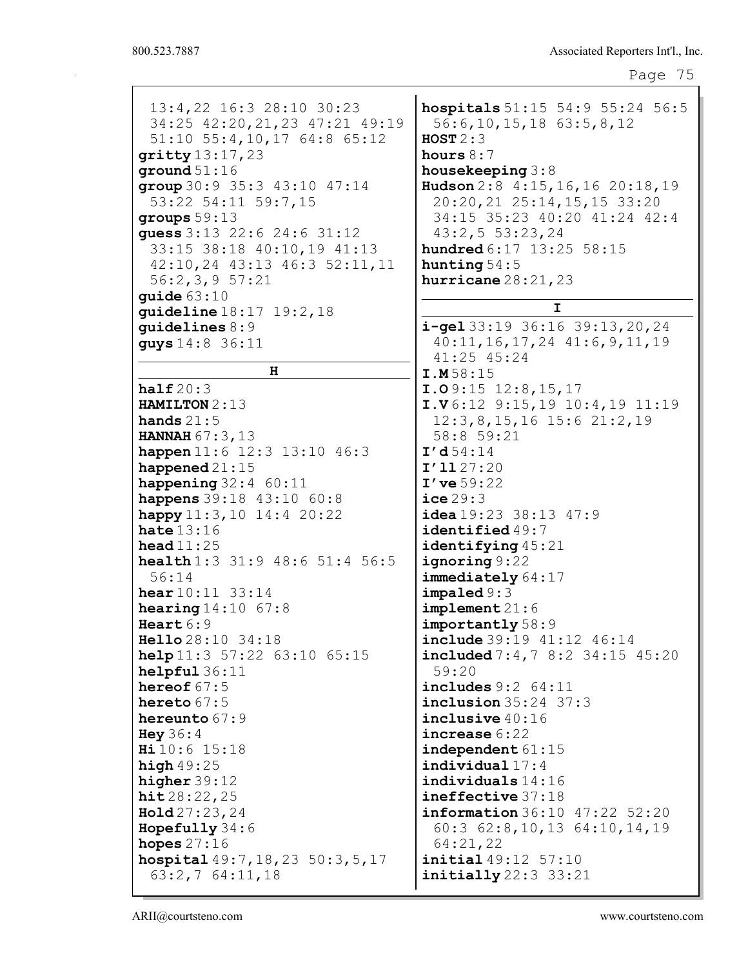| 13:4,22 16:3 28:10 30:23               | hospitals 51:15 54:9 55:24 56:5                    |
|----------------------------------------|----------------------------------------------------|
| 34:25 42:20, 21, 23 47:21 49:19        | $56:6, 10, 15, 18$ $63:5, 8, 12$                   |
| $51:10$ $55:4,10,17$ $64:8$ $65:12$    | HOST $2:3$                                         |
| $gritty$ 13:17, 23                     | hours $8:7$                                        |
| ground $51:16$                         | housekeeping $3:8$                                 |
| group 30:9 35:3 43:10 47:14            | Hudson 2:8 4:15, 16, 16 20:18, 19                  |
| 53:22 54:11 59:7,15                    | 20:20, 21 25:14, 15, 15 33:20                      |
| groups $59:13$                         | 34:15 35:23 40:20 41:24 42:4                       |
| guess 3:13 22:6 24:6 31:12             | 43:2,553:23,24                                     |
| 33:15 38:18 40:10,19 41:13             | hundred 6:17 13:25 58:15                           |
| 42:10, 24 43:13 46:3 52:11, 11         | hunting $54:5$                                     |
| 56:2,3,957:21                          | hurricane $28:21,23$                               |
| guide $63:10$                          | I                                                  |
| <b>guideline</b> $18:17$ $19:2$ , $18$ |                                                    |
| quidelines $8:9$                       | $i$ -gel 33:19 36:16 39:13, 20, 24                 |
| quys 14:8 36:11                        | $40:11, 16, 17, 24$ $41:6, 9, 11, 19$              |
| н                                      | 41:25 45:24                                        |
|                                        | I.M58:15                                           |
| half20:3                               | $I.09:15$ $12:8,15,17$                             |
| <b>HAMILTON</b> $2:13$                 | $I.V6:12$ 9:15,19 10:4,19 11:19                    |
| hands $21:5$                           | $12:3, 8, 15, 16$ 15:6 21:2, 19                    |
| HANNAH 67:3,13                         | 58:8 59:21                                         |
| happen 11:6 12:3 13:10 46:3            | I'd54:14                                           |
| happened $21:15$                       | I'1127:20                                          |
| happening $32:4$ 60:11                 | $I'$ ve $59:22$                                    |
| happens 39:18 43:10 60:8               | $\texttt{ice}29:3$                                 |
| happy $11:3, 10$ $14:4$ $20:22$        | $i$ dea 19:23 38:13 47:9                           |
| hate $13:16$                           | identified 49:7                                    |
| head $11:25$                           | identifying 45:21                                  |
| health 1:3 31:9 48:6 51:4 56:5         | ignoring 9:22                                      |
| 56:14                                  | immediately 64:17                                  |
| <b>hear</b> $10:11$ $33:14$            | impaled 9:3                                        |
| <b>hearing</b> $14:10$ 67:8            | implement21:6                                      |
| Heart $6:9$                            | importantly 58:9                                   |
| Hello 28:10 34:18                      | include 39:19 41:12 46:14                          |
| <b>help</b> $11:3$ 57:22 63:10 65:15   | include 7:4,78:234:1545:20                         |
| helpful36:11<br>hereof $67:5$          | 59:20                                              |
| hereto $67:5$                          | includes $9:2$ $64:11$<br>inclusion 35:24 37:3     |
|                                        |                                                    |
| hereunto $67:9$                        | inclusive $40:16$<br>increase 6:22                 |
| Hey $36:4$<br>Hi 10:6 15:18            |                                                    |
|                                        | independent $61:15$<br>indivialual17:4             |
| high $49:25$                           | $individuals$ $14:16$                              |
| higher $39:12$                         |                                                    |
| hit28:22,25                            | ineffective 37:18<br>information 36:10 47:22 52:20 |
| Hold27:23,24                           |                                                    |
| Hopefully $34:6$                       | $60:3$ $62:8,10,13$ $64:10,14,19$                  |
| hopes $27:16$                          | 64:21,22                                           |
| hospital 49:7, 18, 23 50:3, 5, 17      | initial 49:12 57:10                                |
| $63:2,7$ $64:11,18$                    | initially 22:3 33:21                               |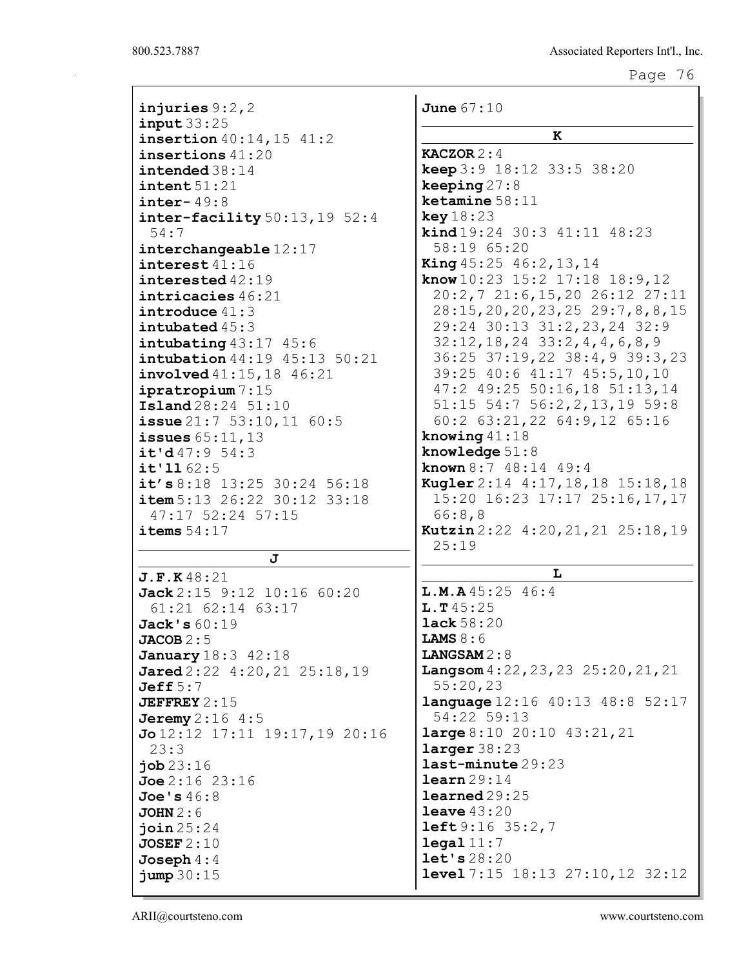| injuries $9:2,2$                               | <b>June</b> 67:10                                                     |
|------------------------------------------------|-----------------------------------------------------------------------|
| input33:25<br>insertion 40:14, 15 41:2         | ĸ                                                                     |
| insertions $41:20$                             | <b>KACZOR</b> $2:4$                                                   |
| intended $38:14$                               | <b>keep</b> $3:9$ 18:12 33:5 38:20                                    |
| $\texttt{intent} 51:21$                        | keeping $27:8$                                                        |
| inter- $49:8$                                  | $k$ etamine $58:11$                                                   |
| $\texttt{inter-facility}$ 50:13, 19 52:4       | key 18:23                                                             |
| 54:7                                           | <b>kind</b> $19:24$ 30:3 $41:11$ 48:23                                |
| interchangeable 12:17                          | 58:19 65:20                                                           |
| interest 41:16                                 | <b>King</b> $45:25$ $46:2$ , $13$ , $14$                              |
| interested 42:19                               | know $10:23$ 15:2 17:18 18:9, 12                                      |
| intricacies 46:21                              | 20:2,7 21:6,15,20 26:12 27:11                                         |
| introduce $41:3$                               | 28:15, 20, 20, 23, 25 29: 7, 8, 8, 15                                 |
| intubated $45:3$                               | 29:24 30:13 31:2,23,24 32:9                                           |
| intubating $43:17$ $45:6$                      | $32:12, 18, 24$ $33:2, 4, 4, 6, 8, 9$                                 |
| intubation 44:19 45:13 50:21                   | 36:25 37:19,22 38:4,9 39:3,23                                         |
| involved 41:15,18 46:21                        | 39:25 40:6 41:17 45:5,10,10                                           |
| ipratropium 7:15                               | 47:2 49:25 50:16,18 51:13,14                                          |
| <b>Island</b> 28:24 51:10                      | 51:15 54:7 56:2,2,13,19 59:8                                          |
| $i$ ssue $21:7$ 53:10, 11 60:5                 | 60:2 63:21,22 64:9,12 65:16                                           |
| issues $65:11,13$                              | knowing $41:18$                                                       |
| it'd47:954:3                                   | knowledge $51:8$                                                      |
| $i$ t'1162:5                                   | known $8:7$ 48:14 49:4                                                |
| it's 8:18 13:25 30:24 56:18                    | Kugler 2:14 4:17, 18, 18 15:18, 18                                    |
| item 5:13 26:22 30:12 33:18                    | 15:20 16:23 17:17 25:16,17,17                                         |
| 47:17 52:24 57:15                              | 66:8,8                                                                |
| items $54:17$                                  | Kutzin 2:22 4:20, 21, 21 25:18, 19                                    |
|                                                | 25:19                                                                 |
| J                                              | L                                                                     |
| J.F.K48:21                                     |                                                                       |
| Jack 2:15 9:12 10:16 60:20                     | L.M.A45:2546:4                                                        |
| 61:21 62:14 63:17                              | L.T45:25                                                              |
| Jack's $60:19$                                 | <b>lack</b> $58:20$                                                   |
| JACOB 2:5                                      | <b>LAMS</b> $8:6$                                                     |
| <b>January</b> 18:3 42:18                      | LANGSAM 2:8                                                           |
| Jared $2:22$ 4:20, 21 $25:18$ , 19<br>Jeff 5:7 | <b>Langsom</b> $4:22$ , $23$ , $23$ $25:20$ , $21$ , $21$<br>55:20,23 |
| JEFFREY $2:15$                                 | <b>language</b> 12:16 40:13 48:8 52:17                                |
| <b>Jeremy</b> $2:16$ $4:5$                     | 54:22 59:13                                                           |
| $Jo12:12$ 17:11 19:17,19 20:16                 | <b>large</b> $8:10$ $20:10$ $43:21,21$                                |
| 23:3                                           | larger 38:23                                                          |
| job23:16                                       | last-minute 29:23                                                     |
| Joe 2:16 23:16                                 | learn 29:14                                                           |
| Joe's $46:8$                                   | $l$ earned $29:25$                                                    |
| JOHN 2:6                                       | leave $43:20$                                                         |
| join25:24                                      | $left9:16$ 35:2,7                                                     |
| JOSEF2:10                                      | $\texttt{legal 11:7}$                                                 |
| Joseph $4:4$                                   | let's 28:20                                                           |
| jump 30:15                                     | <b>level</b> $7:15$ $18:13$ $27:10,12$ $32:12$                        |
|                                                |                                                                       |

ARII@courtsteno.com www.courtsteno.com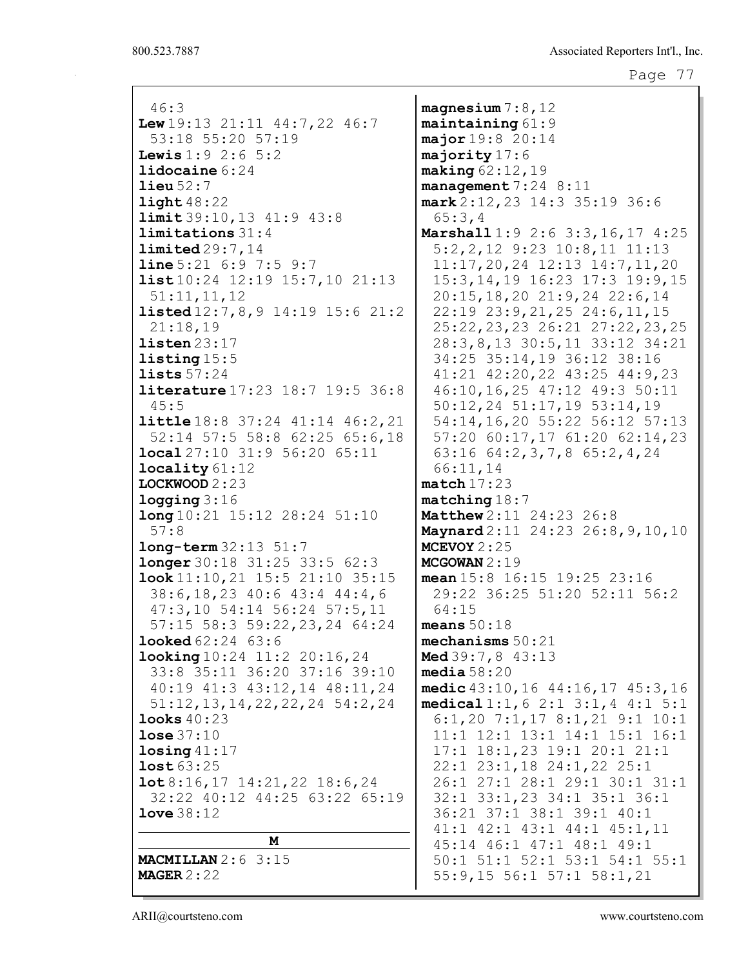| 46:3                                               | magnesium $7:8,12$                                                         |
|----------------------------------------------------|----------------------------------------------------------------------------|
| Lew $19:13$ $21:11$ $44:7,22$ $46:7$               | $maintaining 61:9$                                                         |
| 53:18 55:20 57:19                                  | major 19:8 20:14                                                           |
| <b>Lewis</b> $1:9$ 2:6 5:2                         | majority 17:6                                                              |
| lidocaine $6:24$                                   | making $62:12,19$                                                          |
| $\text{lieu }52:7$                                 | management $7:24$ 8:11                                                     |
| $\text{light }48:22$                               | mark 2:12, 23 14:3 35:19 36:6                                              |
| limit 39:10, 13 41:9 43:8<br>limitations 31:4      | 65:3,4                                                                     |
| limited29:7.14                                     | Marshall 1:9 2:6 3:3, 16, 17 4:25                                          |
| <b>line</b> $5:21$ $6:9$ $7:5$ $9:7$               | $5:2, 2, 12$ 9:23 10:8, 11 11:13<br>$11:17, 20, 24$ $12:13$ $14:7, 11, 20$ |
| <b>list</b> 10:24 12:19 15:7, 10 21:13             | 15:3, 14, 19 16: 23 17: 3 19: 9, 15                                        |
| 51:11,11,12                                        | 20:15, 18, 20 21: 9, 24 22: 6, 14                                          |
| <b>listed</b> $12:7, 8, 9$ 14:19 15:6 21:2         | 22:19 23:9, 21, 25 24:6, 11, 15                                            |
| 21:18,19                                           | 25:22, 23, 23 26:21 27:22, 23, 25                                          |
| listen 23:17                                       | 28:3,8,13 30:5,11 33:12 34:21                                              |
| listing 15:5                                       | 34:25 35:14,19 36:12 38:16                                                 |
| lists $57:24$                                      | 41:21 42:20,22 43:25 44:9,23                                               |
| <b>literature</b> 17:23 18:7 19:5 36:8             | 46:10,16,25 47:12 49:3 50:11                                               |
| 45:5                                               | 50:12,24 51:17,19 53:14,19                                                 |
| <b>little</b> 18:8 37:24 41:14 46:2, 21            | 54:14,16,20 55:22 56:12 57:13                                              |
| 52:14 57:5 58:8 62:25 65:6,18                      | 57:20 60:17,17 61:20 62:14,23                                              |
| local 27:10 31:9 56:20 65:11                       | 63:16 $64:2,3,7,8$ 65:2,4,24                                               |
| locality 61:12                                     | 66:11,14                                                                   |
| LOCKWOOD $2:23$                                    | match17:23                                                                 |
| logging 3:16                                       | $matching 18:7$                                                            |
| long 10:21 15:12 28:24 51:10                       | Matthew 2:11 24:23 26:8                                                    |
| 57:8                                               | Maynard 2:11 24:23 26:8, 9, 10, 10                                         |
| $long-term 32:13 51:7$                             | MCEVOY $2:25$                                                              |
| <b>longer</b> 30:18 31:25 33:5 62:3                | MCGOWAN $2:19$                                                             |
| $\texttt{look}$ 11:10, 21 15:5 21:10 35:15         | mean $15:8$ $16:15$ $19:25$ $23:16$                                        |
| 38:6, 18, 23 40:6 43:4 44:4, 6                     | 29:22 36:25 51:20 52:11 56:2                                               |
| 47:3,10 54:14 56:24 57:5,11                        | 64:15                                                                      |
| 57:15 58:3 59:22, 23, 24 64:24                     | means $50:18$                                                              |
| <b>looked</b> 62:24 63:6                           | mechanisms $50:21$                                                         |
| <b>looking</b> $10:24$ $11:2$ $20:16$ , $24$       | Med 39:7,8 43:13                                                           |
| 33:8 35:11 36:20 37:16 39:10                       | media $58:20$                                                              |
| 40:19 41:3 43:12,14 48:11,24                       | medic 43:10, 16 44:16, 17 45:3, 16                                         |
| $51:12, 13, 14, 22, 22, 24$ 54:2, 24               | medical 1:1, 6 2:1 3:1, 4 4:1 5:1                                          |
| looks $40:23$                                      | $6:1, 20$ 7:1, 17 8:1, 21 9:1 10:1                                         |
| <b>lose</b> $37:10$<br>$\text{losing } 41:17$      | $11:1$ $12:1$ $13:1$ $14:1$ $15:1$ $16:1$<br>17:1 18:1,23 19:1 20:1 21:1   |
| lost 63:25                                         | 22:1 23:1,18 24:1,22 25:1                                                  |
| $\texttt{lot8:16,17} \quad 14:21,22 \quad 18:6,24$ | 26:1 27:1 28:1 29:1 30:1 31:1                                              |
| 32:22 40:12 44:25 63:22 65:19                      | 32:1 33:1,23 34:1 35:1 36:1                                                |
| $1$ ove $38:12$                                    | 36:21 37:1 38:1 39:1 40:1                                                  |
|                                                    | $41:1$ $42:1$ $43:1$ $44:1$ $45:1$ , $11$                                  |
| M                                                  | 45:14 46:1 47:1 48:1 49:1                                                  |
| <b>MACMILLAN</b> $2:6$ 3:15                        | 50:1 51:1 52:1 53:1 54:1 55:1                                              |
| MAGER $2:22$                                       | 55:9,15 56:1 57:1 58:1,21                                                  |
|                                                    |                                                                            |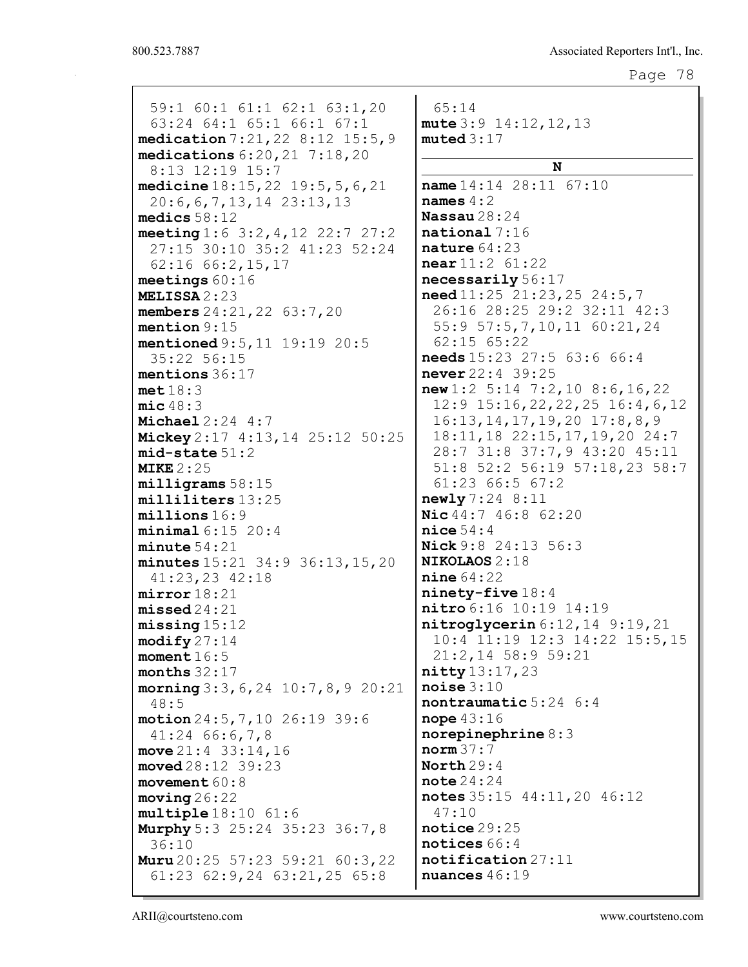| 59:1 60:1 61:1 62:1 63:1,20                  | 65:14                                        |
|----------------------------------------------|----------------------------------------------|
| 63:24 64:1 65:1 66:1 67:1                    | mute $3:9$ 14:12, 12, 13                     |
| medication 7:21, 22 8:12 15:5, 9             | muted 3:17                                   |
| medications $6:20,21$ $7:18,20$              |                                              |
| 8:13 12:19 15:7                              | N                                            |
| medicine 18:15, 22 19:5, 5, 6, 21            | name 14:14 28:11 67:10                       |
| $20:6, 6, 7, 13, 14$ $23:13, 13$             | names $4:2$                                  |
| medics $58:12$                               | Nassau $28:24$                               |
| meeting $1:6 \t3:2, 4, 12 \t22:7 \t27:2$     | $\mathtt{national}$ 7:16                     |
| 27:15 30:10 35:2 41:23 52:24                 | nature $64:23$                               |
| $62:16$ $66:2,15,17$                         | near 11:2 61:22                              |
| meetings $60:16$                             | necessarily 56:17                            |
| MELISSA 2:23                                 | need 11:25 21:23,25 24:5,7                   |
| members 24:21, 22 63:7, 20                   | 26:16 28:25 29:2 32:11 42:3                  |
| mention 9:15                                 | 55:9 57:5,7,10,11 60:21,24                   |
| mentioned 9:5, 11 19:19 20:5                 | 62:15 65:22                                  |
| 35:22 56:15                                  | needs 15:23 27:5 63:6 66:4                   |
| mentions 36:17                               | never 22:4 39:25                             |
| met18:3                                      | new1:2 5:14 7:2,10 8:6,16,22                 |
| mic48:3                                      | $12:9$ 15:16, 22, 22, 25 16:4, 6, 12         |
| Michael $2:24$ 4:7                           | $16:13, 14, 17, 19, 20$ 17:8,8,9             |
| Mickey 2:17 4:13, 14 25:12 50:25             | 18:11, 18 22:15, 17, 19, 20 24:7             |
| $mid-state 51:2$                             | 28:7 31:8 37:7,9 43:20 45:11                 |
| <b>MIKE</b> 2:25                             | 51:8 52:2 56:19 57:18,23 58:7                |
| milligrams 58:15                             | $61:23$ $66:5$ $67:2$                        |
| milliliters 13:25                            | newly 7:24 8:11                              |
| millions 16:9                                | Nic 44:7 46:8 62:20                          |
| minimal 6:15 20:4                            | $nice$ 54:4                                  |
| minute 54:21                                 | Nick 9:8 24:13 56:3                          |
| minutes $15:21$ $34:9$ $36:13$ , $15$ , $20$ | <b>NIKOLAOS 2:18</b>                         |
| $41:23,23$ $42:18$                           | nine 64:22                                   |
| mirror18:21                                  | $ninety-five 18:4$<br>nitro 6:16 10:19 14:19 |
| missed24:21                                  | nitroglycerin 6:12, 14 9:19, 21              |
| missing 15:12                                | 10:4 11:19 12:3 14:22 15:5,15                |
| $\text{modify } 27:14$<br>moment $16:5$      | 21:2,14 58:9 59:21                           |
| months $32:17$                               | nitty 13:17, 23                              |
| morning $3:3, 6, 24$ 10:7,8,9 20:21          | noise 3:10                                   |
| 48:5                                         | nontraumatic 5:24 6:4                        |
| motion 24:5, 7, 10 26:19 39:6                | nope $43:16$                                 |
| $41:24$ 66:6,7,8                             | norepinephrine $8:3$                         |
| move $21:4$ 33:14,16                         | norm37:7                                     |
| $\text{move} d28:12 \quad 39:23$             | North $29:4$                                 |
| movement $60:8$                              | note 24:24                                   |
| moving 26:22                                 | notes 35:15 44:11, 20 46:12                  |
| multiple 18:10 61:6                          | 47:10                                        |
| <b>Murphy</b> 5:3 25:24 35:23 36:7,8         | notice $29:25$                               |
| 36:10                                        | notices 66:4                                 |
| <b>Muru</b> $20:25$ 57:23 59:21 60:3,22      | notification 27:11                           |
| $61:23$ $62:9,24$ $63:21,25$ $65:8$          | nuances $46:19$                              |
|                                              |                                              |

ARII@courtsteno.com www.courtsteno.com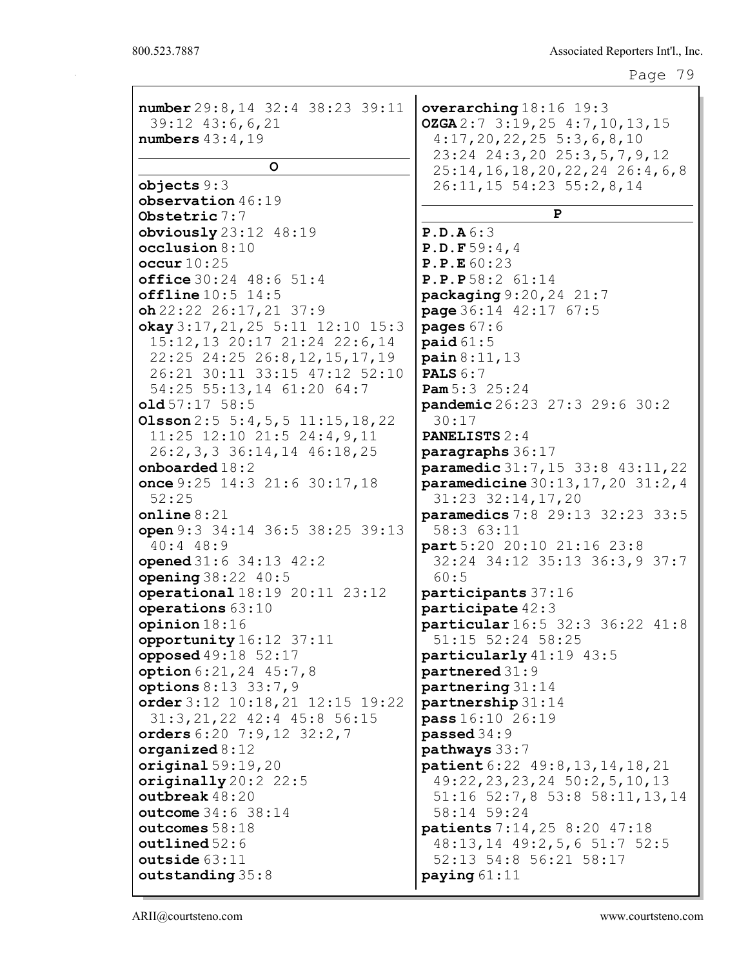| number 29:8, 14 32:4 38:23 39:11                 | overarching 18:16 19:3                        |
|--------------------------------------------------|-----------------------------------------------|
| 39:12 43:6,6,21                                  | OZGA2:73:19,254:7,10,13,15                    |
| numbers $43:4,19$                                | $4:17,20,22,25$ 5:3,6,8,10                    |
|                                                  | 23:24 24:3,20 25:3,5,7,9,12                   |
| $\circ$                                          | $25:14, 16, 18, 20, 22, 24$ 26:4, 6,8         |
| objects 9:3                                      | 26:11, 15 54:23 55:2, 8, 14                   |
| observation $46:19$                              |                                               |
| Obstetric 7:7                                    | P                                             |
| obviously $23:12$ $48:19$                        | P.D.A6:3                                      |
| occlusion 8:10                                   | P.D.F59:4,4                                   |
| occur $10:25$                                    | P.P.E 60:23                                   |
| office 30:24 48:6 51:4                           | P.P.P.58:2 61:14                              |
| offline 10:5 14:5                                | $package9:20,24$ 21:7                         |
| $oh$ 22:22 26:17, 21 37:9                        | page 36:14 42:17 67:5                         |
| okay $3:17, 21, 25$ 5:11 12:10 15:3              | pages $67:6$                                  |
| 15:12, 13 20:17 21:24 22:6, 14                   | $\text{paid }61:5$                            |
| 22:25 24:25 26:8,12,15,17,19                     | $\pi$ ain 8:11, 13                            |
| 26:21 30:11 33:15 47:12 52:10                    | <b>PALS</b> $6:7$                             |
| 54:25 55:13,14 61:20 64:7                        | <b>Pam</b> $5:3$ $25:24$                      |
| old57:1758:5                                     | pandemic 26:23 27:3 29:6 30:2                 |
| Olsson $2:5\ 5:4,5,5\ 11:15,18,22$               | 30:17                                         |
| $11:25$ $12:10$ $21:5$ $24:4,9,11$               | <b>PANELISTS 2:4</b>                          |
| 26:2, 3, 3 36:14, 14 46:18, 25                   | paragraphs 36:17                              |
| onboarded $18:2$                                 | paramedic 31:7, 15 33:8 43:11, 22             |
| once $9:25$ 14:3 21:6 30:17, 18                  | <b>paramedicine</b> $30:13, 17, 20, 31:2, 4$  |
| 52:25                                            | 31:23 32:14,17,20                             |
| online $8:21$<br>open 9:3 34:14 36:5 38:25 39:13 | paramedics 7:8 29:13 32:23 33:5<br>58:3 63:11 |
| $40:4$ $48:9$                                    | part 5:20 20:10 21:16 23:8                    |
| opened 31:6 34:13 42:2                           | 32:24 34:12 35:13 36:3,9 37:7                 |
| opening $38:22 \ 40:5$                           | 60:5                                          |
| operational 18:19 20:11 23:12                    | participants 37:16                            |
| operations 63:10                                 | participate $42:3$                            |
| opinion $18:16$                                  | particular 16:5 32:3 36:22 41:8               |
| opportunity 16:12 37:11                          | 51:15 52:24 58:25                             |
| opposed 49:18 52:17                              | particularly 41:19 43:5                       |
| option 6:21, 24 45:7, 8                          | partnered 31:9                                |
| options $8:13$ 33:7,9                            | partnering 31:14                              |
| order $3:12$ 10:18, 21 12:15 19:22               | partnership 31:14                             |
| 31:3, 21, 22 42:4 45:8 56:15                     | pass 16:10 26:19                              |
| orders $6:20$ $7:9,12$ $32:2,7$                  | passed 34:9                                   |
| organized $8:12$                                 | pathways 33:7                                 |
| original $59:19,20$                              | <b>patient</b> 6:22 49:8, 13, 14, 18, 21      |
| originally $20:2$ $22:5$                         | $49:22, 23, 23, 24$ $50:2, 5, 10, 13$         |
| outbreak $48:20$                                 | 51:16 52:7,8 53:8 58:11,13,14                 |
| outcome 34:6 38:14                               | 58:14 59:24                                   |
| outcomes 58:18                                   | patients 7:14, 25 8:20 47:18                  |
| outlined 52:6                                    | 48:13,14 49:2,5,6 51:7 52:5                   |
| outside $63:11$                                  | 52:13 54:8 56:21 58:17                        |
| outstanding 35:8                                 | paying $61:11$                                |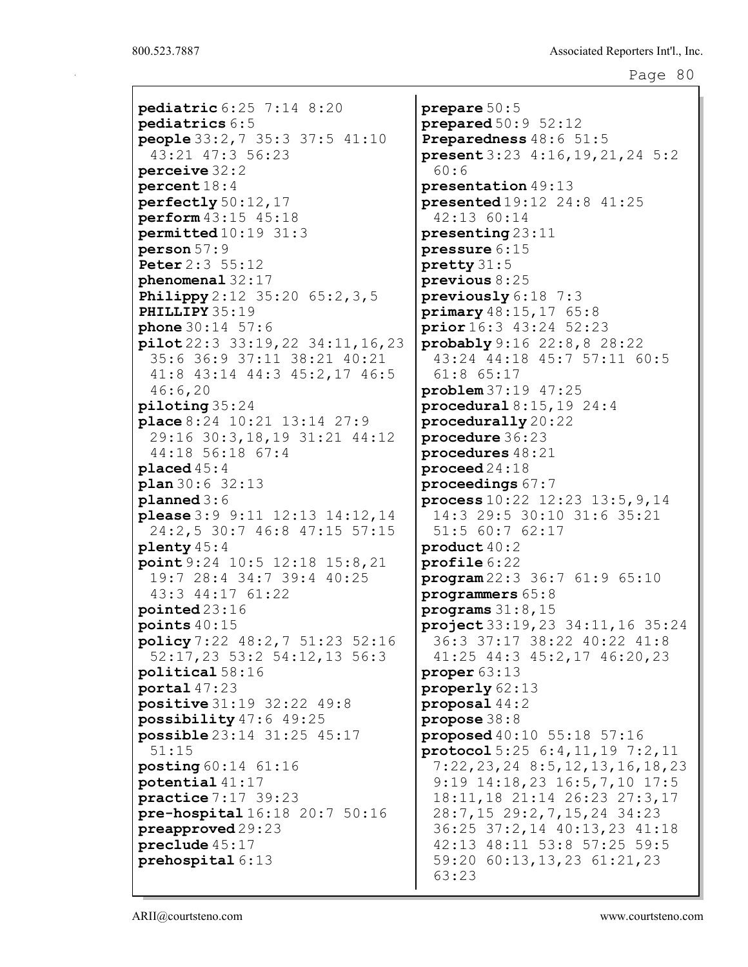pediatric 6:25 7:14 8:20 pediatrics 6:5 people 33:2,7 35:3 37:5 41:10 43:21 47:3 56:23 perceive 32:2 percent 18:4 perfectly 50:12,17 perform 43:15 45:18 permitted 10:19 31:3 person 57:9 Peter 2:3 55:12 phenomenal 32:17 **Philippy** 2:12 35:20 65:2, 3, 5 PHILLIPY 35:19 phone 30:14 57:6 pilot 22:3 33:19,22 34:11,16,23 35:6 36:9 37:11 38:21 40:21 41:8 43:14 44:3 45:2,17 46:5 46:6,20 piloting 35:24 place 8:24 10:21 13:14 27:9 29:16 30:3,18,19 31:21 44:12 44:18 56:18 67:4 placed 45:4 plan 30:6 32:13 planned 3:6 please 3:9 9:11 12:13 14:12,14 24:2,5 30:7 46:8 47:15 57:15 plenty 45:4 point 9:24 10:5 12:18 15:8,21 19:7 28:4 34:7 39:4 40:25 43:3 44:17 61:22 pointed 23:16 points 40:15 policy 7:22 48:2,7 51:23 52:16 52:17,23 53:2 54:12,13 56:3 political 58:16 portal 47:23 positive 31:19 32:22 49:8 possibility 47:6 49:25 possible 23:14 31:25 45:17 51:15 posting 60:14 61:16 potential 41:17 practice 7:17 39:23 pre-hospital 16:18 20:7 50:16 preapproved 29:23 preclude 45:17 prehospital 6:13

prepare 50:5 prepared 50:9 52:12 Preparedness 48:6 51:5 present 3:23 4:16,19,21,24 5:2 60:6 presentation 49:13 presented 19:12 24:8 41:25 42:13 60:14 presenting 23:11 pressure 6:15 pretty 31:5 previous 8:25 previously 6:18 7:3 primary 48:15,17 65:8 prior 16:3 43:24 52:23 probably 9:16 22:8,8 28:22 43:24 44:18 45:7 57:11 60:5 61:8 65:17 problem 37:19 47:25 procedural  $8:15,19$  24:4 procedurally 20:22 procedure 36:23 procedures 48:21 proceed 24:18 proceedings 67:7 process 10:22 12:23 13:5,9,14 14:3 29:5 30:10 31:6 35:21 51:5 60:7 62:17 product 40:2 profile 6:22 program 22:3 36:7 61:9 65:10 programmers 65:8 programs 31:8,15 project 33:19,23 34:11,16 35:24 36:3 37:17 38:22 40:22 41:8 41:25 44:3 45:2,17 46:20,23 proper 63:13 properly 62:13 proposal 44:2 propose 38:8 proposed 40:10 55:18 57:16 protocol 5:25 6:4,11,19 7:2,11 7:22,23,24 8:5,12,13,16,18,23 9:19 14:18,23 16:5,7,10 17:5 18:11,18 21:14 26:23 27:3,17 28:7,15 29:2,7,15,24 34:23 36:25 37:2,14 40:13,23 41:18 42:13 48:11 53:8 57:25 59:5 59:20 60:13,13,23 61:21,23 63:23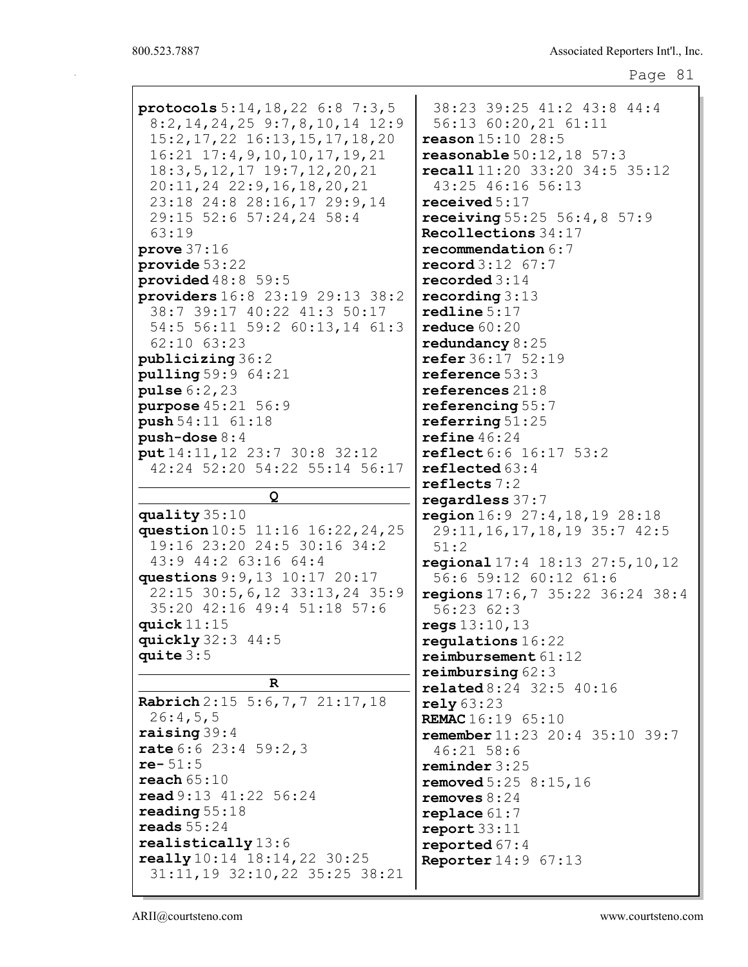| protocols $5:14, 18, 22$ 6:8 7:3,5<br>$8:2, 14, 24, 25$ 9:7,8,10,14 12:9<br>15:2, 17, 22 16:13, 15, 17, 18, 20<br>$16:21$ $17:4,9,10,10,17,19,21$<br>$18:3, 5, 12, 17$ $19:7, 12, 20, 21$<br>$20:11, 24$ $22:9, 16, 18, 20, 21$<br>23:18 24:8 28:16,17 29:9,14<br>29:15 52:6 57:24,24 58:4<br>63:19 | 38:23 39:25 41:2 43:8 44:4<br>56:13 60:20,21 61:11<br>reason 15:10 28:5<br><b>reasonable</b> $50:12, 18$ 57:3<br>recall 11:20 33:20 34:5 35:12<br>43:25 46:16 56:13<br>received $5:17$<br>receiving $55:25\ 56:4,8\ 57:9$<br>Recollections 34:17 |
|-----------------------------------------------------------------------------------------------------------------------------------------------------------------------------------------------------------------------------------------------------------------------------------------------------|--------------------------------------------------------------------------------------------------------------------------------------------------------------------------------------------------------------------------------------------------|
| prove $37:16$                                                                                                                                                                                                                                                                                       | recommendation $6:7$                                                                                                                                                                                                                             |
| $\n    provide 53:22$                                                                                                                                                                                                                                                                               | $\texttt{record3:12}$ 67:7                                                                                                                                                                                                                       |
| provided $48:8$ 59:5                                                                                                                                                                                                                                                                                | recorded $3:14$                                                                                                                                                                                                                                  |
| providers 16:8 23:19 29:13 38:2                                                                                                                                                                                                                                                                     | recording $3:13$                                                                                                                                                                                                                                 |
| 38:7 39:17 40:22 41:3 50:17                                                                                                                                                                                                                                                                         | redline 5:17                                                                                                                                                                                                                                     |
| 54:5 56:11 59:2 60:13,14 61:3                                                                                                                                                                                                                                                                       | reduce $60:20$                                                                                                                                                                                                                                   |
| 62:10 63:23                                                                                                                                                                                                                                                                                         | redundancy $8:25$                                                                                                                                                                                                                                |
| publicizing 36:2                                                                                                                                                                                                                                                                                    | refer 36:17 52:19                                                                                                                                                                                                                                |
| pulling 59:9 64:21                                                                                                                                                                                                                                                                                  | reference $53:3$                                                                                                                                                                                                                                 |
| pulse 6:2, 23                                                                                                                                                                                                                                                                                       | references $21:8$                                                                                                                                                                                                                                |
| purpose 45:21 56:9                                                                                                                                                                                                                                                                                  | referencing $55:7$                                                                                                                                                                                                                               |
| push 54:11 61:18                                                                                                                                                                                                                                                                                    | referring $51:25$                                                                                                                                                                                                                                |
| $push-dose 8:4$                                                                                                                                                                                                                                                                                     | refine 46:24                                                                                                                                                                                                                                     |
| put 14:11, 12 23:7 30:8 32:12                                                                                                                                                                                                                                                                       | <b>reflect</b> 6:6 16:17 53:2                                                                                                                                                                                                                    |
| 42:24 52:20 54:22 55:14 56:17                                                                                                                                                                                                                                                                       | reflected $63:4$                                                                                                                                                                                                                                 |
|                                                                                                                                                                                                                                                                                                     | reflects $7:2$                                                                                                                                                                                                                                   |
|                                                                                                                                                                                                                                                                                                     |                                                                                                                                                                                                                                                  |
|                                                                                                                                                                                                                                                                                                     |                                                                                                                                                                                                                                                  |
| Q                                                                                                                                                                                                                                                                                                   | regardless 37:7                                                                                                                                                                                                                                  |
| quality $35:10$                                                                                                                                                                                                                                                                                     | region $16:9$ $27:4, 18, 19$ $28:18$                                                                                                                                                                                                             |
| question 10:5 11:16 16:22, 24, 25                                                                                                                                                                                                                                                                   | 29:11, 16, 17, 18, 19 35:7 42:5                                                                                                                                                                                                                  |
| 19:16 23:20 24:5 30:16 34:2                                                                                                                                                                                                                                                                         | 51:2                                                                                                                                                                                                                                             |
| 43:9 44:2 63:16 64:4                                                                                                                                                                                                                                                                                | regional 17:4 18:13 27:5, 10, 12                                                                                                                                                                                                                 |
| questions 9: 9, 13 10:17 20:17                                                                                                                                                                                                                                                                      | 56:6 59:12 60:12 61:6                                                                                                                                                                                                                            |
| 22:15 30:5, 6, 12 33:13, 24 35:9                                                                                                                                                                                                                                                                    | regions $17:6,7$ 35:22 36:24 38:4                                                                                                                                                                                                                |
| 35:20 42:16 49:4 51:18 57:6                                                                                                                                                                                                                                                                         | 56:2362:3                                                                                                                                                                                                                                        |
| quick $11:15$                                                                                                                                                                                                                                                                                       | reqs 13:10, 13                                                                                                                                                                                                                                   |
| quickly $32:3$ 44:5                                                                                                                                                                                                                                                                                 | regulations $16:22$                                                                                                                                                                                                                              |
| quite $3:5$                                                                                                                                                                                                                                                                                         | reimbursement 61:12                                                                                                                                                                                                                              |
| R                                                                                                                                                                                                                                                                                                   | reimbursing $62:3$                                                                                                                                                                                                                               |
|                                                                                                                                                                                                                                                                                                     | <b>related</b> 8:24 32:5 40:16                                                                                                                                                                                                                   |
| Rabrich 2:15 5:6, 7, 7 21:17, 18                                                                                                                                                                                                                                                                    | rely 63:23                                                                                                                                                                                                                                       |
| 26:4,5,5                                                                                                                                                                                                                                                                                            | REMAC 16:19 65:10                                                                                                                                                                                                                                |
| raising $39:4$                                                                                                                                                                                                                                                                                      | remember 11:23 20:4 35:10 39:7                                                                                                                                                                                                                   |
| rate $6:6$ 23:4 59:2,3                                                                                                                                                                                                                                                                              | $46:21$ 58:6                                                                                                                                                                                                                                     |
| $re-51:5$                                                                                                                                                                                                                                                                                           | reminder 3:25                                                                                                                                                                                                                                    |
| reach $65:10$                                                                                                                                                                                                                                                                                       | <b>removed</b> $5:25$ $8:15$ , 16                                                                                                                                                                                                                |
| read 9:13 41:22 56:24                                                                                                                                                                                                                                                                               | removes $8:24$                                                                                                                                                                                                                                   |
| reading $55:18$                                                                                                                                                                                                                                                                                     | replace $61:7$                                                                                                                                                                                                                                   |
| reads $55:24$                                                                                                                                                                                                                                                                                       | report 33:11                                                                                                                                                                                                                                     |
| realistically 13:6                                                                                                                                                                                                                                                                                  | reported $67:4$                                                                                                                                                                                                                                  |
| really 10:14 18:14, 22 30:25<br>31:11, 19 32:10, 22 35:25 38:21                                                                                                                                                                                                                                     | <b>Reporter</b> 14:9 67:13                                                                                                                                                                                                                       |

ARII@courtsteno.com www.courtsteno.com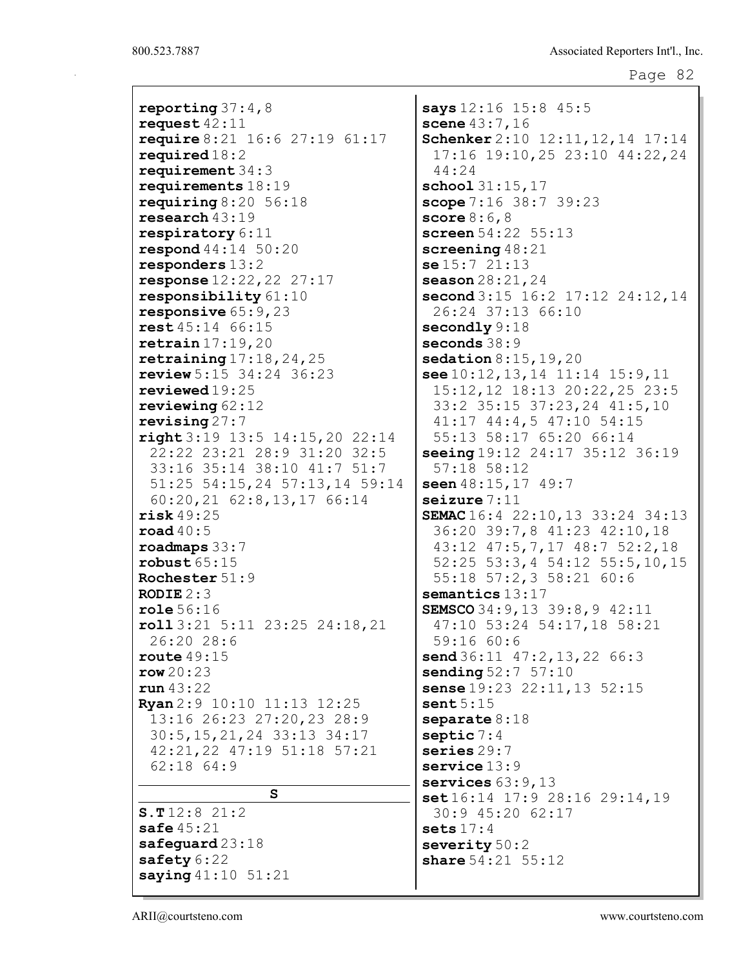| reporting $37:4,8$<br>says 12:16 15:8 45:5<br>request $42:11$<br>scene $43:7,16$<br>Schenker 2:10 12:11, 12, 14 17:14<br>require 8:21 16:6 27:19 61:17<br>required18:2<br>17:16 19:10,25 23:10 44:22,24<br>requirement $34:3$<br>44:24<br>requirements $18:19$<br>$\texttt{school} 31:15,17$<br>requiring $8:20$ 56:18<br>scope 7:16 38:7 39:23<br>research $43:19$<br>score $8:6,8$<br>screen 54:22 55:13<br>respiratory $6:11$<br><b>respond</b> $44:14 \ 50:20$<br>screening $48:21$<br>responders $13:2$<br>se15:721:13 |
|-----------------------------------------------------------------------------------------------------------------------------------------------------------------------------------------------------------------------------------------------------------------------------------------------------------------------------------------------------------------------------------------------------------------------------------------------------------------------------------------------------------------------------|
|                                                                                                                                                                                                                                                                                                                                                                                                                                                                                                                             |
|                                                                                                                                                                                                                                                                                                                                                                                                                                                                                                                             |
|                                                                                                                                                                                                                                                                                                                                                                                                                                                                                                                             |
|                                                                                                                                                                                                                                                                                                                                                                                                                                                                                                                             |
|                                                                                                                                                                                                                                                                                                                                                                                                                                                                                                                             |
|                                                                                                                                                                                                                                                                                                                                                                                                                                                                                                                             |
|                                                                                                                                                                                                                                                                                                                                                                                                                                                                                                                             |
|                                                                                                                                                                                                                                                                                                                                                                                                                                                                                                                             |
|                                                                                                                                                                                                                                                                                                                                                                                                                                                                                                                             |
|                                                                                                                                                                                                                                                                                                                                                                                                                                                                                                                             |
|                                                                                                                                                                                                                                                                                                                                                                                                                                                                                                                             |
| response $12:22,22$ 27:17<br>season $28:21,24$                                                                                                                                                                                                                                                                                                                                                                                                                                                                              |
| responsibility 61:10<br>second $3:15$ 16:2 17:12 24:12,14                                                                                                                                                                                                                                                                                                                                                                                                                                                                   |
| responsive $65:9,23$<br>26:24 37:13 66:10                                                                                                                                                                                                                                                                                                                                                                                                                                                                                   |
| rest 45:14 66:15<br>secondly $9:18$                                                                                                                                                                                                                                                                                                                                                                                                                                                                                         |
| seconds 38:9<br>return 17:19,20                                                                                                                                                                                                                                                                                                                                                                                                                                                                                             |
| retraining $17:18,24,25$<br>sedation $8:15, 19, 20$                                                                                                                                                                                                                                                                                                                                                                                                                                                                         |
| review $5:15$ $34:24$ $36:23$<br>see $10:12, 13, 14$ $11:14$ $15:9, 11$                                                                                                                                                                                                                                                                                                                                                                                                                                                     |
| 15:12, 12 18:13 20:22, 25 23:5<br>$revi$ ewed $19:25$                                                                                                                                                                                                                                                                                                                                                                                                                                                                       |
| 33:2 35:15 37:23,24 41:5,10<br>reviewing $62:12$                                                                                                                                                                                                                                                                                                                                                                                                                                                                            |
| revising $27:7$<br>41:17 44:4,5 47:10 54:15                                                                                                                                                                                                                                                                                                                                                                                                                                                                                 |
| right 3:19 13:5 14:15, 20 22:14<br>55:13 58:17 65:20 66:14                                                                                                                                                                                                                                                                                                                                                                                                                                                                  |
| 22:22 23:21 28:9 31:20 32:5<br>seeing 19:12 24:17 35:12 36:19                                                                                                                                                                                                                                                                                                                                                                                                                                                               |
| 33:16 35:14 38:10 41:7 51:7<br>$57:18$ $58:12$                                                                                                                                                                                                                                                                                                                                                                                                                                                                              |
| 51:25 54:15,24 57:13,14 59:14<br>seen 48:15, 17 49:7                                                                                                                                                                                                                                                                                                                                                                                                                                                                        |
| $60:20, 21$ $62:8, 13, 17$ $66:14$<br>seizure 7:11                                                                                                                                                                                                                                                                                                                                                                                                                                                                          |
| risk49:25<br>SEMAC 16:4 22:10, 13 33:24 34:13                                                                                                                                                                                                                                                                                                                                                                                                                                                                               |
| 36:20 39:7,8 41:23 42:10,18<br>$\texttt{road40:5}$                                                                                                                                                                                                                                                                                                                                                                                                                                                                          |
| 43:12 47:5,7,17 48:7 52:2,18<br>$\texttt{roadmaps} 33:7$                                                                                                                                                                                                                                                                                                                                                                                                                                                                    |
| $52:25$ $53:3,4$ $54:12$ $55:5,10,15$<br>robust $65:15$                                                                                                                                                                                                                                                                                                                                                                                                                                                                     |
| 55:18 57:2,3 58:21 60:6<br>Rochester 51:9                                                                                                                                                                                                                                                                                                                                                                                                                                                                                   |
| <b>RODIE</b> $2:3$<br>semantics $13:17$                                                                                                                                                                                                                                                                                                                                                                                                                                                                                     |
| SEMSCO 34: 9, 13 39: 8, 9 42: 11<br>role 56:16                                                                                                                                                                                                                                                                                                                                                                                                                                                                              |
| 47:10 53:24 54:17,18 58:21<br>roll3:21 5:11 23:25 24:18,21                                                                                                                                                                                                                                                                                                                                                                                                                                                                  |
| 26:20 28:6<br>59:1660:6                                                                                                                                                                                                                                                                                                                                                                                                                                                                                                     |
| route $49:15$<br>$send36:11$ $47:2,13,22$ $66:3$                                                                                                                                                                                                                                                                                                                                                                                                                                                                            |
| row20:23<br><b>sending</b> $52:7 57:10$                                                                                                                                                                                                                                                                                                                                                                                                                                                                                     |
| sense $19:23$ $22:11,13$ $52:15$<br>run 43:22                                                                                                                                                                                                                                                                                                                                                                                                                                                                               |
| Ryan 2:9 10:10 11:13 12:25<br>sent5:15                                                                                                                                                                                                                                                                                                                                                                                                                                                                                      |
| 13:16 26:23 27:20,23 28:9<br>separate 8:18                                                                                                                                                                                                                                                                                                                                                                                                                                                                                  |
| 30:5, 15, 21, 24 33:13 34:17<br>septic $7:4$                                                                                                                                                                                                                                                                                                                                                                                                                                                                                |
| series $29:7$<br>42:21,22 47:19 51:18 57:21                                                                                                                                                                                                                                                                                                                                                                                                                                                                                 |
| $62:18$ $64:9$<br>$s$ ervice $13:9$                                                                                                                                                                                                                                                                                                                                                                                                                                                                                         |
| services $63:9,13$<br>S                                                                                                                                                                                                                                                                                                                                                                                                                                                                                                     |
| $set16:14$ 17:9 28:16 29:14,19                                                                                                                                                                                                                                                                                                                                                                                                                                                                                              |
| S.T12:821:2<br>30:9 45:20 62:17                                                                                                                                                                                                                                                                                                                                                                                                                                                                                             |
| safe $45:21$<br>sets $17:4$                                                                                                                                                                                                                                                                                                                                                                                                                                                                                                 |
| safeguard $23:18$<br>severity $50:2$                                                                                                                                                                                                                                                                                                                                                                                                                                                                                        |
| safety 6:22<br>share $54:21$ $55:12$                                                                                                                                                                                                                                                                                                                                                                                                                                                                                        |
| saying $41:10$ 51:21                                                                                                                                                                                                                                                                                                                                                                                                                                                                                                        |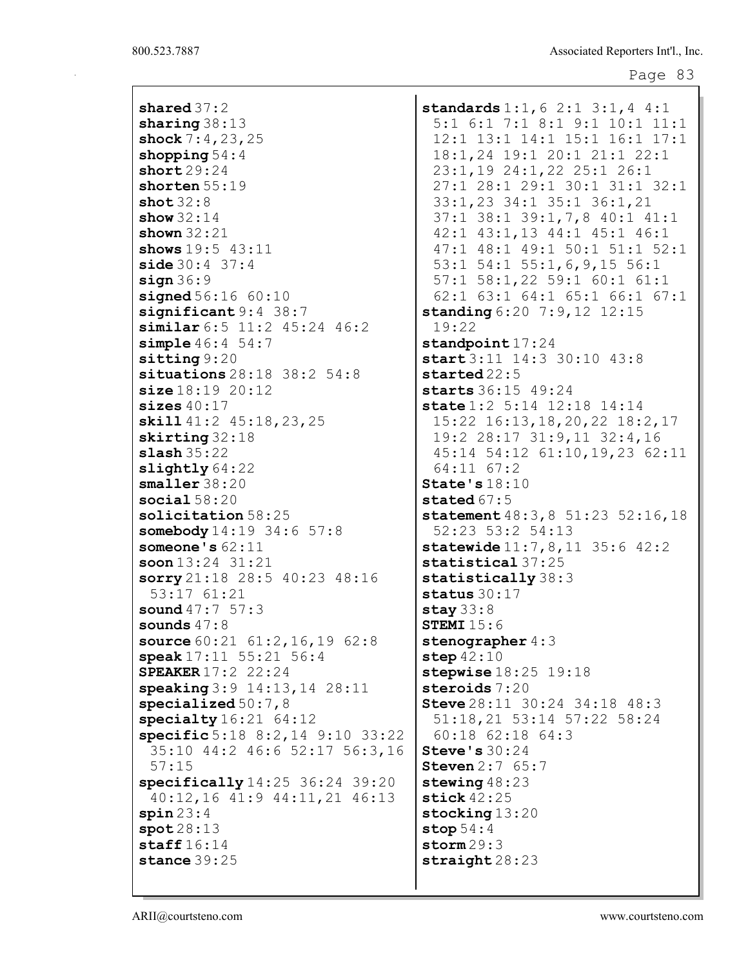shared 37:2 sharing 38:13 shock 7:4,23,25 shopping  $54:4$ short 29:24 shorten 55:19 shot 32:8 show 32:14 shown  $32:21$ shows 19:5 43:11  $side 30:4 37:4$  $sign 36:9$ **signed** 56:16 60:10 significant 9:4 38:7 similar 6:5 11:2 45:24 46:2 simple 46:4 54:7 sitting 9:20 situations 28:18 38:2 54:8 size 18:19 20:12 sizes  $40:17$ skill 41:2 45:18, 23, 25 skirting 32:18 slash 35:22 slightly  $64:22$ smaller 38:20 social  $58:20$ solicitation 58:25 somebody  $14:19$  34:6 57:8 someone's 62:11 soon 13:24 31:21 sorry 21:18 28:5 40:23 48:16 53:17 61:21 sound 47:7 57:3 sounds 47:8 source 60:21 61:2,16,19 62:8 speak 17:11 55:21 56:4 SPEAKER 17:2 22:24 speaking 3:9 14:13,14 28:11 specialized  $50:7,8$ specialty  $16:21$  64:12 specific 5:18 8:2,14 9:10 33:22 35:10 44:2 46:6 52:17 56:3,16 57:15 specifically 14:25 36:24 39:20 40:12,16 41:9 44:11,21 46:13  $spin 23:4$ spot 28:13 staff  $16:14$ stance 39:25

standards 1:1, 6 2:1 3:1, 4 4:1 5:1 6:1 7:1 8:1 9:1 10:1 11:1 12:1 13:1 14:1 15:1 16:1 17:1 18:1,24 19:1 20:1 21:1 22:1 23:1,19 24:1,22 25:1 26:1 27:1 28:1 29:1 30:1 31:1 32:1 33:1,23 34:1 35:1 36:1,21 37:1 38:1 39:1,7,8 40:1 41:1 42:1 43:1,13 44:1 45:1 46:1 47:1 48:1 49:1 50:1 51:1 52:1 53:1 54:1 55:1,6,9,15 56:1 57:1 58:1,22 59:1 60:1 61:1 62:1 63:1 64:1 65:1 66:1 67:1 standing 6:20 7:9,12 12:15 19:22 standpoint 17:24 start 3:11 14:3 30:10 43:8 started 22:5 starts 36:15 49:24 state 1:2 5:14 12:18 14:14 15:22 16:13,18,20,22 18:2,17 19:2 28:17 31:9,11 32:4,16 45:14 54:12 61:10,19,23 62:11 64:11 67:2 State's 18:10 stated 67:5 statement 48:3,8 51:23 52:16,18 52:23 53:2 54:13 statewide 11:7,8,11 35:6 42:2 statistical 37:25 statistically 38:3 status 30:17 stay 33:8 **STEMI 15:6** stenographer 4:3 step 42:10 stepwise 18:25 19:18 steroids 7:20 Steve 28:11 30:24 34:18 48:3 51:18,21 53:14 57:22 58:24 60:18 62:18 64:3 Steve's 30:24 Steven 2:7 65:7 stewing  $48:23$ stick 42:25 stocking 13:20 stop 54:4 storm  $29:3$ straight 28:23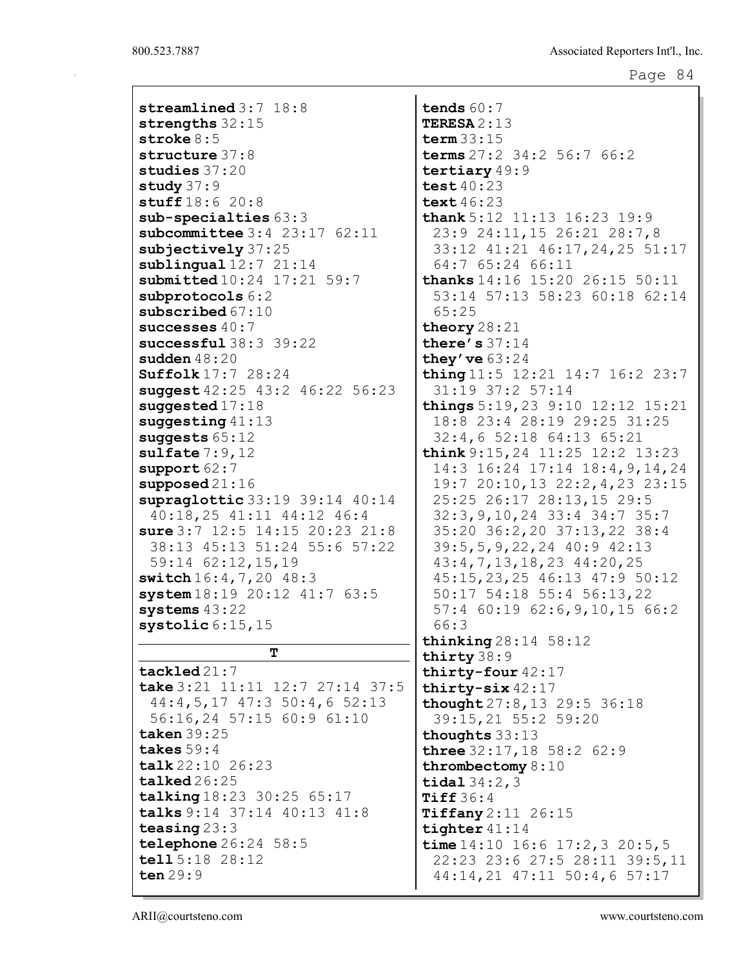| H.<br>rage |  |
|------------|--|
|------------|--|

| streamlined 3:7 18:8               |  |   |  |  |  |  |  |  |  |
|------------------------------------|--|---|--|--|--|--|--|--|--|
| strengths 32:15                    |  |   |  |  |  |  |  |  |  |
| stroke $8:5$                       |  |   |  |  |  |  |  |  |  |
| structure 37:8                     |  |   |  |  |  |  |  |  |  |
| studies 37:20                      |  |   |  |  |  |  |  |  |  |
| study $37:9$                       |  |   |  |  |  |  |  |  |  |
| stuff 18:6 20:8                    |  |   |  |  |  |  |  |  |  |
| $sub-specialties 63:3$             |  |   |  |  |  |  |  |  |  |
| subcommittee $3:4$ 23:17 62:11     |  |   |  |  |  |  |  |  |  |
| subjectively 37:25                 |  |   |  |  |  |  |  |  |  |
| sublingual $12:7$ $21:14$          |  |   |  |  |  |  |  |  |  |
| submitted 10:24 17:21 59:7         |  |   |  |  |  |  |  |  |  |
| subprotocols 6:2                   |  |   |  |  |  |  |  |  |  |
| subscribed $67:10$                 |  |   |  |  |  |  |  |  |  |
| successes $40:7$                   |  |   |  |  |  |  |  |  |  |
| successful $38:3$ $39:22$          |  |   |  |  |  |  |  |  |  |
| sudden $48:20$                     |  |   |  |  |  |  |  |  |  |
| $\text{Suffolk} 17:7 28:24$        |  |   |  |  |  |  |  |  |  |
| suggest 42:25 43:2 46:22 56:23     |  |   |  |  |  |  |  |  |  |
| suggested $17:18$                  |  |   |  |  |  |  |  |  |  |
| suggesting $41:13$                 |  |   |  |  |  |  |  |  |  |
|                                    |  |   |  |  |  |  |  |  |  |
| suggests $65:12$                   |  |   |  |  |  |  |  |  |  |
| sulfate 7:9,12                     |  |   |  |  |  |  |  |  |  |
| support $62:7$                     |  |   |  |  |  |  |  |  |  |
| supposed $21:16$                   |  |   |  |  |  |  |  |  |  |
| supraglottic 33:19 39:14 40:14     |  |   |  |  |  |  |  |  |  |
| 40:18,25 41:11 44:12 46:4          |  |   |  |  |  |  |  |  |  |
| sure 3:7 12:5 14:15 20:23 21:8     |  |   |  |  |  |  |  |  |  |
| 38:13 45:13 51:24 55:6 57:22       |  |   |  |  |  |  |  |  |  |
| 59:14 62:12,15,19                  |  |   |  |  |  |  |  |  |  |
| switch 16:4, 7, 20 48:3            |  |   |  |  |  |  |  |  |  |
| system 18:19 20:12 41:7 63:5       |  |   |  |  |  |  |  |  |  |
| systems $43:22$                    |  |   |  |  |  |  |  |  |  |
| systolic $6:15,15$                 |  |   |  |  |  |  |  |  |  |
|                                    |  | т |  |  |  |  |  |  |  |
| $\texttt{tackled}21:7$             |  |   |  |  |  |  |  |  |  |
| take $3:21$ 11:11 12:7 27:14 37:5  |  |   |  |  |  |  |  |  |  |
| 44: 4, 5, 17 47: 3 50: 4, 6 52: 13 |  |   |  |  |  |  |  |  |  |
|                                    |  |   |  |  |  |  |  |  |  |
| 56:16,24 57:15 60:9 61:10          |  |   |  |  |  |  |  |  |  |
| taken 39:25                        |  |   |  |  |  |  |  |  |  |
| takes $59:4$                       |  |   |  |  |  |  |  |  |  |
| talk 22:10 26:23                   |  |   |  |  |  |  |  |  |  |
| talked26:25                        |  |   |  |  |  |  |  |  |  |
| talking 18:23 30:25 65:17          |  |   |  |  |  |  |  |  |  |
| talks 9:14 37:14 40:13 41:8        |  |   |  |  |  |  |  |  |  |
| teasing $23:3$                     |  |   |  |  |  |  |  |  |  |
| telephone $26:24$ 58:5             |  |   |  |  |  |  |  |  |  |
| tell 5:18 28:12                    |  |   |  |  |  |  |  |  |  |
| ten $29:9$                         |  |   |  |  |  |  |  |  |  |

tends 60:7 TERESA 2:13 term 33:15 terms 27:2 34:2 56:7 66:2 tertiary 49:9 test 40:23 text 46:23 thank 5:12 11:13 16:23 19:9 23:9 24:11,15 26:21 28:7,8 33:12 41:21 46:17,24,25 51:17 64:7 65:24 66:11 thanks 14:16 15:20 26:15 50:11 53:14 57:13 58:23 60:18 62:14 65:25 theory 28:21 there's 37:14 they' ve  $63:24$ thing 11:5 12:21 14:7 16:2 23:7 31:19 37:2 57:14 things 5:19,23 9:10 12:12 15:21 18:8 23:4 28:19 29:25 31:25 32:4,6 52:18 64:13 65:21 think 9:15,24 11:25 12:2 13:23 14:3 16:24 17:14 18:4,9,14,24 19:7 20:10,13 22:2,4,23 23:15 25:25 26:17 28:13,15 29:5 32:3,9,10,24 33:4 34:7 35:7 35:20 36:2,20 37:13,22 38:4 39:5,5,9,22,24 40:9 42:13 43:4,7,13,18,23 44:20,25 45:15,23,25 46:13 47:9 50:12 50:17 54:18 55:4 56:13,22 57:4 60:19 62:6,9,10,15 66:2 66:3 thinking 28:14 58:12 thirty 38:9 thirty-four 42:17 thirty-six 42:17 thought 27:8,13 29:5 36:18 39:15,21 55:2 59:20 thoughts 33:13 three 32:17,18 58:2 62:9 thrombectomy 8:10 tidal 34:2,3 Tiff 36:4 Tiffany 2:11 26:15 tighter 41:14 time  $14:10$  16:6 17:2, 3 20:5, 5 22:23 23:6 27:5 28:11 39:5,11 44:14,21 47:11 50:4,6 57:17

ARII@courtsteno.com www.courtsteno.com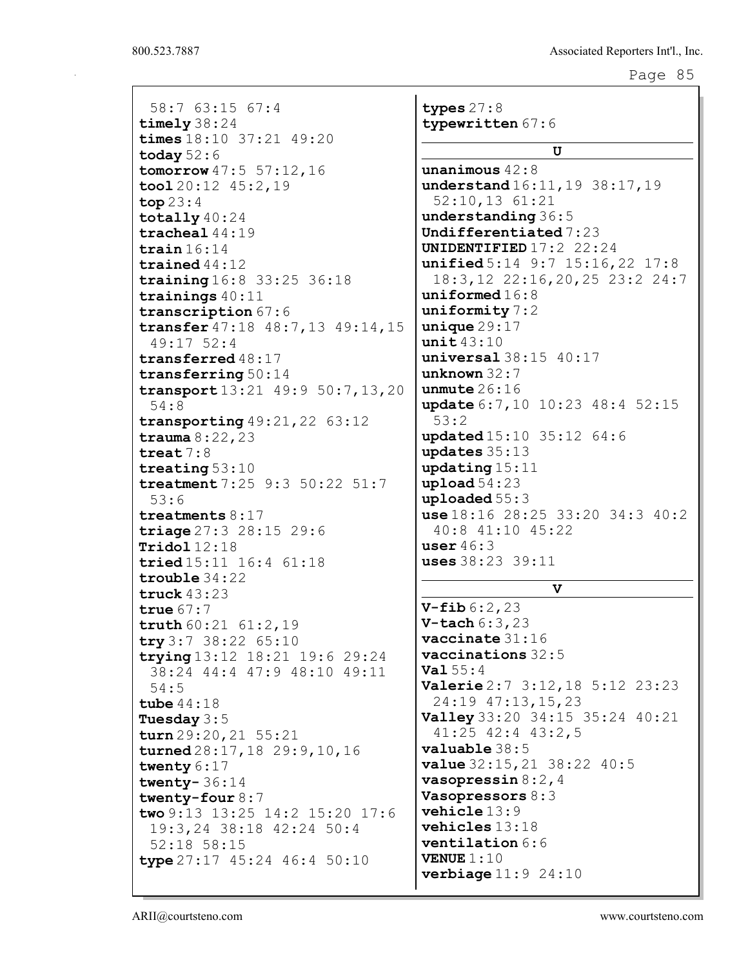| 58:7 63:15 67:4                    |  |  |  |  |  |  |  |  |
|------------------------------------|--|--|--|--|--|--|--|--|
| timely 38:24                       |  |  |  |  |  |  |  |  |
| times 18:10 37:21 49:20            |  |  |  |  |  |  |  |  |
| today $52:6$                       |  |  |  |  |  |  |  |  |
| tomorrow 47:5 57:12,16             |  |  |  |  |  |  |  |  |
| $\text{tool } 20:12 \quad 45:2,19$ |  |  |  |  |  |  |  |  |
|                                    |  |  |  |  |  |  |  |  |
| top 23:4                           |  |  |  |  |  |  |  |  |
| totally $40:24$                    |  |  |  |  |  |  |  |  |
| $\texttt{trached144:19}$           |  |  |  |  |  |  |  |  |
| train $16:14$                      |  |  |  |  |  |  |  |  |
| trained $44:12$                    |  |  |  |  |  |  |  |  |
| training 16:8 33:25 36:18          |  |  |  |  |  |  |  |  |
| trainings $40:11$                  |  |  |  |  |  |  |  |  |
| transcription 67:6                 |  |  |  |  |  |  |  |  |
| transfer 47:18 48:7,13 49:14,15    |  |  |  |  |  |  |  |  |
| 49:17 52:4                         |  |  |  |  |  |  |  |  |
| transferred 48:17                  |  |  |  |  |  |  |  |  |
| transferring $50:14$               |  |  |  |  |  |  |  |  |
| transport 13:21 49:9 50:7, 13, 20  |  |  |  |  |  |  |  |  |
| 54:8                               |  |  |  |  |  |  |  |  |
| transporting $49:21,22$ 63:12      |  |  |  |  |  |  |  |  |
| trauma $8:22,23$                   |  |  |  |  |  |  |  |  |
| treat $7:8$                        |  |  |  |  |  |  |  |  |
| treating $53:10$                   |  |  |  |  |  |  |  |  |
| treatment 7:25 9:3 50:22 51:7      |  |  |  |  |  |  |  |  |
|                                    |  |  |  |  |  |  |  |  |
|                                    |  |  |  |  |  |  |  |  |
| 53:6                               |  |  |  |  |  |  |  |  |
| treatments $8:17$                  |  |  |  |  |  |  |  |  |
| triage 27:3 28:15 29:6             |  |  |  |  |  |  |  |  |
| $\texttt{Trido1}$ $12:18$          |  |  |  |  |  |  |  |  |
| tried 15:11 16:4 61:18             |  |  |  |  |  |  |  |  |
| trouble 34:22                      |  |  |  |  |  |  |  |  |
| truck $43:23$                      |  |  |  |  |  |  |  |  |
| true $67:7$                        |  |  |  |  |  |  |  |  |
| truth $60:21$ $61:2,19$            |  |  |  |  |  |  |  |  |
| try 3:7 38:22 65:10                |  |  |  |  |  |  |  |  |
| trying 13:12 18:21 19:6 29:24      |  |  |  |  |  |  |  |  |
| 38:24 44:4 47:9 48:10 49:11        |  |  |  |  |  |  |  |  |
| 54:5                               |  |  |  |  |  |  |  |  |
| tube $44:18$                       |  |  |  |  |  |  |  |  |
| Tuesday $3:5$                      |  |  |  |  |  |  |  |  |
| turn 29:20, 21 55:21               |  |  |  |  |  |  |  |  |
| turned 28:17, 18 29:9, 10, 16      |  |  |  |  |  |  |  |  |
| twenty $6:17$                      |  |  |  |  |  |  |  |  |
| twenty- $36:14$                    |  |  |  |  |  |  |  |  |
| twenty-four $8:7$                  |  |  |  |  |  |  |  |  |
| two 9:13 13:25 14:2 15:20 17:6     |  |  |  |  |  |  |  |  |
| 19:3,24 38:18 42:24 50:4           |  |  |  |  |  |  |  |  |
| 52:18 58:15                        |  |  |  |  |  |  |  |  |
| type 27:17 45:24 46:4 50:10        |  |  |  |  |  |  |  |  |

typewritten 67:6 U unanimous 42:8 understand 16:11,19 38:17,19 52:10,13 61:21 understanding 36:5 Undifferentiated 7:23 UNIDENTIFIED 17:2 22:24 unified 5:14 9:7 15:16, 22 17:8 18:3,12 22:16,20,25 23:2 24:7 uniformed 16:8 uniformity 7:2 unique 29:17 unit 43:10 universal 38:15 40:17 unknown 32:7 unmute 26:16 update 6:7,10 10:23 48:4 52:15 53:2 updated 15:10 35:12 64:6 updates 35:13 updating 15:11 upload 54:23 uploaded 55:3 use 18:16 28:25 33:20 34:3 40:2 40:8 41:10 45:22 user 46:3 uses 38:23 39:11

types 27:8

#### $\mathbf{v}$

 $V$ -fib  $6:2,23$ V-tach 6:3,23 vaccinate 31:16 vaccinations 32:5 Val 55:4 Valerie 2:7 3:12,18 5:12 23:23 24:19 47:13,15,23 Valley 33:20 34:15 35:24 40:21 41:25 42:4 43:2,5 valuable 38:5 value 32:15,21 38:22 40:5 vasopressin  $8:2$ , 4 Vasopressors 8:3 vehicle 13:9 vehicles 13:18 ventilation 6:6  $VENUE 1:10$ verbiage 11:9 24:10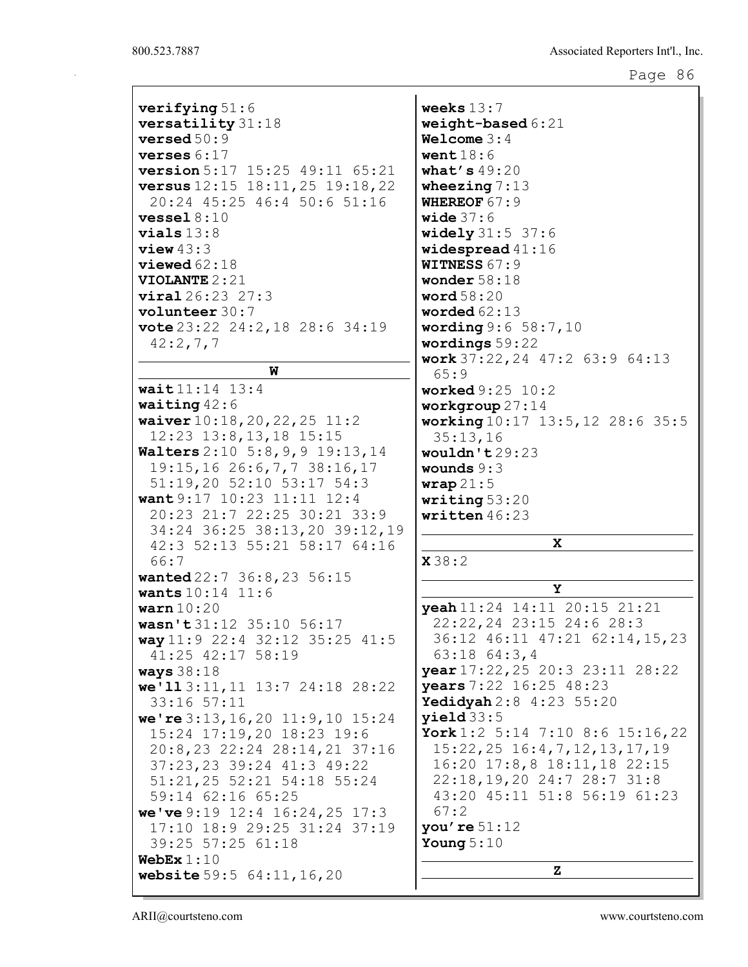| $\texttt{verifying}~51:6$                      | weeks $13:7$                          |
|------------------------------------------------|---------------------------------------|
| versatility 31:18                              | weight-based 6:21                     |
| $\texttt{versed}\,50\!:\!9$                    | Welcome $3:4$                         |
| $\mathtt{verses}$ $6$ : $17$                   | went $18:6$                           |
| <b>version</b> $5:17$ $15:25$ $49:11$ $65:21$  | what's $49:20$                        |
| <b>versus</b> $12:15$ $18:11,25$ $19:18,22$    | wheezing $7:13$                       |
| 20:24 45:25 46:4 50:6 51:16                    | <b>WHEREOF 67:9</b>                   |
| $\texttt{vessel}\,8\!:\!10$                    | wide $37:6$                           |
| $\verb vials 13:8$                             |                                       |
|                                                | <b>widely</b> $31:5$ $37:6$           |
| view 43:3                                      | widespread $41:16$                    |
| $v$ iewed $62:18$                              | <b>WITNESS 67:9</b>                   |
| <b>VIOLANTE 2 : 21</b>                         | wonder $58:18$                        |
| $\texttt{viral} 26:23\ \ 27:3$                 | word $58:20$                          |
| $volumeer$ 30:7                                | worded $62:13$                        |
| vote $23:22$ $24:2$ , $18$ $28:6$ $34:19$      | wording 9:6 58:7,10                   |
| 42:2,7,7                                       | wordings 59:22                        |
| W                                              | work $37:22$ , 24 $47:2$ 63:9 64:13   |
|                                                | 65:9                                  |
| wait11:14 13:4                                 | <b>worked</b> $9:25$ $10:2$           |
| waiting $42:6$                                 | workgroup $27:14$                     |
| waiver $10:18, 20, 22, 25$ 11:2                | working 10:17 13:5, 12 28:6 35:5      |
| $12:23$ $13:8,13,18$ $15:15$                   | 35:13,16                              |
| Walters 2:10 5:8, 9, 9 19:13, 14               | wouldn't $29:23$                      |
| 19:15,16 26:6,7,7 38:16,17                     | wounds $9:3$                          |
| 51:19,20 52:10 53:17 54:3                      | $\texttt{wrap21:5}$                   |
| want $9:17$ $10:23$ $11:11$ $12:4$             | writing $53:20$                       |
|                                                |                                       |
| 20:23 21:7 22:25 30:21 33:9                    | written $46:23$                       |
| 34:24 36:25 38:13,20 39:12,19                  |                                       |
| 42:3 52:13 55:21 58:17 64:16                   | x                                     |
| 66:7                                           | X38:2                                 |
| wanted 22:7 36:8, 23 56:15                     |                                       |
| wants $10:14$ $11:6$                           | Υ                                     |
| $\tt{warn}$ $10$ : $20$                        | yeah 11:24 14:11 20:15 21:21          |
| wasn't 31:12 35:10 56:17                       | 22:22, 24 23:15 24:6 28:3             |
| way 11:9 22:4 32:12 35:25 41:5                 | 36:12 46:11 47:21 62:14,15,23         |
| 41:25 42:17 58:19                              | 63:18 64:3,4                          |
| <b>ways</b> 38:18                              | year 17:22, 25 20:3 23:11 28:22       |
| we' 113:11, 11 13:7 24:18 28:22                | years 7:22 16:25 48:23                |
| 33:16 57:11                                    | Yedidyah 2:8 4:23 55:20               |
|                                                | yield33:5                             |
| we're $3:13, 16, 20$ 11:9,10 15:24             | York 1:2 5:14 7:10 8:6 15:16, 22      |
| 15:24 17:19,20 18:23 19:6                      |                                       |
| 20:8,23 22:24 28:14,21 37:16                   | $15:22, 25$ $16:4, 7, 12, 13, 17, 19$ |
| 37:23,23 39:24 41:3 49:22                      | 16:20 17:8,8 18:11,18 22:15           |
| 51:21,25 52:21 54:18 55:24                     | 22:18, 19, 20 24:7 28:7 31:8          |
| 59:14 62:16 65:25                              | 43:20 45:11 51:8 56:19 61:23          |
| we've $9:19$ 12:4 16:24, 25 17:3               | 67:2                                  |
| 17:10 18:9 29:25 31:24 37:19                   | you're $51:12$                        |
| 39:25 57:25 61:18                              | Young $5:10$                          |
| WebEx $1:10$<br>website $59:5$ $64:11, 16, 20$ | z                                     |